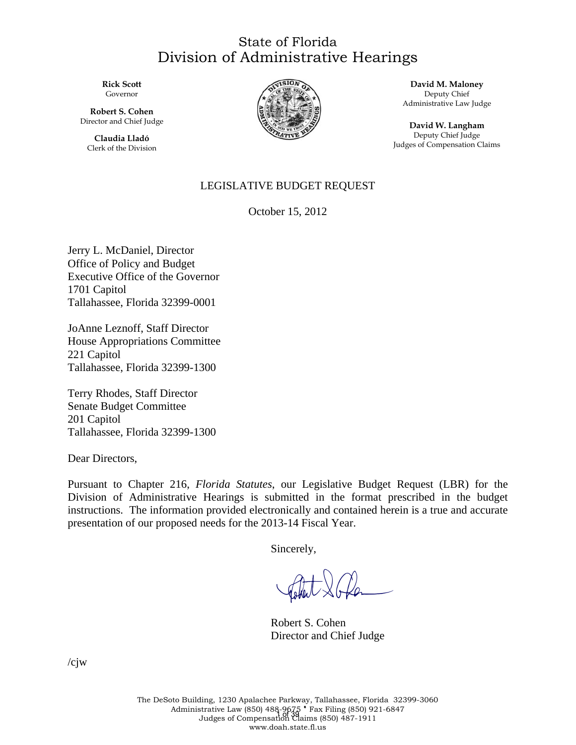#### State of Florida Division of Administrative Hearings

**Rick Scott**  Governor

**Robert S. Cohen**  Director and Chief Judge

**Claudia Lladó**  Clerk of the Division



**David M. Maloney**  Deputy Chief Administrative Law Judge

**David W. Langham**  Deputy Chief Judge Judges of Compensation Claims

#### LEGISLATIVE BUDGET REQUEST

October 15, 2012

Jerry L. McDaniel, Director Office of Policy and Budget Executive Office of the Governor 1701 Capitol Tallahassee, Florida 32399-0001

JoAnne Leznoff, Staff Director House Appropriations Committee 221 Capitol Tallahassee, Florida 32399-1300

Terry Rhodes, Staff Director Senate Budget Committee 201 Capitol Tallahassee, Florida 32399-1300

Dear Directors,

Pursuant to Chapter 216, *Florida Statutes*, our Legislative Budget Request (LBR) for the Division of Administrative Hearings is submitted in the format prescribed in the budget instructions. The information provided electronically and contained herein is a true and accurate presentation of our proposed needs for the 2013-14 Fiscal Year.

Sincerely,

Content 2 Plan

 Robert S. Cohen Director and Chief Judge

/cjw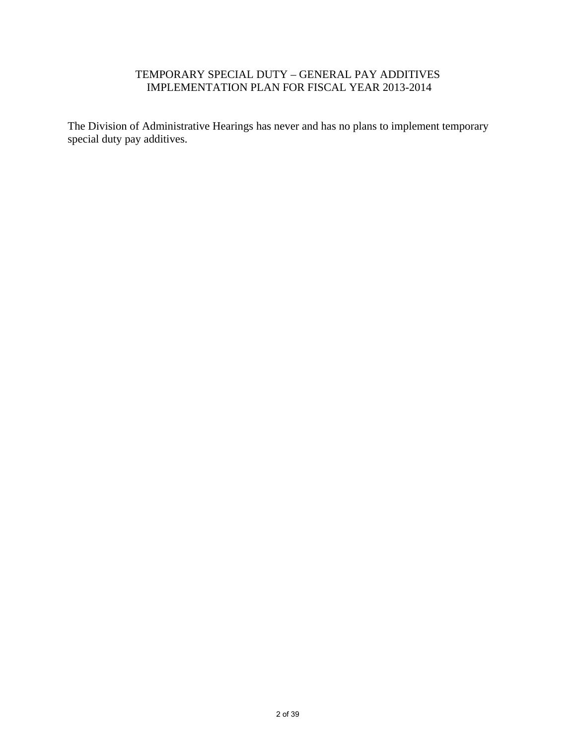#### TEMPORARY SPECIAL DUTY – GENERAL PAY ADDITIVES IMPLEMENTATION PLAN FOR FISCAL YEAR 2013-2014

The Division of Administrative Hearings has never and has no plans to implement temporary special duty pay additives.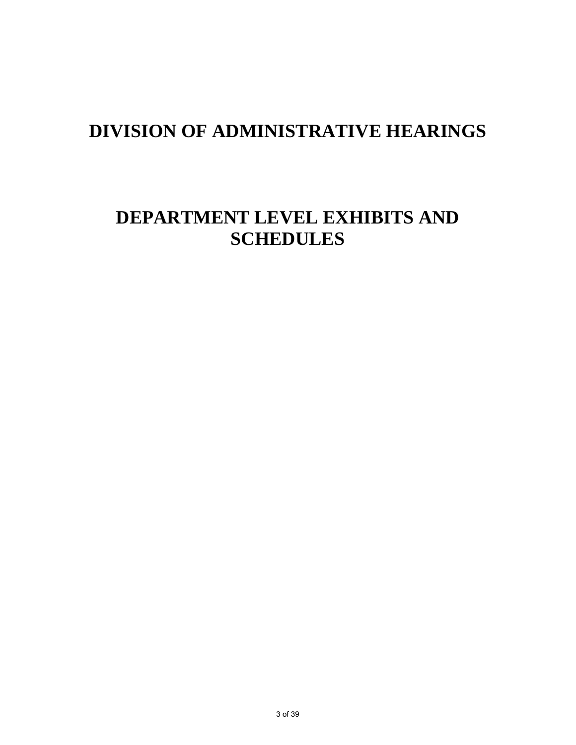# **DEPARTMENT LEVEL EXHIBITS AND SCHEDULES**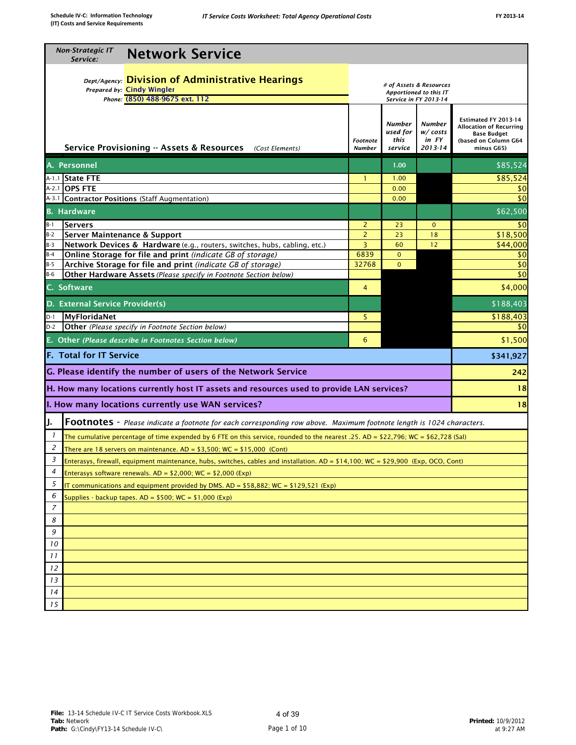| <b>Dept/Agency:</b> Division of Administrative Hearings<br># of Assets & Resources<br>Prepared by: Cindy Wingler<br>Apportioned to this IT<br>Phone: (850) 488-9675 ext. 112<br>Service in FY 2013-14<br>Estimated FY 2013-14<br>Number<br><b>Number</b><br>Allocation of Recurring<br>used for<br>w/costs<br><b>Base Budget</b><br>this<br>in FY<br>(based on Column G64<br><b>Footnote</b><br>Service Provisioning -- Assets & Resources<br>$2013 - 14$<br>(Cost Elements)<br><b>Number</b><br>service<br>minus G65)<br>A. Personnel<br>\$85,524<br>1.00<br>A-1.1 State FTE<br>\$85,524<br>1.00<br>$\mathbf{1}$<br>A-2.1 OPS FTE<br>0.00<br>\$0<br>A-3.1 Contractor Positions (Staff Augmentation)<br>\$0<br>0.00<br><b>B.</b> Hardware<br>\$62,500<br>$B-1$<br><b>Servers</b><br>2<br>\$0<br>23<br>$\mathbf{0}$<br>$\overline{2}$<br>$B-2$<br><b>Server Maintenance &amp; Support</b><br>23<br>18<br>3<br>Network Devices & Hardware (e.g., routers, switches, hubs, cabling, etc.)<br>60<br>12<br>$B-3$<br>Online Storage for file and print (indicate GB of storage)<br>6839<br>$\mathbf{0}$<br>\$0<br>$B-4$<br>Archive Storage for file and print (indicate GB of storage)<br>\$0<br>32768<br>$\mathbf{0}$<br>$B-5$<br>\$0<br>Other Hardware Assets (Please specify in Footnote Section below)<br>$B-6$<br>C. Software<br>4<br>D. External Service Provider(s)<br>MyFloridaNet<br>\$188,403<br>$D-1$<br>5<br>Other (Please specify in Footnote Section below)<br>$D-2$<br>\$0<br>E. Other (Please describe in Footnotes Section below)<br>\$1,500<br>6<br><b>F. Total for IT Service</b><br>\$341,927 |
|-------------------------------------------------------------------------------------------------------------------------------------------------------------------------------------------------------------------------------------------------------------------------------------------------------------------------------------------------------------------------------------------------------------------------------------------------------------------------------------------------------------------------------------------------------------------------------------------------------------------------------------------------------------------------------------------------------------------------------------------------------------------------------------------------------------------------------------------------------------------------------------------------------------------------------------------------------------------------------------------------------------------------------------------------------------------------------------------------------------------------------------------------------------------------------------------------------------------------------------------------------------------------------------------------------------------------------------------------------------------------------------------------------------------------------------------------------------------------------------------------------------------------------------------------------------------------------------------------------------|
|                                                                                                                                                                                                                                                                                                                                                                                                                                                                                                                                                                                                                                                                                                                                                                                                                                                                                                                                                                                                                                                                                                                                                                                                                                                                                                                                                                                                                                                                                                                                                                                                             |
|                                                                                                                                                                                                                                                                                                                                                                                                                                                                                                                                                                                                                                                                                                                                                                                                                                                                                                                                                                                                                                                                                                                                                                                                                                                                                                                                                                                                                                                                                                                                                                                                             |
|                                                                                                                                                                                                                                                                                                                                                                                                                                                                                                                                                                                                                                                                                                                                                                                                                                                                                                                                                                                                                                                                                                                                                                                                                                                                                                                                                                                                                                                                                                                                                                                                             |
|                                                                                                                                                                                                                                                                                                                                                                                                                                                                                                                                                                                                                                                                                                                                                                                                                                                                                                                                                                                                                                                                                                                                                                                                                                                                                                                                                                                                                                                                                                                                                                                                             |
| \$18,500<br>\$44,000<br>\$4,000<br>\$188,403                                                                                                                                                                                                                                                                                                                                                                                                                                                                                                                                                                                                                                                                                                                                                                                                                                                                                                                                                                                                                                                                                                                                                                                                                                                                                                                                                                                                                                                                                                                                                                |
|                                                                                                                                                                                                                                                                                                                                                                                                                                                                                                                                                                                                                                                                                                                                                                                                                                                                                                                                                                                                                                                                                                                                                                                                                                                                                                                                                                                                                                                                                                                                                                                                             |
|                                                                                                                                                                                                                                                                                                                                                                                                                                                                                                                                                                                                                                                                                                                                                                                                                                                                                                                                                                                                                                                                                                                                                                                                                                                                                                                                                                                                                                                                                                                                                                                                             |
|                                                                                                                                                                                                                                                                                                                                                                                                                                                                                                                                                                                                                                                                                                                                                                                                                                                                                                                                                                                                                                                                                                                                                                                                                                                                                                                                                                                                                                                                                                                                                                                                             |
|                                                                                                                                                                                                                                                                                                                                                                                                                                                                                                                                                                                                                                                                                                                                                                                                                                                                                                                                                                                                                                                                                                                                                                                                                                                                                                                                                                                                                                                                                                                                                                                                             |
|                                                                                                                                                                                                                                                                                                                                                                                                                                                                                                                                                                                                                                                                                                                                                                                                                                                                                                                                                                                                                                                                                                                                                                                                                                                                                                                                                                                                                                                                                                                                                                                                             |
|                                                                                                                                                                                                                                                                                                                                                                                                                                                                                                                                                                                                                                                                                                                                                                                                                                                                                                                                                                                                                                                                                                                                                                                                                                                                                                                                                                                                                                                                                                                                                                                                             |
|                                                                                                                                                                                                                                                                                                                                                                                                                                                                                                                                                                                                                                                                                                                                                                                                                                                                                                                                                                                                                                                                                                                                                                                                                                                                                                                                                                                                                                                                                                                                                                                                             |
|                                                                                                                                                                                                                                                                                                                                                                                                                                                                                                                                                                                                                                                                                                                                                                                                                                                                                                                                                                                                                                                                                                                                                                                                                                                                                                                                                                                                                                                                                                                                                                                                             |
|                                                                                                                                                                                                                                                                                                                                                                                                                                                                                                                                                                                                                                                                                                                                                                                                                                                                                                                                                                                                                                                                                                                                                                                                                                                                                                                                                                                                                                                                                                                                                                                                             |
|                                                                                                                                                                                                                                                                                                                                                                                                                                                                                                                                                                                                                                                                                                                                                                                                                                                                                                                                                                                                                                                                                                                                                                                                                                                                                                                                                                                                                                                                                                                                                                                                             |
|                                                                                                                                                                                                                                                                                                                                                                                                                                                                                                                                                                                                                                                                                                                                                                                                                                                                                                                                                                                                                                                                                                                                                                                                                                                                                                                                                                                                                                                                                                                                                                                                             |
|                                                                                                                                                                                                                                                                                                                                                                                                                                                                                                                                                                                                                                                                                                                                                                                                                                                                                                                                                                                                                                                                                                                                                                                                                                                                                                                                                                                                                                                                                                                                                                                                             |
|                                                                                                                                                                                                                                                                                                                                                                                                                                                                                                                                                                                                                                                                                                                                                                                                                                                                                                                                                                                                                                                                                                                                                                                                                                                                                                                                                                                                                                                                                                                                                                                                             |
| G. Please identify the number of users of the Network Service<br>242                                                                                                                                                                                                                                                                                                                                                                                                                                                                                                                                                                                                                                                                                                                                                                                                                                                                                                                                                                                                                                                                                                                                                                                                                                                                                                                                                                                                                                                                                                                                        |
| H. How many locations currently host IT assets and resources used to provide LAN services?<br>18                                                                                                                                                                                                                                                                                                                                                                                                                                                                                                                                                                                                                                                                                                                                                                                                                                                                                                                                                                                                                                                                                                                                                                                                                                                                                                                                                                                                                                                                                                            |
| I. How many locations currently use WAN services?<br>18                                                                                                                                                                                                                                                                                                                                                                                                                                                                                                                                                                                                                                                                                                                                                                                                                                                                                                                                                                                                                                                                                                                                                                                                                                                                                                                                                                                                                                                                                                                                                     |
| Footnotes - Please indicate a footnote for each corresponding row above. Maximum footnote length is 1024 characters.<br>IJ.                                                                                                                                                                                                                                                                                                                                                                                                                                                                                                                                                                                                                                                                                                                                                                                                                                                                                                                                                                                                                                                                                                                                                                                                                                                                                                                                                                                                                                                                                 |
| $\mathbf{I}$<br>The cumulative percentage of time expended by 6 FTE on this service, rounded to the nearest .25. AD = \$22,796; WC = \$62,728 (Sal)                                                                                                                                                                                                                                                                                                                                                                                                                                                                                                                                                                                                                                                                                                                                                                                                                                                                                                                                                                                                                                                                                                                                                                                                                                                                                                                                                                                                                                                         |
| 2<br>There are 18 servers on maintenance. $AD = $3,500$ ; $WC = $15,000$ (Cont)                                                                                                                                                                                                                                                                                                                                                                                                                                                                                                                                                                                                                                                                                                                                                                                                                                                                                                                                                                                                                                                                                                                                                                                                                                                                                                                                                                                                                                                                                                                             |
| 3<br>Enterasys, firewall, equipment maintenance, hubs, switches, cables and installation. AD = \$14,100; WC = \$29,900 (Exp, OCO, Cont)                                                                                                                                                                                                                                                                                                                                                                                                                                                                                                                                                                                                                                                                                                                                                                                                                                                                                                                                                                                                                                                                                                                                                                                                                                                                                                                                                                                                                                                                     |
| 4<br>Enterasys software renewals. $AD = $2,000$ ; WC = \$2,000 (Exp)                                                                                                                                                                                                                                                                                                                                                                                                                                                                                                                                                                                                                                                                                                                                                                                                                                                                                                                                                                                                                                                                                                                                                                                                                                                                                                                                                                                                                                                                                                                                        |
| 5<br>IT communications and equipment provided by DMS. AD = $$58,882$ ; WC = $$129,521$ (Exp)                                                                                                                                                                                                                                                                                                                                                                                                                                                                                                                                                                                                                                                                                                                                                                                                                                                                                                                                                                                                                                                                                                                                                                                                                                                                                                                                                                                                                                                                                                                |
| 6<br>Supplies - backup tapes. $AD = $500$ ; WC = \$1,000 (Exp)                                                                                                                                                                                                                                                                                                                                                                                                                                                                                                                                                                                                                                                                                                                                                                                                                                                                                                                                                                                                                                                                                                                                                                                                                                                                                                                                                                                                                                                                                                                                              |
| 7                                                                                                                                                                                                                                                                                                                                                                                                                                                                                                                                                                                                                                                                                                                                                                                                                                                                                                                                                                                                                                                                                                                                                                                                                                                                                                                                                                                                                                                                                                                                                                                                           |
| 8                                                                                                                                                                                                                                                                                                                                                                                                                                                                                                                                                                                                                                                                                                                                                                                                                                                                                                                                                                                                                                                                                                                                                                                                                                                                                                                                                                                                                                                                                                                                                                                                           |
| 9                                                                                                                                                                                                                                                                                                                                                                                                                                                                                                                                                                                                                                                                                                                                                                                                                                                                                                                                                                                                                                                                                                                                                                                                                                                                                                                                                                                                                                                                                                                                                                                                           |
| 10                                                                                                                                                                                                                                                                                                                                                                                                                                                                                                                                                                                                                                                                                                                                                                                                                                                                                                                                                                                                                                                                                                                                                                                                                                                                                                                                                                                                                                                                                                                                                                                                          |
| 11                                                                                                                                                                                                                                                                                                                                                                                                                                                                                                                                                                                                                                                                                                                                                                                                                                                                                                                                                                                                                                                                                                                                                                                                                                                                                                                                                                                                                                                                                                                                                                                                          |
| 12                                                                                                                                                                                                                                                                                                                                                                                                                                                                                                                                                                                                                                                                                                                                                                                                                                                                                                                                                                                                                                                                                                                                                                                                                                                                                                                                                                                                                                                                                                                                                                                                          |
| 13                                                                                                                                                                                                                                                                                                                                                                                                                                                                                                                                                                                                                                                                                                                                                                                                                                                                                                                                                                                                                                                                                                                                                                                                                                                                                                                                                                                                                                                                                                                                                                                                          |
| 14                                                                                                                                                                                                                                                                                                                                                                                                                                                                                                                                                                                                                                                                                                                                                                                                                                                                                                                                                                                                                                                                                                                                                                                                                                                                                                                                                                                                                                                                                                                                                                                                          |
| 15                                                                                                                                                                                                                                                                                                                                                                                                                                                                                                                                                                                                                                                                                                                                                                                                                                                                                                                                                                                                                                                                                                                                                                                                                                                                                                                                                                                                                                                                                                                                                                                                          |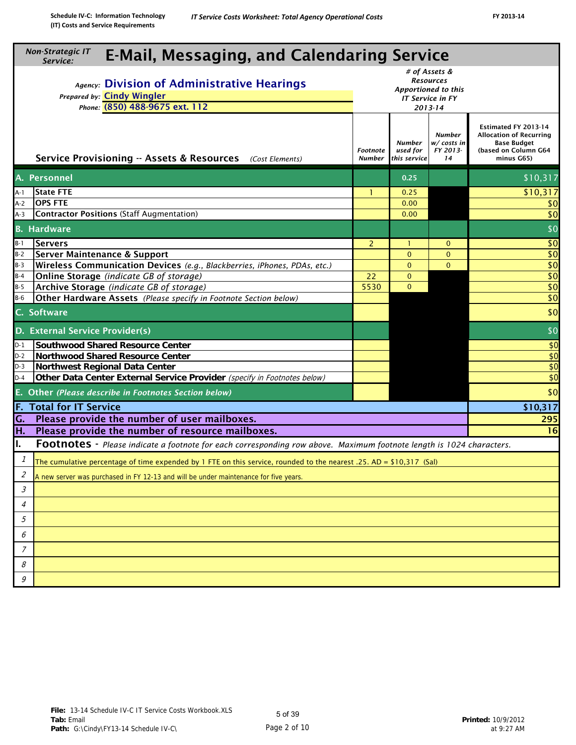| <b>Non-Strategic IT</b><br><b>E-Mail, Messaging, and Calendaring Service</b><br>Service:                                             |                    |                                    |                                                                                         |                                                                                                             |                        |  |  |  |  |
|--------------------------------------------------------------------------------------------------------------------------------------|--------------------|------------------------------------|-----------------------------------------------------------------------------------------|-------------------------------------------------------------------------------------------------------------|------------------------|--|--|--|--|
| Agency: Division of Administrative Hearings<br>Prepared by: Cindy Wingler<br>Phone: (850) 488-9675 ext. 112                          |                    |                                    | # of Assets &<br><b>Resources</b><br>Apportioned to this<br>IT Service in FY<br>2013-14 |                                                                                                             |                        |  |  |  |  |
| Service Provisioning -- Assets & Resources (Cost Elements)                                                                           | Footnote<br>Number | Number<br>used for<br>this service | <b>Number</b><br>w/ costs in<br>FY 2013-<br>14                                          | Estimated FY 2013-14<br><b>Allocation of Recurring</b><br>Base Budget<br>(based on Column G64<br>minus G65) |                        |  |  |  |  |
| A. Personnel                                                                                                                         |                    |                                    | 0.25                                                                                    |                                                                                                             | \$10,317               |  |  |  |  |
| <b>State FTE</b><br>A-1                                                                                                              |                    | 1                                  | 0.25                                                                                    |                                                                                                             | \$10,317               |  |  |  |  |
| <b>OPS FTE</b><br>$A-2$                                                                                                              |                    |                                    | 0.00                                                                                    |                                                                                                             | \$0                    |  |  |  |  |
| <b>Contractor Positions (Staff Augmentation)</b><br>$A-3$                                                                            |                    |                                    | 0.00                                                                                    |                                                                                                             | \$0                    |  |  |  |  |
| <b>B.</b> Hardware                                                                                                                   |                    |                                    |                                                                                         |                                                                                                             | \$0                    |  |  |  |  |
| $B-1$<br><b>Servers</b>                                                                                                              |                    | $\overline{2}$                     | $\mathbf{1}$                                                                            | $\mathbf{0}$                                                                                                | \$0                    |  |  |  |  |
| $B-2$<br><b>Server Maintenance &amp; Support</b>                                                                                     |                    |                                    | $\mathbf 0$                                                                             | $\mathbf{0}$                                                                                                | \$0                    |  |  |  |  |
| $B-3$<br>Wireless Communication Devices (e.g., Blackberries, iPhones, PDAs, etc.)                                                    |                    |                                    | $\mathbf{0}$                                                                            | $\mathbf{0}$                                                                                                | \$0                    |  |  |  |  |
| Online Storage (indicate GB of storage)<br>$B-4$                                                                                     |                    | 22                                 | $\mathbf{0}$                                                                            |                                                                                                             | $\overline{50}$        |  |  |  |  |
| $B-5$<br>Archive Storage (indicate GB of storage)<br>$B-6$                                                                           |                    | 5530                               | $\mathbf{0}$                                                                            |                                                                                                             | \$0<br>$\overline{50}$ |  |  |  |  |
| Other Hardware Assets (Please specify in Footnote Section below)                                                                     |                    |                                    |                                                                                         |                                                                                                             |                        |  |  |  |  |
| C. Software                                                                                                                          |                    |                                    |                                                                                         |                                                                                                             | \$0                    |  |  |  |  |
| D. External Service Provider(s)                                                                                                      |                    |                                    |                                                                                         |                                                                                                             | \$0                    |  |  |  |  |
| $D-1$<br><b>Southwood Shared Resource Center</b>                                                                                     |                    |                                    |                                                                                         |                                                                                                             | \$0                    |  |  |  |  |
| $D-2$<br><b>Northwood Shared Resource Center</b>                                                                                     |                    |                                    |                                                                                         |                                                                                                             | \$0                    |  |  |  |  |
| $D-3$<br>Northwest Regional Data Center                                                                                              |                    |                                    |                                                                                         |                                                                                                             | \$0                    |  |  |  |  |
| Other Data Center External Service Provider (specify in Footnotes below)<br>$D-4$                                                    |                    |                                    |                                                                                         |                                                                                                             | \$0                    |  |  |  |  |
| E. Other (Please describe in Footnotes Section below)                                                                                |                    |                                    |                                                                                         |                                                                                                             | \$0                    |  |  |  |  |
| <b>F. Total for IT Service</b>                                                                                                       |                    |                                    |                                                                                         |                                                                                                             | \$10,317               |  |  |  |  |
| Please provide the number of user mailboxes.<br>G.                                                                                   |                    |                                    |                                                                                         |                                                                                                             | 295                    |  |  |  |  |
| H.<br>Please provide the number of resource mailboxes.                                                                               |                    |                                    |                                                                                         |                                                                                                             | 16                     |  |  |  |  |
| Ι.<br><b>Footnotes</b> - Please indicate a footnote for each corresponding row above. Maximum footnote length is 1024 characters.    |                    |                                    |                                                                                         |                                                                                                             |                        |  |  |  |  |
| $\mathcal I$<br>The cumulative percentage of time expended by 1 FTE on this service, rounded to the nearest .25. AD = \$10,317 (Sal) |                    |                                    |                                                                                         |                                                                                                             |                        |  |  |  |  |
| 2<br>A new server was purchased in FY 12-13 and will be under maintenance for five years.                                            |                    |                                    |                                                                                         |                                                                                                             |                        |  |  |  |  |
| $\mathcal{S}% _{CS}^{(n)}(\theta)$                                                                                                   |                    |                                    |                                                                                         |                                                                                                             |                        |  |  |  |  |
| $\overline{4}$                                                                                                                       |                    |                                    |                                                                                         |                                                                                                             |                        |  |  |  |  |
| 5                                                                                                                                    |                    |                                    |                                                                                         |                                                                                                             |                        |  |  |  |  |
| 6                                                                                                                                    |                    |                                    |                                                                                         |                                                                                                             |                        |  |  |  |  |
| $\overline{7}$                                                                                                                       |                    |                                    |                                                                                         |                                                                                                             |                        |  |  |  |  |
| 8                                                                                                                                    |                    |                                    |                                                                                         |                                                                                                             |                        |  |  |  |  |
| 9                                                                                                                                    |                    |                                    |                                                                                         |                                                                                                             |                        |  |  |  |  |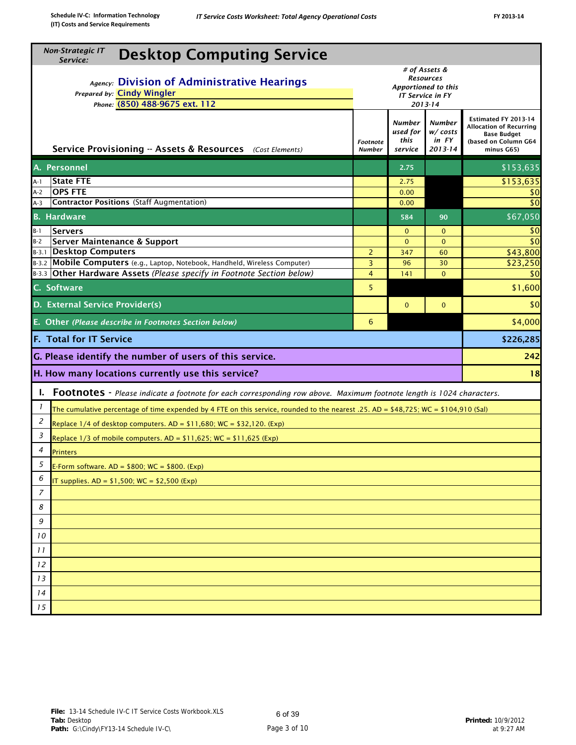| <b>Non-Strategic IT</b><br><b>Desktop Computing Service</b><br>Service:                                                                   |                                                                                                |                                       |                                              |                                                                                                                    |
|-------------------------------------------------------------------------------------------------------------------------------------------|------------------------------------------------------------------------------------------------|---------------------------------------|----------------------------------------------|--------------------------------------------------------------------------------------------------------------------|
| Agency: Division of Administrative Hearings<br>Prepared by: Cindy Wingler<br>Phone: (850) 488-9675 ext. 112                               | # of Assets &<br><b>Resources</b><br>Apportioned to this<br><b>IT Service in FY</b><br>2013-14 |                                       |                                              |                                                                                                                    |
| Service Provisioning -- Assets & Resources (Cost Elements)                                                                                | Footnote<br><b>Number</b>                                                                      | Number<br>used for<br>this<br>service | <b>Number</b><br>w/costs<br>in FY<br>2013-14 | Estimated FY 2013-14<br><b>Allocation of Recurring</b><br><b>Base Budget</b><br>(based on Column G64<br>minus G65) |
| A. Personnel                                                                                                                              |                                                                                                | 2.75                                  |                                              | \$153,635                                                                                                          |
| <b>State FTE</b><br>A-1                                                                                                                   |                                                                                                | 2.75                                  |                                              | \$153,635                                                                                                          |
| <b>OPS FTE</b><br>A-2<br><b>Contractor Positions (Staff Augmentation)</b>                                                                 |                                                                                                | 0.00                                  |                                              | \$0<br>\$0                                                                                                         |
| $A-3$                                                                                                                                     |                                                                                                | 0.00                                  |                                              |                                                                                                                    |
| <b>B.</b> Hardware                                                                                                                        |                                                                                                | 584                                   | 90                                           | 567,050                                                                                                            |
| <b>Servers</b><br>$B-1$                                                                                                                   |                                                                                                | $\mathbf 0$<br>$\mathbf{0}$           | $\mathbf{0}$<br>$\Omega$                     | \$0<br>\$0                                                                                                         |
| <b>Server Maintenance &amp; Support</b><br>$B-2$<br>B-3.1 Desktop Computers                                                               | $\overline{2}$                                                                                 | 347                                   | 60                                           | \$43,800                                                                                                           |
| B-3.2 Mobile Computers (e.g., Laptop, Notebook, Handheld, Wireless Computer)                                                              | 3                                                                                              | 96                                    | 30                                           | \$23,250                                                                                                           |
| B-3.3 Other Hardware Assets (Please specify in Footnote Section below)                                                                    | 4                                                                                              | 141                                   | $\Omega$                                     | \$0                                                                                                                |
| C. Software                                                                                                                               | 5                                                                                              |                                       |                                              | \$1,600                                                                                                            |
| D. External Service Provider(s)                                                                                                           |                                                                                                | $\mathbf{0}$                          | $\mathbf{0}$                                 | \$0                                                                                                                |
| E. Other (Please describe in Footnotes Section below)                                                                                     | 6                                                                                              |                                       |                                              | \$4,000                                                                                                            |
| <b>F. Total for IT Service</b>                                                                                                            |                                                                                                |                                       |                                              | \$226,285                                                                                                          |
| G. Please identify the number of users of this service.                                                                                   |                                                                                                |                                       |                                              | 242                                                                                                                |
| H. How many locations currently use this service?                                                                                         |                                                                                                |                                       |                                              | 18                                                                                                                 |
| I. Footnotes - Please indicate a footnote for each corresponding row above. Maximum footnote length is 1024 characters.                   |                                                                                                |                                       |                                              |                                                                                                                    |
| 1<br>The cumulative percentage of time expended by 4 FTE on this service, rounded to the nearest .25. AD = \$48,725; WC = \$104,910 (Sal) |                                                                                                |                                       |                                              |                                                                                                                    |
| 2<br>Replace $1/4$ of desktop computers. AD = $$11,680$ ; WC = $$32,120$ . (Exp)                                                          |                                                                                                |                                       |                                              |                                                                                                                    |
| 3<br>Replace $1/3$ of mobile computers. AD = \$11,625; WC = \$11,625 (Exp)                                                                |                                                                                                |                                       |                                              |                                                                                                                    |
| 4<br><b>Printers</b>                                                                                                                      |                                                                                                |                                       |                                              |                                                                                                                    |
| 5<br>E-Form software. $AD = $800$ ; WC = \$800. (Exp)                                                                                     |                                                                                                |                                       |                                              |                                                                                                                    |
| 6<br>T supplies. $AD = $1,500$ ; $WC = $2,500$ (Exp)                                                                                      |                                                                                                |                                       |                                              |                                                                                                                    |
| 7                                                                                                                                         |                                                                                                |                                       |                                              |                                                                                                                    |
| 8                                                                                                                                         |                                                                                                |                                       |                                              |                                                                                                                    |
| 9                                                                                                                                         |                                                                                                |                                       |                                              |                                                                                                                    |
| 10                                                                                                                                        |                                                                                                |                                       |                                              |                                                                                                                    |
| 11                                                                                                                                        |                                                                                                |                                       |                                              |                                                                                                                    |
| 12                                                                                                                                        |                                                                                                |                                       |                                              |                                                                                                                    |
|                                                                                                                                           |                                                                                                |                                       |                                              |                                                                                                                    |
| 13                                                                                                                                        |                                                                                                |                                       |                                              |                                                                                                                    |
| 14                                                                                                                                        |                                                                                                |                                       |                                              |                                                                                                                    |
| 15                                                                                                                                        |                                                                                                |                                       |                                              |                                                                                                                    |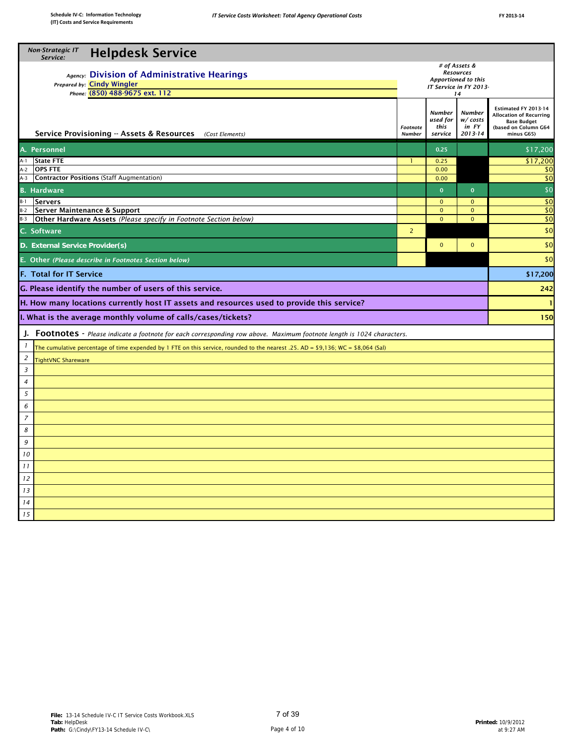| 2013-<br>٠<br> |
|----------------|
|                |

| # of Assets &<br><b>Resources</b><br>Agency: Division of Administrative Hearings<br>Apportioned to this<br>Prepared by: Cindy Wingler<br>IT Service in FY 2013-<br>Phone: (850) 488-9675 ext. 112<br>14<br>Estimated FY 2013-14<br><b>Number</b><br><b>Number</b><br><b>Allocation of Recurring</b><br>used for<br>w/costs<br><b>Base Budget</b><br>this<br>in FY<br>(based on Column G64<br>Footnote<br>Service Provisioning -- Assets & Resources<br>2013-14<br>(Cost Elements)<br><b>Number</b><br>service<br>minus G65)<br>A. Personnel<br>0.25<br>\$17,200<br><b>State FTE</b><br>0.25<br>\$17,200<br>A-1<br>-1<br><b>OPS FTE</b><br>$A-2$<br>0.00<br>\$0<br><b>Contractor Positions (Staff Augmentation)</b><br>\$0<br>A-3<br>0.00<br>$\mathbf{0}$<br><b>B.</b> Hardware<br>$\mathbf{0}$<br>$B-1$<br><b>Servers</b><br>$\mathbf{0}$<br>$\mathbf{0}$<br>B-2<br>Server Maintenance & Support<br>$\mathbf{O}$<br>$\mathbf{0}$<br>Other Hardware Assets (Please specify in Footnote Section below)<br>$B-3$<br>$\mathbf 0$<br>$\mathbf{0}$<br>C. Software<br>$\overline{2}$<br>D. External Service Provider(s)<br>$\mathbf 0$<br>$\mathbf{0}$<br>E. Other (Please describe in Footnotes Section below)<br><b>F. Total for IT Service</b><br>G. Please identify the number of users of this service.<br>H. How many locations currently host IT assets and resources used to provide this service?<br>1<br>I. What is the average monthly volume of calls/cases/tickets?<br>J. Footnotes - Please indicate a footnote for each corresponding row above. Maximum footnote length is 1024 characters.<br>$\mathbf{I}$<br>The cumulative percentage of time expended by 1 FTE on this service, rounded to the nearest .25. AD = \$9,136; WC = $$8,064$ (Sal)<br>$\overline{a}$<br><b>TightVNC Shareware</b><br>$\overline{3}$<br>$\overline{4}$<br>5<br>6<br>$\overline{z}$<br>8<br>9<br>10<br>11<br>12<br>13<br>14<br>15 | <b>Non-Strategic IT</b><br><b>Helpdesk Service</b><br>Service: |  |  |  |  |  |  |  |
|-------------------------------------------------------------------------------------------------------------------------------------------------------------------------------------------------------------------------------------------------------------------------------------------------------------------------------------------------------------------------------------------------------------------------------------------------------------------------------------------------------------------------------------------------------------------------------------------------------------------------------------------------------------------------------------------------------------------------------------------------------------------------------------------------------------------------------------------------------------------------------------------------------------------------------------------------------------------------------------------------------------------------------------------------------------------------------------------------------------------------------------------------------------------------------------------------------------------------------------------------------------------------------------------------------------------------------------------------------------------------------------------------------------------------------------------------------------------------------------------------------------------------------------------------------------------------------------------------------------------------------------------------------------------------------------------------------------------------------------------------------------------------------------------------------------------------------------------------------------------------------------------------------------------------|----------------------------------------------------------------|--|--|--|--|--|--|--|
|                                                                                                                                                                                                                                                                                                                                                                                                                                                                                                                                                                                                                                                                                                                                                                                                                                                                                                                                                                                                                                                                                                                                                                                                                                                                                                                                                                                                                                                                                                                                                                                                                                                                                                                                                                                                                                                                                                                         |                                                                |  |  |  |  |  |  |  |
|                                                                                                                                                                                                                                                                                                                                                                                                                                                                                                                                                                                                                                                                                                                                                                                                                                                                                                                                                                                                                                                                                                                                                                                                                                                                                                                                                                                                                                                                                                                                                                                                                                                                                                                                                                                                                                                                                                                         |                                                                |  |  |  |  |  |  |  |
|                                                                                                                                                                                                                                                                                                                                                                                                                                                                                                                                                                                                                                                                                                                                                                                                                                                                                                                                                                                                                                                                                                                                                                                                                                                                                                                                                                                                                                                                                                                                                                                                                                                                                                                                                                                                                                                                                                                         |                                                                |  |  |  |  |  |  |  |
|                                                                                                                                                                                                                                                                                                                                                                                                                                                                                                                                                                                                                                                                                                                                                                                                                                                                                                                                                                                                                                                                                                                                                                                                                                                                                                                                                                                                                                                                                                                                                                                                                                                                                                                                                                                                                                                                                                                         |                                                                |  |  |  |  |  |  |  |
| \$0<br>\$0<br>\$0<br>\$0<br>\$0                                                                                                                                                                                                                                                                                                                                                                                                                                                                                                                                                                                                                                                                                                                                                                                                                                                                                                                                                                                                                                                                                                                                                                                                                                                                                                                                                                                                                                                                                                                                                                                                                                                                                                                                                                                                                                                                                         |                                                                |  |  |  |  |  |  |  |
|                                                                                                                                                                                                                                                                                                                                                                                                                                                                                                                                                                                                                                                                                                                                                                                                                                                                                                                                                                                                                                                                                                                                                                                                                                                                                                                                                                                                                                                                                                                                                                                                                                                                                                                                                                                                                                                                                                                         |                                                                |  |  |  |  |  |  |  |
|                                                                                                                                                                                                                                                                                                                                                                                                                                                                                                                                                                                                                                                                                                                                                                                                                                                                                                                                                                                                                                                                                                                                                                                                                                                                                                                                                                                                                                                                                                                                                                                                                                                                                                                                                                                                                                                                                                                         |                                                                |  |  |  |  |  |  |  |
|                                                                                                                                                                                                                                                                                                                                                                                                                                                                                                                                                                                                                                                                                                                                                                                                                                                                                                                                                                                                                                                                                                                                                                                                                                                                                                                                                                                                                                                                                                                                                                                                                                                                                                                                                                                                                                                                                                                         |                                                                |  |  |  |  |  |  |  |
|                                                                                                                                                                                                                                                                                                                                                                                                                                                                                                                                                                                                                                                                                                                                                                                                                                                                                                                                                                                                                                                                                                                                                                                                                                                                                                                                                                                                                                                                                                                                                                                                                                                                                                                                                                                                                                                                                                                         |                                                                |  |  |  |  |  |  |  |
| \$0<br>\$0<br>\$17,200<br>242<br>150                                                                                                                                                                                                                                                                                                                                                                                                                                                                                                                                                                                                                                                                                                                                                                                                                                                                                                                                                                                                                                                                                                                                                                                                                                                                                                                                                                                                                                                                                                                                                                                                                                                                                                                                                                                                                                                                                    |                                                                |  |  |  |  |  |  |  |
|                                                                                                                                                                                                                                                                                                                                                                                                                                                                                                                                                                                                                                                                                                                                                                                                                                                                                                                                                                                                                                                                                                                                                                                                                                                                                                                                                                                                                                                                                                                                                                                                                                                                                                                                                                                                                                                                                                                         |                                                                |  |  |  |  |  |  |  |
|                                                                                                                                                                                                                                                                                                                                                                                                                                                                                                                                                                                                                                                                                                                                                                                                                                                                                                                                                                                                                                                                                                                                                                                                                                                                                                                                                                                                                                                                                                                                                                                                                                                                                                                                                                                                                                                                                                                         |                                                                |  |  |  |  |  |  |  |
|                                                                                                                                                                                                                                                                                                                                                                                                                                                                                                                                                                                                                                                                                                                                                                                                                                                                                                                                                                                                                                                                                                                                                                                                                                                                                                                                                                                                                                                                                                                                                                                                                                                                                                                                                                                                                                                                                                                         |                                                                |  |  |  |  |  |  |  |
|                                                                                                                                                                                                                                                                                                                                                                                                                                                                                                                                                                                                                                                                                                                                                                                                                                                                                                                                                                                                                                                                                                                                                                                                                                                                                                                                                                                                                                                                                                                                                                                                                                                                                                                                                                                                                                                                                                                         |                                                                |  |  |  |  |  |  |  |
|                                                                                                                                                                                                                                                                                                                                                                                                                                                                                                                                                                                                                                                                                                                                                                                                                                                                                                                                                                                                                                                                                                                                                                                                                                                                                                                                                                                                                                                                                                                                                                                                                                                                                                                                                                                                                                                                                                                         |                                                                |  |  |  |  |  |  |  |
|                                                                                                                                                                                                                                                                                                                                                                                                                                                                                                                                                                                                                                                                                                                                                                                                                                                                                                                                                                                                                                                                                                                                                                                                                                                                                                                                                                                                                                                                                                                                                                                                                                                                                                                                                                                                                                                                                                                         |                                                                |  |  |  |  |  |  |  |
|                                                                                                                                                                                                                                                                                                                                                                                                                                                                                                                                                                                                                                                                                                                                                                                                                                                                                                                                                                                                                                                                                                                                                                                                                                                                                                                                                                                                                                                                                                                                                                                                                                                                                                                                                                                                                                                                                                                         |                                                                |  |  |  |  |  |  |  |
|                                                                                                                                                                                                                                                                                                                                                                                                                                                                                                                                                                                                                                                                                                                                                                                                                                                                                                                                                                                                                                                                                                                                                                                                                                                                                                                                                                                                                                                                                                                                                                                                                                                                                                                                                                                                                                                                                                                         |                                                                |  |  |  |  |  |  |  |
|                                                                                                                                                                                                                                                                                                                                                                                                                                                                                                                                                                                                                                                                                                                                                                                                                                                                                                                                                                                                                                                                                                                                                                                                                                                                                                                                                                                                                                                                                                                                                                                                                                                                                                                                                                                                                                                                                                                         |                                                                |  |  |  |  |  |  |  |
|                                                                                                                                                                                                                                                                                                                                                                                                                                                                                                                                                                                                                                                                                                                                                                                                                                                                                                                                                                                                                                                                                                                                                                                                                                                                                                                                                                                                                                                                                                                                                                                                                                                                                                                                                                                                                                                                                                                         |                                                                |  |  |  |  |  |  |  |
|                                                                                                                                                                                                                                                                                                                                                                                                                                                                                                                                                                                                                                                                                                                                                                                                                                                                                                                                                                                                                                                                                                                                                                                                                                                                                                                                                                                                                                                                                                                                                                                                                                                                                                                                                                                                                                                                                                                         |                                                                |  |  |  |  |  |  |  |
|                                                                                                                                                                                                                                                                                                                                                                                                                                                                                                                                                                                                                                                                                                                                                                                                                                                                                                                                                                                                                                                                                                                                                                                                                                                                                                                                                                                                                                                                                                                                                                                                                                                                                                                                                                                                                                                                                                                         |                                                                |  |  |  |  |  |  |  |
|                                                                                                                                                                                                                                                                                                                                                                                                                                                                                                                                                                                                                                                                                                                                                                                                                                                                                                                                                                                                                                                                                                                                                                                                                                                                                                                                                                                                                                                                                                                                                                                                                                                                                                                                                                                                                                                                                                                         |                                                                |  |  |  |  |  |  |  |
|                                                                                                                                                                                                                                                                                                                                                                                                                                                                                                                                                                                                                                                                                                                                                                                                                                                                                                                                                                                                                                                                                                                                                                                                                                                                                                                                                                                                                                                                                                                                                                                                                                                                                                                                                                                                                                                                                                                         |                                                                |  |  |  |  |  |  |  |
|                                                                                                                                                                                                                                                                                                                                                                                                                                                                                                                                                                                                                                                                                                                                                                                                                                                                                                                                                                                                                                                                                                                                                                                                                                                                                                                                                                                                                                                                                                                                                                                                                                                                                                                                                                                                                                                                                                                         |                                                                |  |  |  |  |  |  |  |
|                                                                                                                                                                                                                                                                                                                                                                                                                                                                                                                                                                                                                                                                                                                                                                                                                                                                                                                                                                                                                                                                                                                                                                                                                                                                                                                                                                                                                                                                                                                                                                                                                                                                                                                                                                                                                                                                                                                         |                                                                |  |  |  |  |  |  |  |
|                                                                                                                                                                                                                                                                                                                                                                                                                                                                                                                                                                                                                                                                                                                                                                                                                                                                                                                                                                                                                                                                                                                                                                                                                                                                                                                                                                                                                                                                                                                                                                                                                                                                                                                                                                                                                                                                                                                         |                                                                |  |  |  |  |  |  |  |
|                                                                                                                                                                                                                                                                                                                                                                                                                                                                                                                                                                                                                                                                                                                                                                                                                                                                                                                                                                                                                                                                                                                                                                                                                                                                                                                                                                                                                                                                                                                                                                                                                                                                                                                                                                                                                                                                                                                         |                                                                |  |  |  |  |  |  |  |
|                                                                                                                                                                                                                                                                                                                                                                                                                                                                                                                                                                                                                                                                                                                                                                                                                                                                                                                                                                                                                                                                                                                                                                                                                                                                                                                                                                                                                                                                                                                                                                                                                                                                                                                                                                                                                                                                                                                         |                                                                |  |  |  |  |  |  |  |
|                                                                                                                                                                                                                                                                                                                                                                                                                                                                                                                                                                                                                                                                                                                                                                                                                                                                                                                                                                                                                                                                                                                                                                                                                                                                                                                                                                                                                                                                                                                                                                                                                                                                                                                                                                                                                                                                                                                         |                                                                |  |  |  |  |  |  |  |
|                                                                                                                                                                                                                                                                                                                                                                                                                                                                                                                                                                                                                                                                                                                                                                                                                                                                                                                                                                                                                                                                                                                                                                                                                                                                                                                                                                                                                                                                                                                                                                                                                                                                                                                                                                                                                                                                                                                         |                                                                |  |  |  |  |  |  |  |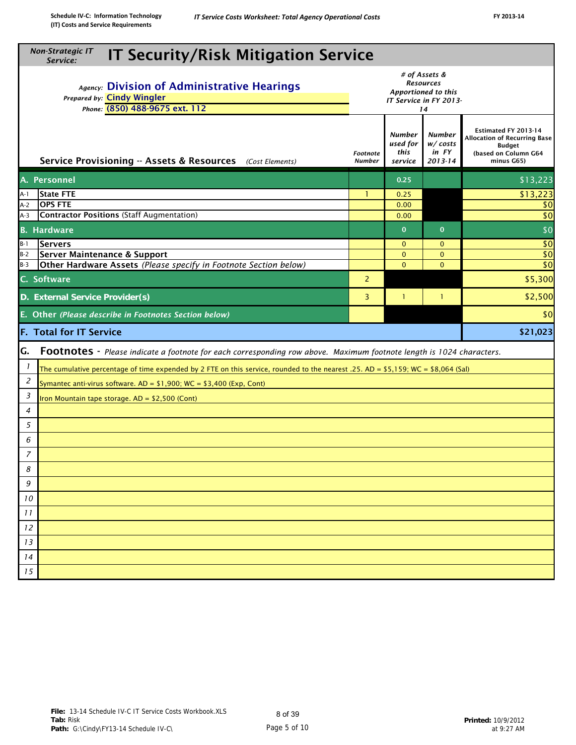|                | <b>Non-Strategic IT</b><br><b>IT Security/Risk Mitigation Service</b><br>Service:                                                                                                                       |                           |                                              |                                                    |                                                                                                                    |  |  |  |  |  |
|----------------|---------------------------------------------------------------------------------------------------------------------------------------------------------------------------------------------------------|---------------------------|----------------------------------------------|----------------------------------------------------|--------------------------------------------------------------------------------------------------------------------|--|--|--|--|--|
|                | # of Assets &<br><b>Resources</b><br>Agency: Division of Administrative Hearings<br>Apportioned to this<br>Prepared by: Cindy Wingler<br>IT Service in FY 2013-<br>Phone: (850) 488-9675 ext. 112<br>14 |                           |                                              |                                                    |                                                                                                                    |  |  |  |  |  |
|                | Service Provisioning -- Assets & Resources (Cost Elements)                                                                                                                                              | Footnote<br><b>Number</b> | <b>Number</b><br>used for<br>this<br>service | Number<br>$W / \textit{costs}$<br>in FY<br>2013-14 | Estimated FY 2013-14<br><b>Allocation of Recurring Base</b><br><b>Budget</b><br>(based on Column G64<br>minus G65) |  |  |  |  |  |
|                | A. Personnel                                                                                                                                                                                            |                           | 0.25                                         |                                                    | \$13,223                                                                                                           |  |  |  |  |  |
| A-1            | <b>State FTE</b>                                                                                                                                                                                        | -1                        | 0.25                                         |                                                    | \$13,223                                                                                                           |  |  |  |  |  |
| $A-2$          | <b>OPS FTE</b>                                                                                                                                                                                          |                           | 0.00                                         |                                                    | \$0                                                                                                                |  |  |  |  |  |
| $A-3$          | <b>Contractor Positions (Staff Augmentation)</b>                                                                                                                                                        |                           | 0.00                                         |                                                    | \$0                                                                                                                |  |  |  |  |  |
|                | <b>B.</b> Hardware                                                                                                                                                                                      |                           | $\mathbf{0}$                                 | $\mathbf{0}$                                       | \$0                                                                                                                |  |  |  |  |  |
| $B-1$          | Servers                                                                                                                                                                                                 |                           | $\mathbf{0}$                                 | $\mathbf{0}$                                       | \$0                                                                                                                |  |  |  |  |  |
| $B-2$<br>$B-3$ | Server Maintenance & Support<br>Other Hardware Assets (Please specify in Footnote Section below)                                                                                                        |                           | $\mathbf{0}$<br>$\mathbf{0}$                 | $\mathbf{O}$<br>$\mathbf{0}$                       | \$0<br>\$0                                                                                                         |  |  |  |  |  |
|                | \$5,300<br>C. Software<br>2                                                                                                                                                                             |                           |                                              |                                                    |                                                                                                                    |  |  |  |  |  |
|                | \$2,500<br>3<br>D. External Service Provider(s)<br>$\mathbf{1}$<br>-1                                                                                                                                   |                           |                                              |                                                    |                                                                                                                    |  |  |  |  |  |
|                | E. Other (Please describe in Footnotes Section below)                                                                                                                                                   |                           |                                              |                                                    | \$0                                                                                                                |  |  |  |  |  |
|                | <b>F. Total for IT Service</b>                                                                                                                                                                          |                           |                                              |                                                    | \$21,023                                                                                                           |  |  |  |  |  |
| G.             | Footnotes - Please indicate a footnote for each corresponding row above. Maximum footnote length is 1024 characters.                                                                                    |                           |                                              |                                                    |                                                                                                                    |  |  |  |  |  |
| 1              | The cumulative percentage of time expended by 2 FTE on this service, rounded to the nearest .25. AD = \$5,159; WC = \$8,064 (Sal)                                                                       |                           |                                              |                                                    |                                                                                                                    |  |  |  |  |  |
| 2              | Symantec anti-virus software. $AD = $1,900$ ; WC = \$3,400 (Exp, Cont)                                                                                                                                  |                           |                                              |                                                    |                                                                                                                    |  |  |  |  |  |
| 3              | Iron Mountain tape storage. AD = \$2,500 (Cont)                                                                                                                                                         |                           |                                              |                                                    |                                                                                                                    |  |  |  |  |  |
| 4              |                                                                                                                                                                                                         |                           |                                              |                                                    |                                                                                                                    |  |  |  |  |  |
| 5              |                                                                                                                                                                                                         |                           |                                              |                                                    |                                                                                                                    |  |  |  |  |  |
| 6              |                                                                                                                                                                                                         |                           |                                              |                                                    |                                                                                                                    |  |  |  |  |  |
| $\overline{z}$ |                                                                                                                                                                                                         |                           |                                              |                                                    |                                                                                                                    |  |  |  |  |  |
| 8              |                                                                                                                                                                                                         |                           |                                              |                                                    |                                                                                                                    |  |  |  |  |  |
|                |                                                                                                                                                                                                         |                           |                                              |                                                    |                                                                                                                    |  |  |  |  |  |
| 9              |                                                                                                                                                                                                         |                           |                                              |                                                    |                                                                                                                    |  |  |  |  |  |
| 10             |                                                                                                                                                                                                         |                           |                                              |                                                    |                                                                                                                    |  |  |  |  |  |
| 11             |                                                                                                                                                                                                         |                           |                                              |                                                    |                                                                                                                    |  |  |  |  |  |
| 12             |                                                                                                                                                                                                         |                           |                                              |                                                    |                                                                                                                    |  |  |  |  |  |
| 13             |                                                                                                                                                                                                         |                           |                                              |                                                    |                                                                                                                    |  |  |  |  |  |
| 14             |                                                                                                                                                                                                         |                           |                                              |                                                    |                                                                                                                    |  |  |  |  |  |
| 15             |                                                                                                                                                                                                         |                           |                                              |                                                    |                                                                                                                    |  |  |  |  |  |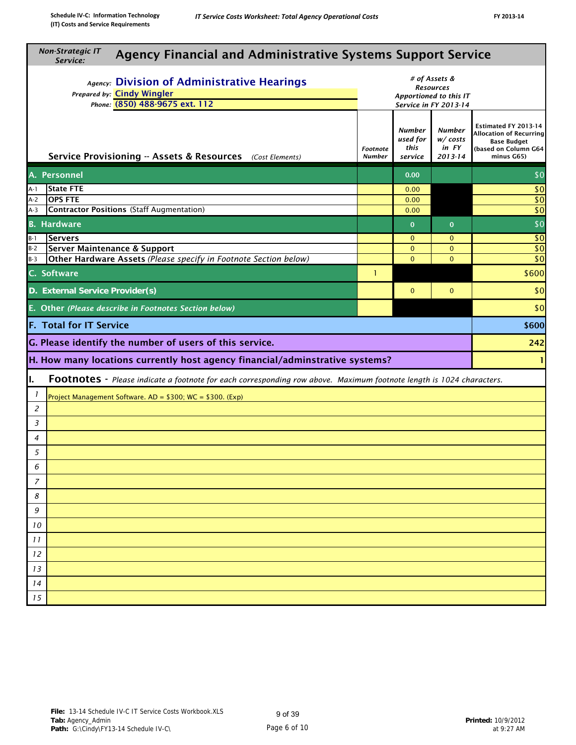| <b>Non-Strategic IT</b><br>Service:                                                                                        | <b>Agency Financial and Administrative Systems Support Service</b> |                                       |                                                  |                                                                                                                    |  |  |  |  |  |
|----------------------------------------------------------------------------------------------------------------------------|--------------------------------------------------------------------|---------------------------------------|--------------------------------------------------|--------------------------------------------------------------------------------------------------------------------|--|--|--|--|--|
| Agency: Division of Administrative Hearings<br>Prepared by: Cindy Wingler<br>Phone: (850) 488-9675 ext. 112                | Apportioned to this IT                                             |                                       |                                                  |                                                                                                                    |  |  |  |  |  |
| Service Provisioning -- Assets & Resources (Cost Elements)                                                                 | Footnote<br><b>Number</b>                                          | Number<br>used for<br>this<br>service | <b>Number</b><br>w/costs<br>in FY<br>$2013 - 14$ | Estimated FY 2013-14<br><b>Allocation of Recurring</b><br><b>Base Budget</b><br>(based on Column G64<br>minus G65) |  |  |  |  |  |
| A. Personnel                                                                                                               |                                                                    | 0.00                                  |                                                  | \$0                                                                                                                |  |  |  |  |  |
| <b>State FTE</b><br>A-1                                                                                                    |                                                                    | 0.00                                  |                                                  | \$0                                                                                                                |  |  |  |  |  |
| <b>OPS FTE</b><br>A-2                                                                                                      |                                                                    | 0.00                                  |                                                  | $\overline{50}$                                                                                                    |  |  |  |  |  |
| Contractor Positions (Staff Augmentation)<br>A-3                                                                           |                                                                    | 0.00                                  |                                                  | \$0                                                                                                                |  |  |  |  |  |
| <b>B.</b> Hardware                                                                                                         |                                                                    | $\mathbf 0$                           | $\mathbf{0}$                                     | \$0                                                                                                                |  |  |  |  |  |
| <b>Servers</b><br>$B-1$                                                                                                    |                                                                    | $\mathbf{0}$                          | $\mathbf{0}$                                     | $\sqrt{6}$                                                                                                         |  |  |  |  |  |
| Server Maintenance & Support<br>$B-2$                                                                                      |                                                                    | $\mathbf{0}$                          | $\mathbf{0}$                                     | $\sqrt{6}$                                                                                                         |  |  |  |  |  |
| Other Hardware Assets (Please specify in Footnote Section below)<br>$B-3$                                                  |                                                                    | $\Omega$                              | $\Omega$                                         | $\overline{50}$<br>\$600                                                                                           |  |  |  |  |  |
| C. Software<br>$\mathbf{1}$                                                                                                |                                                                    |                                       |                                                  |                                                                                                                    |  |  |  |  |  |
| \$0<br>D. External Service Provider(s)<br>$\mathbf{0}$<br>$\mathbf 0$                                                      |                                                                    |                                       |                                                  |                                                                                                                    |  |  |  |  |  |
| E. Other (Please describe in Footnotes Section below)                                                                      |                                                                    |                                       |                                                  | \$0                                                                                                                |  |  |  |  |  |
| <b>F. Total for IT Service</b>                                                                                             |                                                                    |                                       |                                                  | \$600                                                                                                              |  |  |  |  |  |
| G. Please identify the number of users of this service.                                                                    |                                                                    |                                       |                                                  | 242                                                                                                                |  |  |  |  |  |
| H. How many locations currently host agency financial/adminstrative systems?                                               |                                                                    |                                       |                                                  |                                                                                                                    |  |  |  |  |  |
| ı.<br>Footnotes - Please indicate a footnote for each corresponding row above. Maximum footnote length is 1024 characters. |                                                                    |                                       |                                                  |                                                                                                                    |  |  |  |  |  |
| $\overline{1}$<br>Project Management Software. AD = \$300; WC = \$300. (Exp)                                               |                                                                    |                                       |                                                  |                                                                                                                    |  |  |  |  |  |
| 2                                                                                                                          |                                                                    |                                       |                                                  |                                                                                                                    |  |  |  |  |  |
| 3                                                                                                                          |                                                                    |                                       |                                                  |                                                                                                                    |  |  |  |  |  |
| 4                                                                                                                          |                                                                    |                                       |                                                  |                                                                                                                    |  |  |  |  |  |
| 5                                                                                                                          |                                                                    |                                       |                                                  |                                                                                                                    |  |  |  |  |  |
| 6                                                                                                                          |                                                                    |                                       |                                                  |                                                                                                                    |  |  |  |  |  |
| $\overline{7}$                                                                                                             |                                                                    |                                       |                                                  |                                                                                                                    |  |  |  |  |  |
| 8                                                                                                                          |                                                                    |                                       |                                                  |                                                                                                                    |  |  |  |  |  |
| 9                                                                                                                          |                                                                    |                                       |                                                  |                                                                                                                    |  |  |  |  |  |
| 10                                                                                                                         |                                                                    |                                       |                                                  |                                                                                                                    |  |  |  |  |  |
| 11                                                                                                                         |                                                                    |                                       |                                                  |                                                                                                                    |  |  |  |  |  |
| 12                                                                                                                         |                                                                    |                                       |                                                  |                                                                                                                    |  |  |  |  |  |
| 13                                                                                                                         |                                                                    |                                       |                                                  |                                                                                                                    |  |  |  |  |  |
| 14                                                                                                                         |                                                                    |                                       |                                                  |                                                                                                                    |  |  |  |  |  |
| 15                                                                                                                         |                                                                    |                                       |                                                  |                                                                                                                    |  |  |  |  |  |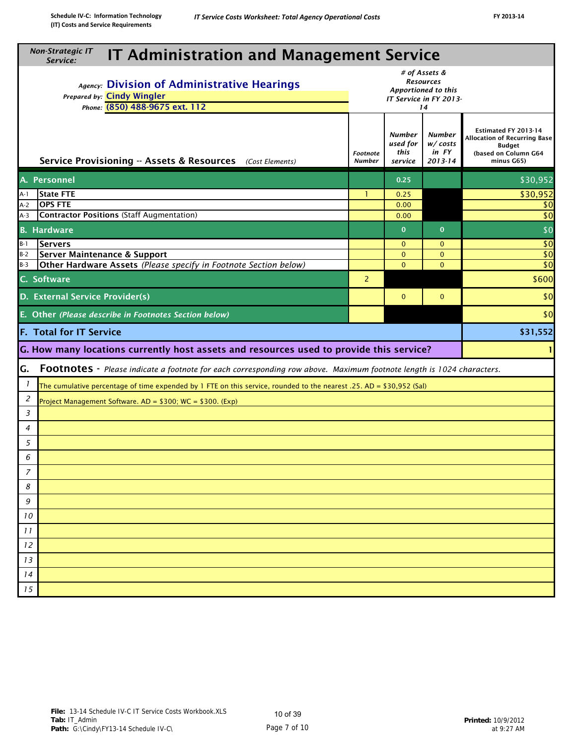| <b>Non-Strategic IT</b><br><b>IT Administration and Management Service</b><br>Service:                                               |                           |                                              |                                       |                                                                                                             |  |  |  |  |  |  |
|--------------------------------------------------------------------------------------------------------------------------------------|---------------------------|----------------------------------------------|---------------------------------------|-------------------------------------------------------------------------------------------------------------|--|--|--|--|--|--|
| Agency: Division of Administrative Hearings<br>Prepared by: Cindy Wingler<br>Phone: (850) 488-9675 ext. 112                          | IT Service in FY 2013-    |                                              |                                       |                                                                                                             |  |  |  |  |  |  |
| Service Provisioning -- Assets & Resources (Cost Elements)                                                                           | Footnote<br><b>Number</b> | <b>Number</b><br>used for<br>this<br>service | Number<br>w/costs<br>in FY<br>2013-14 | Estimated FY 2013-14<br><b>Allocation of Recurring Base</b><br>Budget<br>(based on Column G64<br>minus G65) |  |  |  |  |  |  |
| A. Personnel                                                                                                                         |                           | 0.25                                         |                                       | \$30,952                                                                                                    |  |  |  |  |  |  |
| <b>State FTE</b><br>A-1                                                                                                              | -1                        | 0.25                                         |                                       | 30,952                                                                                                      |  |  |  |  |  |  |
| <b>OPS FTE</b><br>$A-2$                                                                                                              |                           | 0.00                                         |                                       | \$0                                                                                                         |  |  |  |  |  |  |
| <b>Contractor Positions (Staff Augmentation)</b><br>$A-3$                                                                            |                           | 0.00                                         |                                       | \$0                                                                                                         |  |  |  |  |  |  |
| <b>B.</b> Hardware                                                                                                                   |                           | $\mathbf{0}$                                 | $\mathbf{0}$                          | \$0                                                                                                         |  |  |  |  |  |  |
| $B-1$<br><b>Servers</b>                                                                                                              |                           | $\mathbf{0}$                                 | $\mathbf{0}$                          | \$0                                                                                                         |  |  |  |  |  |  |
| $B-2$<br>Server Maintenance & Support<br>$B-3$                                                                                       |                           | $\mathbf{O}$<br>$\Omega$                     | $\mathbf{0}$<br>$\Omega$              | \$0<br>\$0                                                                                                  |  |  |  |  |  |  |
| Other Hardware Assets (Please specify in Footnote Section below)                                                                     |                           |                                              |                                       |                                                                                                             |  |  |  |  |  |  |
| C. Software                                                                                                                          | 2                         |                                              |                                       | \$600                                                                                                       |  |  |  |  |  |  |
| D. External Service Provider(s)<br>\$0<br>$\mathbf{0}$<br>$\mathbf{0}$                                                               |                           |                                              |                                       |                                                                                                             |  |  |  |  |  |  |
| E. Other (Please describe in Footnotes Section below)                                                                                |                           |                                              |                                       | \$0                                                                                                         |  |  |  |  |  |  |
| <b>F. Total for IT Service</b>                                                                                                       |                           |                                              |                                       | \$31,552                                                                                                    |  |  |  |  |  |  |
| G. How many locations currently host assets and resources used to provide this service?                                              |                           |                                              |                                       |                                                                                                             |  |  |  |  |  |  |
| G.<br>Footnotes - Please indicate a footnote for each corresponding row above. Maximum footnote length is 1024 characters.           |                           |                                              |                                       |                                                                                                             |  |  |  |  |  |  |
| $\mathbf{I}$<br>The cumulative percentage of time expended by 1 FTE on this service, rounded to the nearest .25. AD = \$30,952 (Sal) |                           |                                              |                                       |                                                                                                             |  |  |  |  |  |  |
| 2<br>Project Management Software. $AD = $300$ ; WC = \$300. (Exp)                                                                    |                           |                                              |                                       |                                                                                                             |  |  |  |  |  |  |
| 3                                                                                                                                    |                           |                                              |                                       |                                                                                                             |  |  |  |  |  |  |
| 4                                                                                                                                    |                           |                                              |                                       |                                                                                                             |  |  |  |  |  |  |
| 5                                                                                                                                    |                           |                                              |                                       |                                                                                                             |  |  |  |  |  |  |
| 6                                                                                                                                    |                           |                                              |                                       |                                                                                                             |  |  |  |  |  |  |
| 7                                                                                                                                    |                           |                                              |                                       |                                                                                                             |  |  |  |  |  |  |
| 8                                                                                                                                    |                           |                                              |                                       |                                                                                                             |  |  |  |  |  |  |
| 9                                                                                                                                    |                           |                                              |                                       |                                                                                                             |  |  |  |  |  |  |
| 10                                                                                                                                   |                           |                                              |                                       |                                                                                                             |  |  |  |  |  |  |
| 11                                                                                                                                   |                           |                                              |                                       |                                                                                                             |  |  |  |  |  |  |
| 12                                                                                                                                   |                           |                                              |                                       |                                                                                                             |  |  |  |  |  |  |
| 13                                                                                                                                   |                           |                                              |                                       |                                                                                                             |  |  |  |  |  |  |
| 14                                                                                                                                   |                           |                                              |                                       |                                                                                                             |  |  |  |  |  |  |
| 15                                                                                                                                   |                           |                                              |                                       |                                                                                                             |  |  |  |  |  |  |
|                                                                                                                                      |                           |                                              |                                       |                                                                                                             |  |  |  |  |  |  |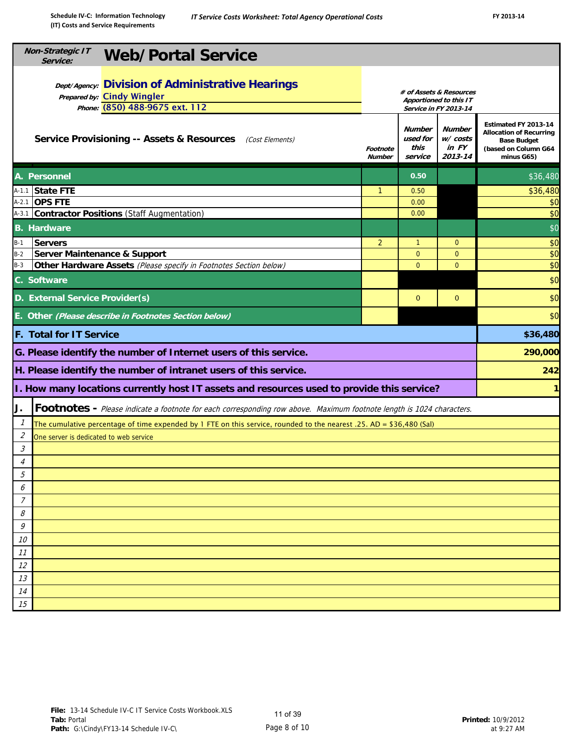| <b>Non-Strategic IT</b><br><b>Web/Portal Service</b><br>Service:                                                                                                                                    |                                                                                                                    |              |                |          |  |  |  |  |  |
|-----------------------------------------------------------------------------------------------------------------------------------------------------------------------------------------------------|--------------------------------------------------------------------------------------------------------------------|--------------|----------------|----------|--|--|--|--|--|
| <b>Dept/Agency: Division of Administrative Hearings</b><br>Prepared by: Cindy Wingler<br>Phone: (850) 488-9675 ext. 112<br><b>Service Provisioning -- Assets &amp; Resources</b><br>(Cost Elements) | Estimated FY 2013-14<br><b>Allocation of Recurring</b><br><b>Base Budget</b><br>(based on Column G64<br>minus G65) |              |                |          |  |  |  |  |  |
| A. Personnel                                                                                                                                                                                        |                                                                                                                    | 0.50         |                | \$36,480 |  |  |  |  |  |
| A-1.1 State FTE                                                                                                                                                                                     | $\mathbf{1}$                                                                                                       | 0.50         |                | \$36,480 |  |  |  |  |  |
| A-2.1 OPS FTE                                                                                                                                                                                       |                                                                                                                    | 0.00         |                | \$0      |  |  |  |  |  |
| A-3.1 Contractor Positions (Staff Augmentation)                                                                                                                                                     |                                                                                                                    | 0.00         |                | \$0      |  |  |  |  |  |
| <b>B.</b> Hardware                                                                                                                                                                                  |                                                                                                                    |              |                | \$0      |  |  |  |  |  |
| <b>Servers</b><br>$B-1$                                                                                                                                                                             | $\overline{2}$                                                                                                     | $\mathbf{1}$ | $\mathbf{0}$   | \$0      |  |  |  |  |  |
| Server Maintenance & Support<br>$B-2$                                                                                                                                                               |                                                                                                                    | $\mathbf{0}$ | $\mathbf{0}$   | \$0      |  |  |  |  |  |
| $B-3$<br>Other Hardware Assets (Please specify in Footnotes Section below)                                                                                                                          |                                                                                                                    | $\Omega$     | $\overline{0}$ | \$0      |  |  |  |  |  |
| C. Software                                                                                                                                                                                         | \$0<br>\$0                                                                                                         |              |                |          |  |  |  |  |  |
|                                                                                                                                                                                                     | D. External Service Provider(s)<br>$\mathbf{0}$<br>$\mathbf{0}$                                                    |              |                |          |  |  |  |  |  |
| E. Other (Please describe in Footnotes Section below)                                                                                                                                               |                                                                                                                    |              |                | \$0      |  |  |  |  |  |
| F. Total for IT Service                                                                                                                                                                             |                                                                                                                    |              |                | \$36,480 |  |  |  |  |  |
| G. Please identify the number of Internet users of this service.                                                                                                                                    |                                                                                                                    |              |                | 290,000  |  |  |  |  |  |
| H. Please identify the number of intranet users of this service.                                                                                                                                    |                                                                                                                    |              |                | 242      |  |  |  |  |  |
| I. How many locations currently host IT assets and resources used to provide this service?                                                                                                          |                                                                                                                    |              |                |          |  |  |  |  |  |
| Footnotes - Please indicate a footnote for each corresponding row above. Maximum footnote length is 1024 characters.<br>J.                                                                          |                                                                                                                    |              |                |          |  |  |  |  |  |
| $\mathcal{I}$<br>The cumulative percentage of time expended by 1 FTE on this service, rounded to the nearest .25. AD = \$36,480 (Sal)                                                               |                                                                                                                    |              |                |          |  |  |  |  |  |
| 2<br>One server is dedicated to web service                                                                                                                                                         |                                                                                                                    |              |                |          |  |  |  |  |  |
| 3                                                                                                                                                                                                   |                                                                                                                    |              |                |          |  |  |  |  |  |
| $\overline{4}$                                                                                                                                                                                      |                                                                                                                    |              |                |          |  |  |  |  |  |
| 5                                                                                                                                                                                                   |                                                                                                                    |              |                |          |  |  |  |  |  |
| 6                                                                                                                                                                                                   |                                                                                                                    |              |                |          |  |  |  |  |  |
| 7                                                                                                                                                                                                   |                                                                                                                    |              |                |          |  |  |  |  |  |
| 8<br>9                                                                                                                                                                                              |                                                                                                                    |              |                |          |  |  |  |  |  |
| 10                                                                                                                                                                                                  |                                                                                                                    |              |                |          |  |  |  |  |  |
| 11                                                                                                                                                                                                  |                                                                                                                    |              |                |          |  |  |  |  |  |
| 12                                                                                                                                                                                                  |                                                                                                                    |              |                |          |  |  |  |  |  |
| 13                                                                                                                                                                                                  |                                                                                                                    |              |                |          |  |  |  |  |  |
| 14                                                                                                                                                                                                  |                                                                                                                    |              |                |          |  |  |  |  |  |
| 15                                                                                                                                                                                                  |                                                                                                                    |              |                |          |  |  |  |  |  |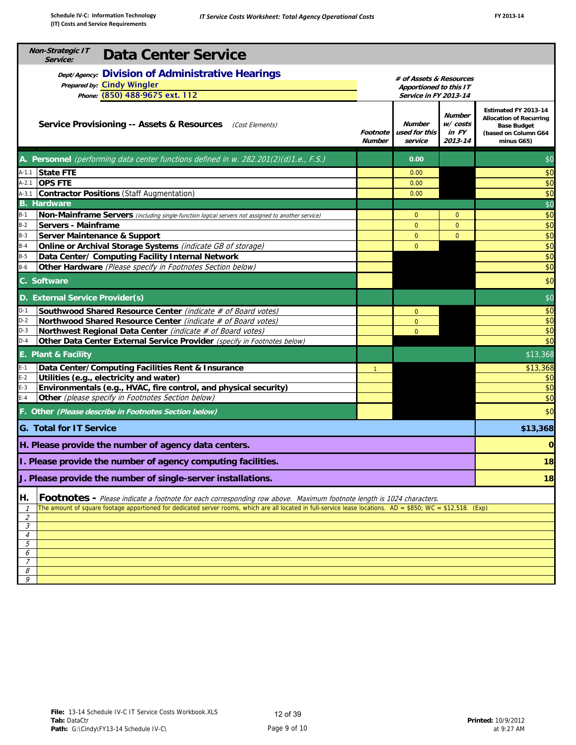| Non-Strategic IT<br><b>Data Center Service</b><br>Service:                                                                                                                   |                                                                                                                    |                |                |          |  |  |  |  |  |  |
|------------------------------------------------------------------------------------------------------------------------------------------------------------------------------|--------------------------------------------------------------------------------------------------------------------|----------------|----------------|----------|--|--|--|--|--|--|
| <b>Dept/Agency: Division of Administrative Hearings</b><br><b>Prepared by:</b> Cindy Wingler<br>Phone: (850) 488-9675 ext. 112                                               |                                                                                                                    |                |                |          |  |  |  |  |  |  |
| Service Provisioning -- Assets & Resources (Cost Elements)                                                                                                                   | Estimated FY 2013-14<br><b>Allocation of Recurring</b><br><b>Base Budget</b><br>(based on Column G64<br>minus G65) |                |                |          |  |  |  |  |  |  |
| <b>A. Personnel</b> (performing data center functions defined in w. 282.201(2)(d)1.e., F.S.)                                                                                 |                                                                                                                    | 0.00           |                | \$0      |  |  |  |  |  |  |
| <b>State FTE</b><br>$A-1.1$                                                                                                                                                  |                                                                                                                    | 0.00           |                | \$0      |  |  |  |  |  |  |
| $A-2.1$<br><b>OPS FTE</b>                                                                                                                                                    |                                                                                                                    | 0.00           |                | \$0      |  |  |  |  |  |  |
| $A-3.1$<br>Contractor Positions (Staff Augmentation)                                                                                                                         |                                                                                                                    | 0.00           |                | \$0      |  |  |  |  |  |  |
| <b>B.</b> Hardware                                                                                                                                                           |                                                                                                                    |                |                | \$0      |  |  |  |  |  |  |
| $B-1$<br>Non-Mainframe Servers (including single-function logical servers not assigned to another service)                                                                   |                                                                                                                    | $\mathbf 0$    | $\mathbf{0}$   | \$0      |  |  |  |  |  |  |
| $B-2$<br>Servers - Mainframe                                                                                                                                                 |                                                                                                                    | $\mathbf{0}$   | $\overline{0}$ | \$0      |  |  |  |  |  |  |
| Server Maintenance & Support<br>$B-3$                                                                                                                                        |                                                                                                                    | $\mathbf{0}$   | $\mathbf{0}$   | \$0      |  |  |  |  |  |  |
|                                                                                                                                                                              |                                                                                                                    |                |                |          |  |  |  |  |  |  |
| $B-4$<br>Online or Archival Storage Systems (indicate GB of storage)                                                                                                         |                                                                                                                    | $\overline{0}$ |                | \$0      |  |  |  |  |  |  |
| $B-5$<br>Data Center/ Computing Facility Internal Network                                                                                                                    |                                                                                                                    |                |                | \$0      |  |  |  |  |  |  |
| $B-6$<br>Other Hardware (Please specify in Footnotes Section below)                                                                                                          |                                                                                                                    |                |                | \$0      |  |  |  |  |  |  |
| C. Software                                                                                                                                                                  | \$0                                                                                                                |                |                |          |  |  |  |  |  |  |
| D. External Service Provider(s)                                                                                                                                              |                                                                                                                    |                |                | \$0      |  |  |  |  |  |  |
| $D-1$<br>Southwood Shared Resource Center (indicate # of Board votes)                                                                                                        |                                                                                                                    | $\mathbf{0}$   |                | \$0      |  |  |  |  |  |  |
| $D-2$<br>Northwood Shared Resource Center (indicate # of Board votes)                                                                                                        |                                                                                                                    | $\mathbf{0}$   |                | \$0      |  |  |  |  |  |  |
| Northwest Regional Data Center (indicate # of Board votes)<br>$D-3$                                                                                                          |                                                                                                                    | $\overline{0}$ |                | \$0      |  |  |  |  |  |  |
| $D-4$<br>Other Data Center External Service Provider (specify in Footnotes below)                                                                                            |                                                                                                                    |                |                | \$0      |  |  |  |  |  |  |
| E. Plant & Facility                                                                                                                                                          |                                                                                                                    |                |                | \$13,368 |  |  |  |  |  |  |
| Data Center/Computing Facilities Rent & Insurance<br>$E-1$                                                                                                                   | $\vert$ 1                                                                                                          |                |                | \$13,368 |  |  |  |  |  |  |
| $E-2$<br>Utilities (e.g., electricity and water)                                                                                                                             |                                                                                                                    |                |                | \$0      |  |  |  |  |  |  |
| Environmentals (e.g., HVAC, fire control, and physical security)<br>$E-3$                                                                                                    |                                                                                                                    |                |                | \$0      |  |  |  |  |  |  |
| $E-4$<br>Other (please specify in Footnotes Section below)                                                                                                                   |                                                                                                                    |                |                | \$0      |  |  |  |  |  |  |
| F. Other (Please describe in Footnotes Section below)                                                                                                                        |                                                                                                                    |                |                | \$0      |  |  |  |  |  |  |
| <b>G. Total for IT Service</b>                                                                                                                                               |                                                                                                                    |                |                | \$13,368 |  |  |  |  |  |  |
| H. Please provide the number of agency data centers.                                                                                                                         |                                                                                                                    |                |                |          |  |  |  |  |  |  |
| I. Please provide the number of agency computing facilities.                                                                                                                 |                                                                                                                    |                |                | 18       |  |  |  |  |  |  |
| J. Please provide the number of single-server installations.                                                                                                                 |                                                                                                                    |                |                | 18       |  |  |  |  |  |  |
|                                                                                                                                                                              |                                                                                                                    |                |                |          |  |  |  |  |  |  |
| Footnotes - Please indicate a footnote for each corresponding row above. Maximum footnote length is 1024 characters.<br>H.                                                   |                                                                                                                    |                |                |          |  |  |  |  |  |  |
| The amount of square footage apportioned for dedicated server rooms, which are all located in full-service lease locations. AD = \$850; WC = \$12,518. (Exp)<br>$\mathcal I$ |                                                                                                                    |                |                |          |  |  |  |  |  |  |
| $\mathcal{Z}_{\mathcal{C}}$                                                                                                                                                  |                                                                                                                    |                |                |          |  |  |  |  |  |  |
| 3                                                                                                                                                                            |                                                                                                                    |                |                |          |  |  |  |  |  |  |
| $\overline{4}$<br>5                                                                                                                                                          |                                                                                                                    |                |                |          |  |  |  |  |  |  |
| 6                                                                                                                                                                            |                                                                                                                    |                |                |          |  |  |  |  |  |  |
| $\overline{7}$                                                                                                                                                               |                                                                                                                    |                |                |          |  |  |  |  |  |  |
| 8                                                                                                                                                                            |                                                                                                                    |                |                |          |  |  |  |  |  |  |
| 9                                                                                                                                                                            |                                                                                                                    |                |                |          |  |  |  |  |  |  |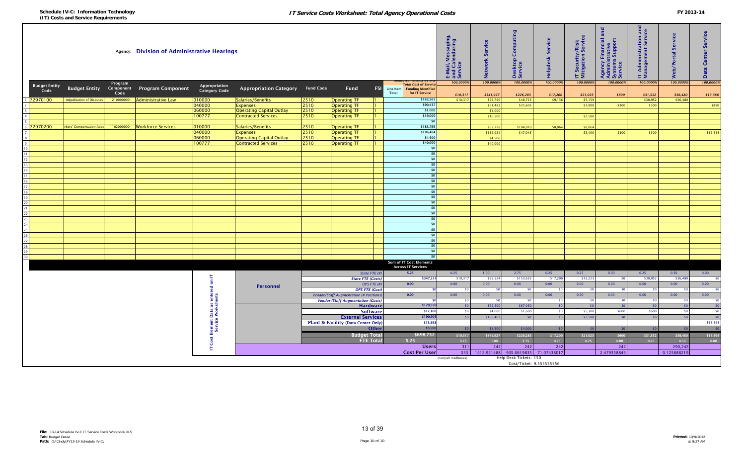| 100.0000%<br>100.0000%<br>100.0000%<br>100.0000%<br>100.0000%<br>100.0000%<br>100.0000%<br>100.0000%<br>100.0000%<br>Program<br>Total Cost of Servic<br><b>Budget Entity</b><br>Appropriation<br>Appropriation Category Fund Code<br><b>Budget Entity</b><br>Component<br><b>Program Component</b><br>Fund<br><b>FSI</b><br>Line Item Funding Identified<br><b>Category Code</b><br>Code<br>Total<br>Code<br>for IT Service<br>\$10,317<br>\$226,285<br>\$17,200<br>\$31,552<br>\$341,927<br>\$21,023<br>\$600<br>\$36,480<br>\$13,368<br>72970100<br><b>Adjudication of Disputes</b><br>1210000000<br><b>Administrative Law</b><br>010000<br>Salaries/Benefits<br>2510<br>\$163,565<br>\$10,317<br>\$48,725<br>\$5,159<br>\$30,952<br>\$36,480<br><b>Operating TF</b><br>\$22,796<br>\$9,136<br>040000<br><b>Expenses</b><br>2510<br><b>Operating TF</b><br>\$90,437<br>\$61,482<br>\$25,605<br>\$1,900<br>\$850<br>$1 -$<br>\$300<br>\$300<br>060000<br><b>Operating Capital Outlay</b><br>2510<br><b>Operating TF</b><br>\$1,000<br>\$1,000<br>$1 -$<br>\$19,000<br>100777<br><b>Contracted Services</b><br>2510<br><b>Operating TF</b><br>\$16,500<br>\$2,500<br>1.<br>50 <sup>1</sup><br>010000<br>72970200<br><b>kers' Compensation Appe</b><br>1102000000<br>Workforce Services<br>Salaries/Benefits<br>2510<br><b>Operating TF</b><br>\$183,766<br>\$62,728<br>\$104,910<br>\$8,064<br>\$8,064<br>\$196,484<br>040000<br><b>Expenses</b><br>2510<br><b>Operating TF</b><br>\$132,921<br>\$47,045<br>\$3,400<br>\$300<br>\$12,518<br>$1 -$<br>\$300<br>\$4,500<br>060000<br>2510<br><b>Operating Capital Outlay</b><br><b>Operating TF</b><br>\$4,500<br>$1 -$<br>\$40,000<br>00777<br><b>Contracted Services</b><br>2510<br><b>Operating TF</b><br>\$40,000<br>\$0<br>\$0<br>\$0<br>\$0<br>\$0<br>50 <sup>1</sup><br>\$0<br>\$0<br>\$0<br>50 <sup>1</sup><br>\$0<br>50<br>\$0<br>\$0<br>\$0<br>50<br>50<br>\$0<br>\$0<br>\$0<br>\$0<br>Sum of IT Cost Elements<br><b>Across IT Services</b><br>5.25<br>State FTE (#)<br>0.25<br>1.00<br>2.75<br>0.25<br>0.25<br>0.00<br>0.25<br>0.50<br>0.00<br>上<br>$\overline{\phantom{0}}$ so<br><b>State FTE (Costs)</b><br>\$347,331<br>\$10,317<br>\$85,524<br>\$153,635<br>\$17,200<br>\$13,223<br>\$30,952<br>\$36,480<br>so<br>$\epsilon$<br>OPS FTE (#)<br>0.00<br>0.00<br>0.00<br>0.00<br>0.00<br>0.00<br>0.00<br>0.00<br>0.00<br>0.00<br>Personnel<br>ᇃ<br><b>OPS FTE (Cost)</b><br>50<br>50<br>50<br>50<br>\$0<br>SO <sub>2</sub><br>so l<br>\$0<br>\$0<br>Element Data as enter<br>Service Worksheets<br><b>Vendor/Staff Augmentation (# Positions</b><br>0.00<br>0.00<br>0.00<br>0.00<br>0.00<br>0.00<br>0.00<br>0.00<br>0.00<br>0.00<br><b>Vendor/Staff Augmentation (Costs)</b><br>SO <sub>2</sub><br>50<br>-50<br>50<br>\$0<br>50 <sub>1</sub><br>SO <sub>2</sub><br>SO <sub>1</sub><br>SO <sub>1</sub><br>SO <sub>1</sub><br>$\sqrt{50}$<br><b>Hardware</b><br>\$129,55<br>\$0<br>\$62,500<br>\$67,050<br>50<br>SO<br>SO<br>\$0<br>SO <sub>2</sub><br><b>Software</b><br>\$12,10<br>\$1,600<br>\$5,300<br>\$600<br>\$0<br>\$0<br>\$4,000<br>\$0<br>\$600<br>SO<br>$\overline{\phantom{0}}$<br>\$190,90<br>\$188,403<br><b>External Services</b><br>\$0<br>50<br>50<br>\$2,500<br>50<br>50<br>SO<br>Plant & Facility (Data Center Only)<br>\$13,36<br>\$13,368<br>Other<br>\$5,50<br>50<br>\$1,500<br>\$4,000<br>SO <sub>1</sub><br>50<br>SO<br>50<br>50<br>$\sqrt{5}$<br>\$698,752<br><b>Budget Total</b><br>\$226,285<br>\$10,317<br>\$341,927<br>\$17,200<br>\$21,023<br>\$600<br>\$31,552<br>\$36,480<br>\$13,368<br>Cost<br><b>FTE Total</b><br>5.25<br>2.75<br>0.00<br>0.00<br>0.25<br>1.00<br>0.25<br>0.25<br>0.25<br>0.50<br>311<br>242<br>242<br>242<br>242<br>290,242<br><b>Users</b><br>t.<br><b>Cost Per User</b><br>\$33<br>1412.921488<br>935.0619835 71.07438017<br>2.479338843<br>0.125688219<br>Help Desk Tickets: 150<br>(cost/all mailboxes)<br>Cost/Ticket: 9.555555556 | Agency: Division of Administrative Hearings |  |  |  |  |  |  | E-Mail, Messaging<br>and Calendaring<br>Service | Service<br>letwork | Computing<br>Desktop<br>Service | Service<br>lelpdesk: | IT Security/Risk<br>Mitigation Servic | and<br>Financial<br>strative<br>Agency Financial a<br>Administrative<br>Systems Support<br>Service | <b>Administration and<br/>anagement Service</b><br>Εã | Service<br>eb/Portal | Service<br>Center<br>ata<br>ő. |  |
|-------------------------------------------------------------------------------------------------------------------------------------------------------------------------------------------------------------------------------------------------------------------------------------------------------------------------------------------------------------------------------------------------------------------------------------------------------------------------------------------------------------------------------------------------------------------------------------------------------------------------------------------------------------------------------------------------------------------------------------------------------------------------------------------------------------------------------------------------------------------------------------------------------------------------------------------------------------------------------------------------------------------------------------------------------------------------------------------------------------------------------------------------------------------------------------------------------------------------------------------------------------------------------------------------------------------------------------------------------------------------------------------------------------------------------------------------------------------------------------------------------------------------------------------------------------------------------------------------------------------------------------------------------------------------------------------------------------------------------------------------------------------------------------------------------------------------------------------------------------------------------------------------------------------------------------------------------------------------------------------------------------------------------------------------------------------------------------------------------------------------------------------------------------------------------------------------------------------------------------------------------------------------------------------------------------------------------------------------------------------------------------------------------------------------------------------------------------------------------------------------------------------------------------------------------------------------------------------------------------------------------------------------------------------------------------------------------------------------------------------------------------------------------------------------------------------------------------------------------------------------------------------------------------------------------------------------------------------------------------------------------------------------------------------------------------------------------------------------------------------------------------------------------------------------------------------------------------------------------------------------------------------------------------------------------------------------------------------------------------------------------------------------------------------------------------------------------------------------------------------------------------------------------------------------------------------------------------------------------------------------------------------------------------------------------------------------------------------------------------------------------------------------------------------------------------------------------------------------------------------------------------------------------------------------------------------------------|---------------------------------------------|--|--|--|--|--|--|-------------------------------------------------|--------------------|---------------------------------|----------------------|---------------------------------------|----------------------------------------------------------------------------------------------------|-------------------------------------------------------|----------------------|--------------------------------|--|
|                                                                                                                                                                                                                                                                                                                                                                                                                                                                                                                                                                                                                                                                                                                                                                                                                                                                                                                                                                                                                                                                                                                                                                                                                                                                                                                                                                                                                                                                                                                                                                                                                                                                                                                                                                                                                                                                                                                                                                                                                                                                                                                                                                                                                                                                                                                                                                                                                                                                                                                                                                                                                                                                                                                                                                                                                                                                                                                                                                                                                                                                                                                                                                                                                                                                                                                                                                                                                                                                                                                                                                                                                                                                                                                                                                                                                                                                                                                                                       |                                             |  |  |  |  |  |  |                                                 |                    |                                 |                      |                                       |                                                                                                    |                                                       |                      |                                |  |
|                                                                                                                                                                                                                                                                                                                                                                                                                                                                                                                                                                                                                                                                                                                                                                                                                                                                                                                                                                                                                                                                                                                                                                                                                                                                                                                                                                                                                                                                                                                                                                                                                                                                                                                                                                                                                                                                                                                                                                                                                                                                                                                                                                                                                                                                                                                                                                                                                                                                                                                                                                                                                                                                                                                                                                                                                                                                                                                                                                                                                                                                                                                                                                                                                                                                                                                                                                                                                                                                                                                                                                                                                                                                                                                                                                                                                                                                                                                                                       |                                             |  |  |  |  |  |  |                                                 |                    |                                 |                      |                                       |                                                                                                    |                                                       |                      |                                |  |
|                                                                                                                                                                                                                                                                                                                                                                                                                                                                                                                                                                                                                                                                                                                                                                                                                                                                                                                                                                                                                                                                                                                                                                                                                                                                                                                                                                                                                                                                                                                                                                                                                                                                                                                                                                                                                                                                                                                                                                                                                                                                                                                                                                                                                                                                                                                                                                                                                                                                                                                                                                                                                                                                                                                                                                                                                                                                                                                                                                                                                                                                                                                                                                                                                                                                                                                                                                                                                                                                                                                                                                                                                                                                                                                                                                                                                                                                                                                                                       |                                             |  |  |  |  |  |  |                                                 |                    |                                 |                      |                                       |                                                                                                    |                                                       |                      |                                |  |
|                                                                                                                                                                                                                                                                                                                                                                                                                                                                                                                                                                                                                                                                                                                                                                                                                                                                                                                                                                                                                                                                                                                                                                                                                                                                                                                                                                                                                                                                                                                                                                                                                                                                                                                                                                                                                                                                                                                                                                                                                                                                                                                                                                                                                                                                                                                                                                                                                                                                                                                                                                                                                                                                                                                                                                                                                                                                                                                                                                                                                                                                                                                                                                                                                                                                                                                                                                                                                                                                                                                                                                                                                                                                                                                                                                                                                                                                                                                                                       |                                             |  |  |  |  |  |  |                                                 |                    |                                 |                      |                                       |                                                                                                    |                                                       |                      |                                |  |
|                                                                                                                                                                                                                                                                                                                                                                                                                                                                                                                                                                                                                                                                                                                                                                                                                                                                                                                                                                                                                                                                                                                                                                                                                                                                                                                                                                                                                                                                                                                                                                                                                                                                                                                                                                                                                                                                                                                                                                                                                                                                                                                                                                                                                                                                                                                                                                                                                                                                                                                                                                                                                                                                                                                                                                                                                                                                                                                                                                                                                                                                                                                                                                                                                                                                                                                                                                                                                                                                                                                                                                                                                                                                                                                                                                                                                                                                                                                                                       |                                             |  |  |  |  |  |  |                                                 |                    |                                 |                      |                                       |                                                                                                    |                                                       |                      |                                |  |
|                                                                                                                                                                                                                                                                                                                                                                                                                                                                                                                                                                                                                                                                                                                                                                                                                                                                                                                                                                                                                                                                                                                                                                                                                                                                                                                                                                                                                                                                                                                                                                                                                                                                                                                                                                                                                                                                                                                                                                                                                                                                                                                                                                                                                                                                                                                                                                                                                                                                                                                                                                                                                                                                                                                                                                                                                                                                                                                                                                                                                                                                                                                                                                                                                                                                                                                                                                                                                                                                                                                                                                                                                                                                                                                                                                                                                                                                                                                                                       |                                             |  |  |  |  |  |  |                                                 |                    |                                 |                      |                                       |                                                                                                    |                                                       |                      |                                |  |
|                                                                                                                                                                                                                                                                                                                                                                                                                                                                                                                                                                                                                                                                                                                                                                                                                                                                                                                                                                                                                                                                                                                                                                                                                                                                                                                                                                                                                                                                                                                                                                                                                                                                                                                                                                                                                                                                                                                                                                                                                                                                                                                                                                                                                                                                                                                                                                                                                                                                                                                                                                                                                                                                                                                                                                                                                                                                                                                                                                                                                                                                                                                                                                                                                                                                                                                                                                                                                                                                                                                                                                                                                                                                                                                                                                                                                                                                                                                                                       |                                             |  |  |  |  |  |  |                                                 |                    |                                 |                      |                                       |                                                                                                    |                                                       |                      |                                |  |
|                                                                                                                                                                                                                                                                                                                                                                                                                                                                                                                                                                                                                                                                                                                                                                                                                                                                                                                                                                                                                                                                                                                                                                                                                                                                                                                                                                                                                                                                                                                                                                                                                                                                                                                                                                                                                                                                                                                                                                                                                                                                                                                                                                                                                                                                                                                                                                                                                                                                                                                                                                                                                                                                                                                                                                                                                                                                                                                                                                                                                                                                                                                                                                                                                                                                                                                                                                                                                                                                                                                                                                                                                                                                                                                                                                                                                                                                                                                                                       |                                             |  |  |  |  |  |  |                                                 |                    |                                 |                      |                                       |                                                                                                    |                                                       |                      |                                |  |
|                                                                                                                                                                                                                                                                                                                                                                                                                                                                                                                                                                                                                                                                                                                                                                                                                                                                                                                                                                                                                                                                                                                                                                                                                                                                                                                                                                                                                                                                                                                                                                                                                                                                                                                                                                                                                                                                                                                                                                                                                                                                                                                                                                                                                                                                                                                                                                                                                                                                                                                                                                                                                                                                                                                                                                                                                                                                                                                                                                                                                                                                                                                                                                                                                                                                                                                                                                                                                                                                                                                                                                                                                                                                                                                                                                                                                                                                                                                                                       |                                             |  |  |  |  |  |  |                                                 |                    |                                 |                      |                                       |                                                                                                    |                                                       |                      |                                |  |
|                                                                                                                                                                                                                                                                                                                                                                                                                                                                                                                                                                                                                                                                                                                                                                                                                                                                                                                                                                                                                                                                                                                                                                                                                                                                                                                                                                                                                                                                                                                                                                                                                                                                                                                                                                                                                                                                                                                                                                                                                                                                                                                                                                                                                                                                                                                                                                                                                                                                                                                                                                                                                                                                                                                                                                                                                                                                                                                                                                                                                                                                                                                                                                                                                                                                                                                                                                                                                                                                                                                                                                                                                                                                                                                                                                                                                                                                                                                                                       |                                             |  |  |  |  |  |  |                                                 |                    |                                 |                      |                                       |                                                                                                    |                                                       |                      |                                |  |
|                                                                                                                                                                                                                                                                                                                                                                                                                                                                                                                                                                                                                                                                                                                                                                                                                                                                                                                                                                                                                                                                                                                                                                                                                                                                                                                                                                                                                                                                                                                                                                                                                                                                                                                                                                                                                                                                                                                                                                                                                                                                                                                                                                                                                                                                                                                                                                                                                                                                                                                                                                                                                                                                                                                                                                                                                                                                                                                                                                                                                                                                                                                                                                                                                                                                                                                                                                                                                                                                                                                                                                                                                                                                                                                                                                                                                                                                                                                                                       |                                             |  |  |  |  |  |  |                                                 |                    |                                 |                      |                                       |                                                                                                    |                                                       |                      |                                |  |
|                                                                                                                                                                                                                                                                                                                                                                                                                                                                                                                                                                                                                                                                                                                                                                                                                                                                                                                                                                                                                                                                                                                                                                                                                                                                                                                                                                                                                                                                                                                                                                                                                                                                                                                                                                                                                                                                                                                                                                                                                                                                                                                                                                                                                                                                                                                                                                                                                                                                                                                                                                                                                                                                                                                                                                                                                                                                                                                                                                                                                                                                                                                                                                                                                                                                                                                                                                                                                                                                                                                                                                                                                                                                                                                                                                                                                                                                                                                                                       |                                             |  |  |  |  |  |  |                                                 |                    |                                 |                      |                                       |                                                                                                    |                                                       |                      |                                |  |
|                                                                                                                                                                                                                                                                                                                                                                                                                                                                                                                                                                                                                                                                                                                                                                                                                                                                                                                                                                                                                                                                                                                                                                                                                                                                                                                                                                                                                                                                                                                                                                                                                                                                                                                                                                                                                                                                                                                                                                                                                                                                                                                                                                                                                                                                                                                                                                                                                                                                                                                                                                                                                                                                                                                                                                                                                                                                                                                                                                                                                                                                                                                                                                                                                                                                                                                                                                                                                                                                                                                                                                                                                                                                                                                                                                                                                                                                                                                                                       |                                             |  |  |  |  |  |  |                                                 |                    |                                 |                      |                                       |                                                                                                    |                                                       |                      |                                |  |
|                                                                                                                                                                                                                                                                                                                                                                                                                                                                                                                                                                                                                                                                                                                                                                                                                                                                                                                                                                                                                                                                                                                                                                                                                                                                                                                                                                                                                                                                                                                                                                                                                                                                                                                                                                                                                                                                                                                                                                                                                                                                                                                                                                                                                                                                                                                                                                                                                                                                                                                                                                                                                                                                                                                                                                                                                                                                                                                                                                                                                                                                                                                                                                                                                                                                                                                                                                                                                                                                                                                                                                                                                                                                                                                                                                                                                                                                                                                                                       |                                             |  |  |  |  |  |  |                                                 |                    |                                 |                      |                                       |                                                                                                    |                                                       |                      |                                |  |
|                                                                                                                                                                                                                                                                                                                                                                                                                                                                                                                                                                                                                                                                                                                                                                                                                                                                                                                                                                                                                                                                                                                                                                                                                                                                                                                                                                                                                                                                                                                                                                                                                                                                                                                                                                                                                                                                                                                                                                                                                                                                                                                                                                                                                                                                                                                                                                                                                                                                                                                                                                                                                                                                                                                                                                                                                                                                                                                                                                                                                                                                                                                                                                                                                                                                                                                                                                                                                                                                                                                                                                                                                                                                                                                                                                                                                                                                                                                                                       |                                             |  |  |  |  |  |  |                                                 |                    |                                 |                      |                                       |                                                                                                    |                                                       |                      |                                |  |
|                                                                                                                                                                                                                                                                                                                                                                                                                                                                                                                                                                                                                                                                                                                                                                                                                                                                                                                                                                                                                                                                                                                                                                                                                                                                                                                                                                                                                                                                                                                                                                                                                                                                                                                                                                                                                                                                                                                                                                                                                                                                                                                                                                                                                                                                                                                                                                                                                                                                                                                                                                                                                                                                                                                                                                                                                                                                                                                                                                                                                                                                                                                                                                                                                                                                                                                                                                                                                                                                                                                                                                                                                                                                                                                                                                                                                                                                                                                                                       |                                             |  |  |  |  |  |  |                                                 |                    |                                 |                      |                                       |                                                                                                    |                                                       |                      |                                |  |
|                                                                                                                                                                                                                                                                                                                                                                                                                                                                                                                                                                                                                                                                                                                                                                                                                                                                                                                                                                                                                                                                                                                                                                                                                                                                                                                                                                                                                                                                                                                                                                                                                                                                                                                                                                                                                                                                                                                                                                                                                                                                                                                                                                                                                                                                                                                                                                                                                                                                                                                                                                                                                                                                                                                                                                                                                                                                                                                                                                                                                                                                                                                                                                                                                                                                                                                                                                                                                                                                                                                                                                                                                                                                                                                                                                                                                                                                                                                                                       |                                             |  |  |  |  |  |  |                                                 |                    |                                 |                      |                                       |                                                                                                    |                                                       |                      |                                |  |
|                                                                                                                                                                                                                                                                                                                                                                                                                                                                                                                                                                                                                                                                                                                                                                                                                                                                                                                                                                                                                                                                                                                                                                                                                                                                                                                                                                                                                                                                                                                                                                                                                                                                                                                                                                                                                                                                                                                                                                                                                                                                                                                                                                                                                                                                                                                                                                                                                                                                                                                                                                                                                                                                                                                                                                                                                                                                                                                                                                                                                                                                                                                                                                                                                                                                                                                                                                                                                                                                                                                                                                                                                                                                                                                                                                                                                                                                                                                                                       |                                             |  |  |  |  |  |  |                                                 |                    |                                 |                      |                                       |                                                                                                    |                                                       |                      |                                |  |
|                                                                                                                                                                                                                                                                                                                                                                                                                                                                                                                                                                                                                                                                                                                                                                                                                                                                                                                                                                                                                                                                                                                                                                                                                                                                                                                                                                                                                                                                                                                                                                                                                                                                                                                                                                                                                                                                                                                                                                                                                                                                                                                                                                                                                                                                                                                                                                                                                                                                                                                                                                                                                                                                                                                                                                                                                                                                                                                                                                                                                                                                                                                                                                                                                                                                                                                                                                                                                                                                                                                                                                                                                                                                                                                                                                                                                                                                                                                                                       |                                             |  |  |  |  |  |  |                                                 |                    |                                 |                      |                                       |                                                                                                    |                                                       |                      |                                |  |
|                                                                                                                                                                                                                                                                                                                                                                                                                                                                                                                                                                                                                                                                                                                                                                                                                                                                                                                                                                                                                                                                                                                                                                                                                                                                                                                                                                                                                                                                                                                                                                                                                                                                                                                                                                                                                                                                                                                                                                                                                                                                                                                                                                                                                                                                                                                                                                                                                                                                                                                                                                                                                                                                                                                                                                                                                                                                                                                                                                                                                                                                                                                                                                                                                                                                                                                                                                                                                                                                                                                                                                                                                                                                                                                                                                                                                                                                                                                                                       |                                             |  |  |  |  |  |  |                                                 |                    |                                 |                      |                                       |                                                                                                    |                                                       |                      |                                |  |
|                                                                                                                                                                                                                                                                                                                                                                                                                                                                                                                                                                                                                                                                                                                                                                                                                                                                                                                                                                                                                                                                                                                                                                                                                                                                                                                                                                                                                                                                                                                                                                                                                                                                                                                                                                                                                                                                                                                                                                                                                                                                                                                                                                                                                                                                                                                                                                                                                                                                                                                                                                                                                                                                                                                                                                                                                                                                                                                                                                                                                                                                                                                                                                                                                                                                                                                                                                                                                                                                                                                                                                                                                                                                                                                                                                                                                                                                                                                                                       |                                             |  |  |  |  |  |  |                                                 |                    |                                 |                      |                                       |                                                                                                    |                                                       |                      |                                |  |
|                                                                                                                                                                                                                                                                                                                                                                                                                                                                                                                                                                                                                                                                                                                                                                                                                                                                                                                                                                                                                                                                                                                                                                                                                                                                                                                                                                                                                                                                                                                                                                                                                                                                                                                                                                                                                                                                                                                                                                                                                                                                                                                                                                                                                                                                                                                                                                                                                                                                                                                                                                                                                                                                                                                                                                                                                                                                                                                                                                                                                                                                                                                                                                                                                                                                                                                                                                                                                                                                                                                                                                                                                                                                                                                                                                                                                                                                                                                                                       |                                             |  |  |  |  |  |  |                                                 |                    |                                 |                      |                                       |                                                                                                    |                                                       |                      |                                |  |
|                                                                                                                                                                                                                                                                                                                                                                                                                                                                                                                                                                                                                                                                                                                                                                                                                                                                                                                                                                                                                                                                                                                                                                                                                                                                                                                                                                                                                                                                                                                                                                                                                                                                                                                                                                                                                                                                                                                                                                                                                                                                                                                                                                                                                                                                                                                                                                                                                                                                                                                                                                                                                                                                                                                                                                                                                                                                                                                                                                                                                                                                                                                                                                                                                                                                                                                                                                                                                                                                                                                                                                                                                                                                                                                                                                                                                                                                                                                                                       |                                             |  |  |  |  |  |  |                                                 |                    |                                 |                      |                                       |                                                                                                    |                                                       |                      |                                |  |
|                                                                                                                                                                                                                                                                                                                                                                                                                                                                                                                                                                                                                                                                                                                                                                                                                                                                                                                                                                                                                                                                                                                                                                                                                                                                                                                                                                                                                                                                                                                                                                                                                                                                                                                                                                                                                                                                                                                                                                                                                                                                                                                                                                                                                                                                                                                                                                                                                                                                                                                                                                                                                                                                                                                                                                                                                                                                                                                                                                                                                                                                                                                                                                                                                                                                                                                                                                                                                                                                                                                                                                                                                                                                                                                                                                                                                                                                                                                                                       |                                             |  |  |  |  |  |  |                                                 |                    |                                 |                      |                                       |                                                                                                    |                                                       |                      |                                |  |
|                                                                                                                                                                                                                                                                                                                                                                                                                                                                                                                                                                                                                                                                                                                                                                                                                                                                                                                                                                                                                                                                                                                                                                                                                                                                                                                                                                                                                                                                                                                                                                                                                                                                                                                                                                                                                                                                                                                                                                                                                                                                                                                                                                                                                                                                                                                                                                                                                                                                                                                                                                                                                                                                                                                                                                                                                                                                                                                                                                                                                                                                                                                                                                                                                                                                                                                                                                                                                                                                                                                                                                                                                                                                                                                                                                                                                                                                                                                                                       |                                             |  |  |  |  |  |  |                                                 |                    |                                 |                      |                                       |                                                                                                    |                                                       |                      |                                |  |
|                                                                                                                                                                                                                                                                                                                                                                                                                                                                                                                                                                                                                                                                                                                                                                                                                                                                                                                                                                                                                                                                                                                                                                                                                                                                                                                                                                                                                                                                                                                                                                                                                                                                                                                                                                                                                                                                                                                                                                                                                                                                                                                                                                                                                                                                                                                                                                                                                                                                                                                                                                                                                                                                                                                                                                                                                                                                                                                                                                                                                                                                                                                                                                                                                                                                                                                                                                                                                                                                                                                                                                                                                                                                                                                                                                                                                                                                                                                                                       |                                             |  |  |  |  |  |  |                                                 |                    |                                 |                      |                                       |                                                                                                    |                                                       |                      |                                |  |
|                                                                                                                                                                                                                                                                                                                                                                                                                                                                                                                                                                                                                                                                                                                                                                                                                                                                                                                                                                                                                                                                                                                                                                                                                                                                                                                                                                                                                                                                                                                                                                                                                                                                                                                                                                                                                                                                                                                                                                                                                                                                                                                                                                                                                                                                                                                                                                                                                                                                                                                                                                                                                                                                                                                                                                                                                                                                                                                                                                                                                                                                                                                                                                                                                                                                                                                                                                                                                                                                                                                                                                                                                                                                                                                                                                                                                                                                                                                                                       |                                             |  |  |  |  |  |  |                                                 |                    |                                 |                      |                                       |                                                                                                    |                                                       |                      |                                |  |
|                                                                                                                                                                                                                                                                                                                                                                                                                                                                                                                                                                                                                                                                                                                                                                                                                                                                                                                                                                                                                                                                                                                                                                                                                                                                                                                                                                                                                                                                                                                                                                                                                                                                                                                                                                                                                                                                                                                                                                                                                                                                                                                                                                                                                                                                                                                                                                                                                                                                                                                                                                                                                                                                                                                                                                                                                                                                                                                                                                                                                                                                                                                                                                                                                                                                                                                                                                                                                                                                                                                                                                                                                                                                                                                                                                                                                                                                                                                                                       |                                             |  |  |  |  |  |  |                                                 |                    |                                 |                      |                                       |                                                                                                    |                                                       |                      |                                |  |
|                                                                                                                                                                                                                                                                                                                                                                                                                                                                                                                                                                                                                                                                                                                                                                                                                                                                                                                                                                                                                                                                                                                                                                                                                                                                                                                                                                                                                                                                                                                                                                                                                                                                                                                                                                                                                                                                                                                                                                                                                                                                                                                                                                                                                                                                                                                                                                                                                                                                                                                                                                                                                                                                                                                                                                                                                                                                                                                                                                                                                                                                                                                                                                                                                                                                                                                                                                                                                                                                                                                                                                                                                                                                                                                                                                                                                                                                                                                                                       |                                             |  |  |  |  |  |  |                                                 |                    |                                 |                      |                                       |                                                                                                    |                                                       |                      |                                |  |
|                                                                                                                                                                                                                                                                                                                                                                                                                                                                                                                                                                                                                                                                                                                                                                                                                                                                                                                                                                                                                                                                                                                                                                                                                                                                                                                                                                                                                                                                                                                                                                                                                                                                                                                                                                                                                                                                                                                                                                                                                                                                                                                                                                                                                                                                                                                                                                                                                                                                                                                                                                                                                                                                                                                                                                                                                                                                                                                                                                                                                                                                                                                                                                                                                                                                                                                                                                                                                                                                                                                                                                                                                                                                                                                                                                                                                                                                                                                                                       |                                             |  |  |  |  |  |  |                                                 |                    |                                 |                      |                                       |                                                                                                    |                                                       |                      |                                |  |
|                                                                                                                                                                                                                                                                                                                                                                                                                                                                                                                                                                                                                                                                                                                                                                                                                                                                                                                                                                                                                                                                                                                                                                                                                                                                                                                                                                                                                                                                                                                                                                                                                                                                                                                                                                                                                                                                                                                                                                                                                                                                                                                                                                                                                                                                                                                                                                                                                                                                                                                                                                                                                                                                                                                                                                                                                                                                                                                                                                                                                                                                                                                                                                                                                                                                                                                                                                                                                                                                                                                                                                                                                                                                                                                                                                                                                                                                                                                                                       |                                             |  |  |  |  |  |  |                                                 |                    |                                 |                      |                                       |                                                                                                    |                                                       |                      |                                |  |
|                                                                                                                                                                                                                                                                                                                                                                                                                                                                                                                                                                                                                                                                                                                                                                                                                                                                                                                                                                                                                                                                                                                                                                                                                                                                                                                                                                                                                                                                                                                                                                                                                                                                                                                                                                                                                                                                                                                                                                                                                                                                                                                                                                                                                                                                                                                                                                                                                                                                                                                                                                                                                                                                                                                                                                                                                                                                                                                                                                                                                                                                                                                                                                                                                                                                                                                                                                                                                                                                                                                                                                                                                                                                                                                                                                                                                                                                                                                                                       |                                             |  |  |  |  |  |  |                                                 |                    |                                 |                      |                                       |                                                                                                    |                                                       |                      |                                |  |
|                                                                                                                                                                                                                                                                                                                                                                                                                                                                                                                                                                                                                                                                                                                                                                                                                                                                                                                                                                                                                                                                                                                                                                                                                                                                                                                                                                                                                                                                                                                                                                                                                                                                                                                                                                                                                                                                                                                                                                                                                                                                                                                                                                                                                                                                                                                                                                                                                                                                                                                                                                                                                                                                                                                                                                                                                                                                                                                                                                                                                                                                                                                                                                                                                                                                                                                                                                                                                                                                                                                                                                                                                                                                                                                                                                                                                                                                                                                                                       |                                             |  |  |  |  |  |  |                                                 |                    |                                 |                      |                                       |                                                                                                    |                                                       |                      |                                |  |
|                                                                                                                                                                                                                                                                                                                                                                                                                                                                                                                                                                                                                                                                                                                                                                                                                                                                                                                                                                                                                                                                                                                                                                                                                                                                                                                                                                                                                                                                                                                                                                                                                                                                                                                                                                                                                                                                                                                                                                                                                                                                                                                                                                                                                                                                                                                                                                                                                                                                                                                                                                                                                                                                                                                                                                                                                                                                                                                                                                                                                                                                                                                                                                                                                                                                                                                                                                                                                                                                                                                                                                                                                                                                                                                                                                                                                                                                                                                                                       |                                             |  |  |  |  |  |  |                                                 |                    |                                 |                      |                                       |                                                                                                    |                                                       |                      |                                |  |
|                                                                                                                                                                                                                                                                                                                                                                                                                                                                                                                                                                                                                                                                                                                                                                                                                                                                                                                                                                                                                                                                                                                                                                                                                                                                                                                                                                                                                                                                                                                                                                                                                                                                                                                                                                                                                                                                                                                                                                                                                                                                                                                                                                                                                                                                                                                                                                                                                                                                                                                                                                                                                                                                                                                                                                                                                                                                                                                                                                                                                                                                                                                                                                                                                                                                                                                                                                                                                                                                                                                                                                                                                                                                                                                                                                                                                                                                                                                                                       |                                             |  |  |  |  |  |  |                                                 |                    |                                 |                      |                                       |                                                                                                    |                                                       |                      |                                |  |
|                                                                                                                                                                                                                                                                                                                                                                                                                                                                                                                                                                                                                                                                                                                                                                                                                                                                                                                                                                                                                                                                                                                                                                                                                                                                                                                                                                                                                                                                                                                                                                                                                                                                                                                                                                                                                                                                                                                                                                                                                                                                                                                                                                                                                                                                                                                                                                                                                                                                                                                                                                                                                                                                                                                                                                                                                                                                                                                                                                                                                                                                                                                                                                                                                                                                                                                                                                                                                                                                                                                                                                                                                                                                                                                                                                                                                                                                                                                                                       |                                             |  |  |  |  |  |  |                                                 |                    |                                 |                      |                                       |                                                                                                    |                                                       |                      |                                |  |
|                                                                                                                                                                                                                                                                                                                                                                                                                                                                                                                                                                                                                                                                                                                                                                                                                                                                                                                                                                                                                                                                                                                                                                                                                                                                                                                                                                                                                                                                                                                                                                                                                                                                                                                                                                                                                                                                                                                                                                                                                                                                                                                                                                                                                                                                                                                                                                                                                                                                                                                                                                                                                                                                                                                                                                                                                                                                                                                                                                                                                                                                                                                                                                                                                                                                                                                                                                                                                                                                                                                                                                                                                                                                                                                                                                                                                                                                                                                                                       |                                             |  |  |  |  |  |  |                                                 |                    |                                 |                      |                                       |                                                                                                    |                                                       |                      |                                |  |
|                                                                                                                                                                                                                                                                                                                                                                                                                                                                                                                                                                                                                                                                                                                                                                                                                                                                                                                                                                                                                                                                                                                                                                                                                                                                                                                                                                                                                                                                                                                                                                                                                                                                                                                                                                                                                                                                                                                                                                                                                                                                                                                                                                                                                                                                                                                                                                                                                                                                                                                                                                                                                                                                                                                                                                                                                                                                                                                                                                                                                                                                                                                                                                                                                                                                                                                                                                                                                                                                                                                                                                                                                                                                                                                                                                                                                                                                                                                                                       |                                             |  |  |  |  |  |  |                                                 |                    |                                 |                      |                                       |                                                                                                    |                                                       |                      |                                |  |
|                                                                                                                                                                                                                                                                                                                                                                                                                                                                                                                                                                                                                                                                                                                                                                                                                                                                                                                                                                                                                                                                                                                                                                                                                                                                                                                                                                                                                                                                                                                                                                                                                                                                                                                                                                                                                                                                                                                                                                                                                                                                                                                                                                                                                                                                                                                                                                                                                                                                                                                                                                                                                                                                                                                                                                                                                                                                                                                                                                                                                                                                                                                                                                                                                                                                                                                                                                                                                                                                                                                                                                                                                                                                                                                                                                                                                                                                                                                                                       |                                             |  |  |  |  |  |  |                                                 |                    |                                 |                      |                                       |                                                                                                    |                                                       |                      |                                |  |
|                                                                                                                                                                                                                                                                                                                                                                                                                                                                                                                                                                                                                                                                                                                                                                                                                                                                                                                                                                                                                                                                                                                                                                                                                                                                                                                                                                                                                                                                                                                                                                                                                                                                                                                                                                                                                                                                                                                                                                                                                                                                                                                                                                                                                                                                                                                                                                                                                                                                                                                                                                                                                                                                                                                                                                                                                                                                                                                                                                                                                                                                                                                                                                                                                                                                                                                                                                                                                                                                                                                                                                                                                                                                                                                                                                                                                                                                                                                                                       |                                             |  |  |  |  |  |  |                                                 |                    |                                 |                      |                                       |                                                                                                    |                                                       |                      |                                |  |
|                                                                                                                                                                                                                                                                                                                                                                                                                                                                                                                                                                                                                                                                                                                                                                                                                                                                                                                                                                                                                                                                                                                                                                                                                                                                                                                                                                                                                                                                                                                                                                                                                                                                                                                                                                                                                                                                                                                                                                                                                                                                                                                                                                                                                                                                                                                                                                                                                                                                                                                                                                                                                                                                                                                                                                                                                                                                                                                                                                                                                                                                                                                                                                                                                                                                                                                                                                                                                                                                                                                                                                                                                                                                                                                                                                                                                                                                                                                                                       |                                             |  |  |  |  |  |  |                                                 |                    |                                 |                      |                                       |                                                                                                    |                                                       |                      |                                |  |
|                                                                                                                                                                                                                                                                                                                                                                                                                                                                                                                                                                                                                                                                                                                                                                                                                                                                                                                                                                                                                                                                                                                                                                                                                                                                                                                                                                                                                                                                                                                                                                                                                                                                                                                                                                                                                                                                                                                                                                                                                                                                                                                                                                                                                                                                                                                                                                                                                                                                                                                                                                                                                                                                                                                                                                                                                                                                                                                                                                                                                                                                                                                                                                                                                                                                                                                                                                                                                                                                                                                                                                                                                                                                                                                                                                                                                                                                                                                                                       |                                             |  |  |  |  |  |  |                                                 |                    |                                 |                      |                                       |                                                                                                    |                                                       |                      |                                |  |
|                                                                                                                                                                                                                                                                                                                                                                                                                                                                                                                                                                                                                                                                                                                                                                                                                                                                                                                                                                                                                                                                                                                                                                                                                                                                                                                                                                                                                                                                                                                                                                                                                                                                                                                                                                                                                                                                                                                                                                                                                                                                                                                                                                                                                                                                                                                                                                                                                                                                                                                                                                                                                                                                                                                                                                                                                                                                                                                                                                                                                                                                                                                                                                                                                                                                                                                                                                                                                                                                                                                                                                                                                                                                                                                                                                                                                                                                                                                                                       |                                             |  |  |  |  |  |  |                                                 |                    |                                 |                      |                                       |                                                                                                    |                                                       |                      |                                |  |
|                                                                                                                                                                                                                                                                                                                                                                                                                                                                                                                                                                                                                                                                                                                                                                                                                                                                                                                                                                                                                                                                                                                                                                                                                                                                                                                                                                                                                                                                                                                                                                                                                                                                                                                                                                                                                                                                                                                                                                                                                                                                                                                                                                                                                                                                                                                                                                                                                                                                                                                                                                                                                                                                                                                                                                                                                                                                                                                                                                                                                                                                                                                                                                                                                                                                                                                                                                                                                                                                                                                                                                                                                                                                                                                                                                                                                                                                                                                                                       |                                             |  |  |  |  |  |  |                                                 |                    |                                 |                      |                                       |                                                                                                    |                                                       |                      |                                |  |
|                                                                                                                                                                                                                                                                                                                                                                                                                                                                                                                                                                                                                                                                                                                                                                                                                                                                                                                                                                                                                                                                                                                                                                                                                                                                                                                                                                                                                                                                                                                                                                                                                                                                                                                                                                                                                                                                                                                                                                                                                                                                                                                                                                                                                                                                                                                                                                                                                                                                                                                                                                                                                                                                                                                                                                                                                                                                                                                                                                                                                                                                                                                                                                                                                                                                                                                                                                                                                                                                                                                                                                                                                                                                                                                                                                                                                                                                                                                                                       |                                             |  |  |  |  |  |  |                                                 |                    |                                 |                      |                                       |                                                                                                    |                                                       |                      |                                |  |
|                                                                                                                                                                                                                                                                                                                                                                                                                                                                                                                                                                                                                                                                                                                                                                                                                                                                                                                                                                                                                                                                                                                                                                                                                                                                                                                                                                                                                                                                                                                                                                                                                                                                                                                                                                                                                                                                                                                                                                                                                                                                                                                                                                                                                                                                                                                                                                                                                                                                                                                                                                                                                                                                                                                                                                                                                                                                                                                                                                                                                                                                                                                                                                                                                                                                                                                                                                                                                                                                                                                                                                                                                                                                                                                                                                                                                                                                                                                                                       |                                             |  |  |  |  |  |  |                                                 |                    |                                 |                      |                                       |                                                                                                    |                                                       |                      |                                |  |
|                                                                                                                                                                                                                                                                                                                                                                                                                                                                                                                                                                                                                                                                                                                                                                                                                                                                                                                                                                                                                                                                                                                                                                                                                                                                                                                                                                                                                                                                                                                                                                                                                                                                                                                                                                                                                                                                                                                                                                                                                                                                                                                                                                                                                                                                                                                                                                                                                                                                                                                                                                                                                                                                                                                                                                                                                                                                                                                                                                                                                                                                                                                                                                                                                                                                                                                                                                                                                                                                                                                                                                                                                                                                                                                                                                                                                                                                                                                                                       |                                             |  |  |  |  |  |  |                                                 |                    |                                 |                      |                                       |                                                                                                    |                                                       |                      |                                |  |
|                                                                                                                                                                                                                                                                                                                                                                                                                                                                                                                                                                                                                                                                                                                                                                                                                                                                                                                                                                                                                                                                                                                                                                                                                                                                                                                                                                                                                                                                                                                                                                                                                                                                                                                                                                                                                                                                                                                                                                                                                                                                                                                                                                                                                                                                                                                                                                                                                                                                                                                                                                                                                                                                                                                                                                                                                                                                                                                                                                                                                                                                                                                                                                                                                                                                                                                                                                                                                                                                                                                                                                                                                                                                                                                                                                                                                                                                                                                                                       |                                             |  |  |  |  |  |  |                                                 |                    |                                 |                      |                                       |                                                                                                    |                                                       |                      |                                |  |
|                                                                                                                                                                                                                                                                                                                                                                                                                                                                                                                                                                                                                                                                                                                                                                                                                                                                                                                                                                                                                                                                                                                                                                                                                                                                                                                                                                                                                                                                                                                                                                                                                                                                                                                                                                                                                                                                                                                                                                                                                                                                                                                                                                                                                                                                                                                                                                                                                                                                                                                                                                                                                                                                                                                                                                                                                                                                                                                                                                                                                                                                                                                                                                                                                                                                                                                                                                                                                                                                                                                                                                                                                                                                                                                                                                                                                                                                                                                                                       |                                             |  |  |  |  |  |  |                                                 |                    |                                 |                      |                                       |                                                                                                    |                                                       |                      |                                |  |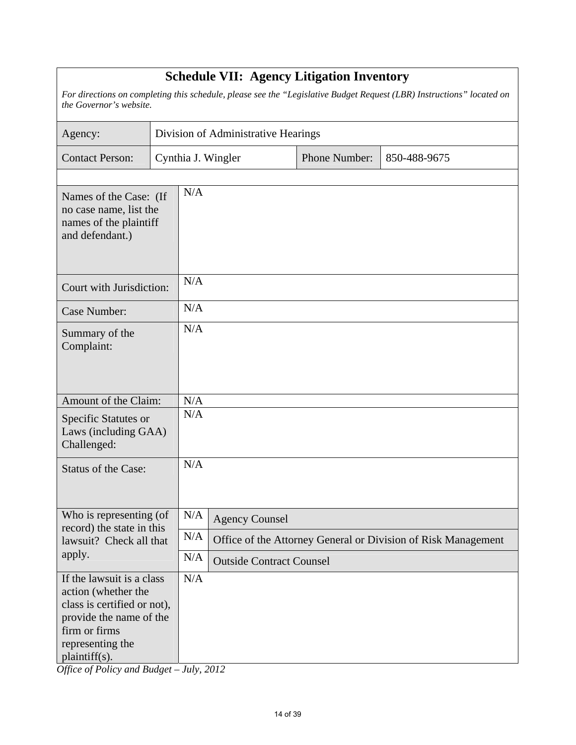| <b>Schedule VII: Agency Litigation Inventory</b>                                                                                                                 |  |                                                     |                                 |  |                                                               |  |  |  |  |  |  |
|------------------------------------------------------------------------------------------------------------------------------------------------------------------|--|-----------------------------------------------------|---------------------------------|--|---------------------------------------------------------------|--|--|--|--|--|--|
| For directions on completing this schedule, please see the "Legislative Budget Request (LBR) Instructions" located on<br>the Governor's website.                 |  |                                                     |                                 |  |                                                               |  |  |  |  |  |  |
| Agency:                                                                                                                                                          |  | Division of Administrative Hearings                 |                                 |  |                                                               |  |  |  |  |  |  |
| <b>Contact Person:</b>                                                                                                                                           |  | Phone Number:<br>Cynthia J. Wingler<br>850-488-9675 |                                 |  |                                                               |  |  |  |  |  |  |
| Names of the Case: (If<br>no case name, list the<br>names of the plaintiff<br>and defendant.)                                                                    |  | N/A                                                 |                                 |  |                                                               |  |  |  |  |  |  |
| Court with Jurisdiction:                                                                                                                                         |  | N/A                                                 |                                 |  |                                                               |  |  |  |  |  |  |
| Case Number:                                                                                                                                                     |  | N/A                                                 |                                 |  |                                                               |  |  |  |  |  |  |
| Summary of the<br>Complaint:                                                                                                                                     |  | N/A                                                 |                                 |  |                                                               |  |  |  |  |  |  |
| Amount of the Claim:                                                                                                                                             |  | N/A                                                 |                                 |  |                                                               |  |  |  |  |  |  |
| Specific Statutes or<br>Laws (including GAA)<br>Challenged:                                                                                                      |  | N/A                                                 |                                 |  |                                                               |  |  |  |  |  |  |
| <b>Status of the Case:</b>                                                                                                                                       |  | N/A                                                 |                                 |  |                                                               |  |  |  |  |  |  |
| Who is representing (of<br>record) the state in this                                                                                                             |  | N/A<br><b>Agency Counsel</b>                        |                                 |  |                                                               |  |  |  |  |  |  |
| lawsuit? Check all that                                                                                                                                          |  | N/A                                                 |                                 |  | Office of the Attorney General or Division of Risk Management |  |  |  |  |  |  |
| apply.                                                                                                                                                           |  | N/A                                                 | <b>Outside Contract Counsel</b> |  |                                                               |  |  |  |  |  |  |
| If the lawsuit is a class<br>action (whether the<br>class is certified or not),<br>provide the name of the<br>firm or firms<br>representing the<br>plaintiff(s). |  | N/A                                                 |                                 |  |                                                               |  |  |  |  |  |  |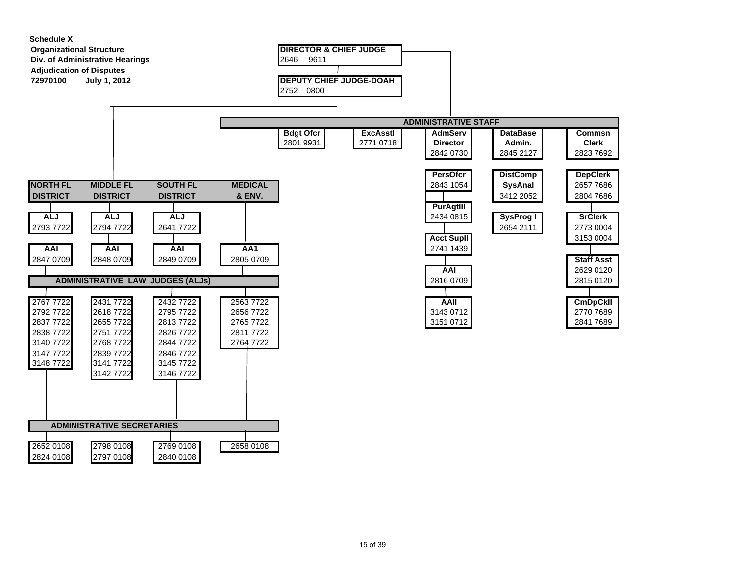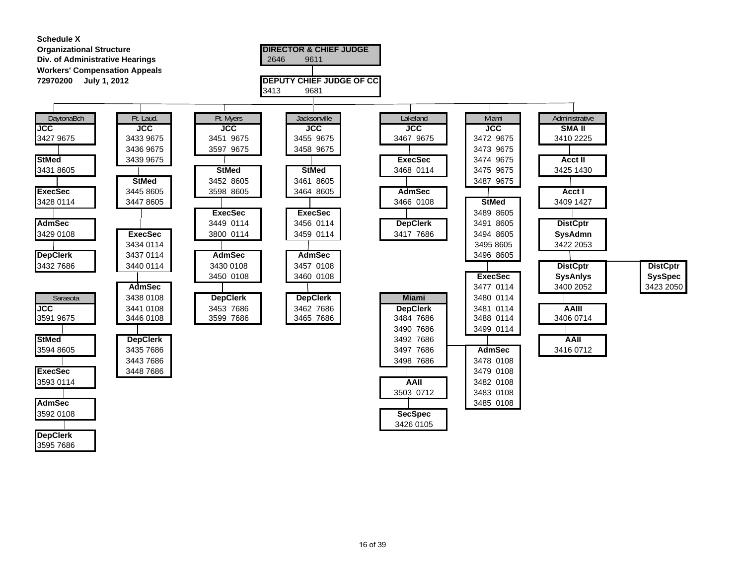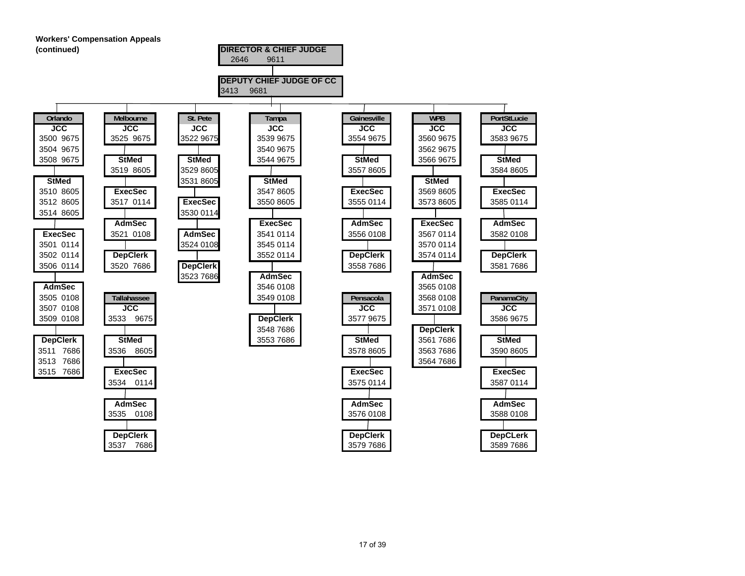

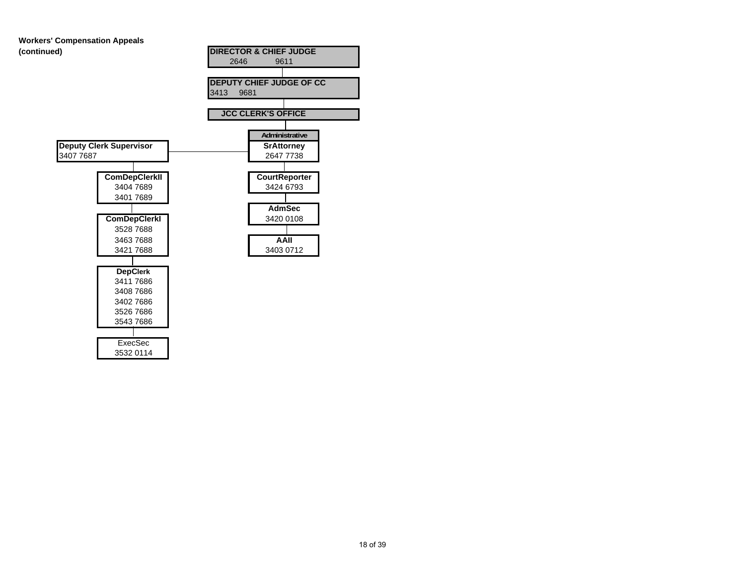# **Workers' Compensation Appeals**

3543 7686

ExecSec3532 0114

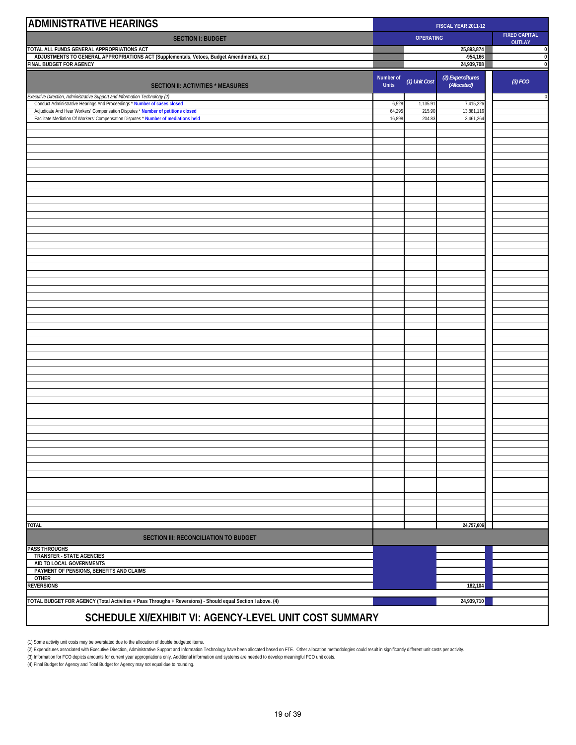| <b>ADMINISTRATIVE HEARINGS</b>                                                                                                                         | FISCAL YEAR 2011-12       |                  |                                 |                                |  |  |
|--------------------------------------------------------------------------------------------------------------------------------------------------------|---------------------------|------------------|---------------------------------|--------------------------------|--|--|
| <b>SECTION I: BUDGET</b>                                                                                                                               |                           | <b>OPERATING</b> |                                 | <b>FIXED CAPITAL</b><br>OUTLAY |  |  |
| TOTAL ALL FUNDS GENERAL APPROPRIATIONS ACT                                                                                                             |                           |                  | 25,893,874                      | C                              |  |  |
| ADJUSTMENTS TO GENERAL APPROPRIATIONS ACT (Supplementals, Vetoes, Budget Amendments, etc.)<br>FINAL BUDGET FOR AGENCY                                  |                           |                  | $-954,166$<br>24,939,708        | $\mathfrak{c}$<br>$\mathbf 0$  |  |  |
| <b>SECTION II: ACTIVITIES * MEASURES</b>                                                                                                               | Number of<br><b>Units</b> | (1) Unit Cost    | (2) Expenditures<br>(Allocated) | $(3)$ FCO                      |  |  |
| Executive Direction, Administrative Support and Information Technology (2)<br>Conduct Administrative Hearings And Proceedings * Number of cases closed | 6,528                     | 1,135.91         | 7,415,226                       | $\mathfrak{c}$                 |  |  |
| Adjudicate And Hear Workers' Compensation Disputes * Number of petitions closed                                                                        | 64,295                    | 215.90           | 13,881,116                      |                                |  |  |
| Facilitate Mediation Of Workers' Compensation Disputes * Number of mediations held                                                                     | 16,898                    | 204.83           | 3,461,264                       |                                |  |  |
|                                                                                                                                                        |                           |                  |                                 |                                |  |  |
|                                                                                                                                                        |                           |                  |                                 |                                |  |  |
|                                                                                                                                                        |                           |                  |                                 |                                |  |  |
|                                                                                                                                                        |                           |                  |                                 |                                |  |  |
|                                                                                                                                                        |                           |                  |                                 |                                |  |  |
|                                                                                                                                                        |                           |                  |                                 |                                |  |  |
|                                                                                                                                                        |                           |                  |                                 |                                |  |  |
|                                                                                                                                                        |                           |                  |                                 |                                |  |  |
|                                                                                                                                                        |                           |                  |                                 |                                |  |  |
|                                                                                                                                                        |                           |                  |                                 |                                |  |  |
|                                                                                                                                                        |                           |                  |                                 |                                |  |  |
|                                                                                                                                                        |                           |                  |                                 |                                |  |  |
|                                                                                                                                                        |                           |                  |                                 |                                |  |  |
|                                                                                                                                                        |                           |                  |                                 |                                |  |  |
|                                                                                                                                                        |                           |                  |                                 |                                |  |  |
|                                                                                                                                                        |                           |                  |                                 |                                |  |  |
|                                                                                                                                                        |                           |                  |                                 |                                |  |  |
|                                                                                                                                                        |                           |                  |                                 |                                |  |  |
|                                                                                                                                                        |                           |                  |                                 |                                |  |  |
|                                                                                                                                                        |                           |                  |                                 |                                |  |  |
|                                                                                                                                                        |                           |                  |                                 |                                |  |  |
|                                                                                                                                                        |                           |                  |                                 |                                |  |  |
|                                                                                                                                                        |                           |                  |                                 |                                |  |  |
|                                                                                                                                                        |                           |                  |                                 |                                |  |  |
|                                                                                                                                                        |                           |                  |                                 |                                |  |  |
|                                                                                                                                                        |                           |                  |                                 |                                |  |  |
|                                                                                                                                                        |                           |                  |                                 |                                |  |  |
|                                                                                                                                                        |                           |                  |                                 |                                |  |  |
|                                                                                                                                                        |                           |                  |                                 |                                |  |  |
|                                                                                                                                                        |                           |                  |                                 |                                |  |  |
|                                                                                                                                                        |                           |                  |                                 |                                |  |  |
|                                                                                                                                                        |                           |                  |                                 |                                |  |  |
| <b>TOTAL</b>                                                                                                                                           |                           |                  | 24,757,606                      |                                |  |  |
| SECTION III: RECONCILIATION TO BUDGET                                                                                                                  |                           |                  |                                 |                                |  |  |
| <b>PASS THROUGHS</b><br>TRANSFER - STATE AGENCIES                                                                                                      |                           |                  |                                 |                                |  |  |
| AID TO LOCAL GOVERNMENTS<br>PAYMENT OF PENSIONS, BENEFITS AND CLAIMS                                                                                   |                           |                  |                                 |                                |  |  |
| <b>OTHER</b>                                                                                                                                           |                           |                  |                                 |                                |  |  |
| <b>REVERSIONS</b>                                                                                                                                      |                           |                  | 182,104                         |                                |  |  |
| TOTAL BUDGET FOR AGENCY (Total Activities + Pass Throughs + Reversions) - Should equal Section I above. (4)                                            |                           |                  | 24,939,710                      |                                |  |  |

#### **SCHEDULE XI/EXHIBIT VI: AGENCY-LEVEL UNIT COST SUMMARY**

(1) Some activity unit costs may be overstated due to the allocation of double budgeted items.<br>(2) Expenditures associated with Executive Direction, Administrative Support and Information Technology have been allocated bas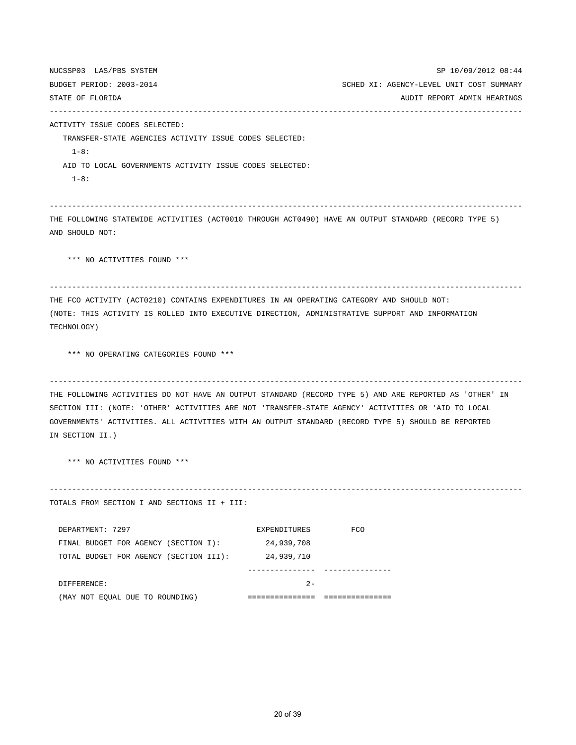NUCSSP03 LAS/PBS SYSTEM SP 10/09/2012 08:44 BUDGET PERIOD: 2003-2014 SCHED XI: AGENCY-LEVEL UNIT COST SUMMARY STATE OF FLORIDA AUDIO AUDIO AUDIO STATE OF FLORIDA AUDIO AUDIO AUDIO AUDIO AUDIO AUDIO AUDIO AUDIO AUDIO AUDIO --------------------------------------------------------------------------------------------------------- ACTIVITY ISSUE CODES SELECTED: TRANSFER-STATE AGENCIES ACTIVITY ISSUE CODES SELECTED: 1-8: AID TO LOCAL GOVERNMENTS ACTIVITY ISSUE CODES SELECTED:  $1 - 8:$ --------------------------------------------------------------------------------------------------------- THE FOLLOWING STATEWIDE ACTIVITIES (ACT0010 THROUGH ACT0490) HAVE AN OUTPUT STANDARD (RECORD TYPE 5) AND SHOULD NOT: \*\*\* NO ACTIVITIES FOUND \*\*\* --------------------------------------------------------------------------------------------------------- THE FCO ACTIVITY (ACT0210) CONTAINS EXPENDITURES IN AN OPERATING CATEGORY AND SHOULD NOT: (NOTE: THIS ACTIVITY IS ROLLED INTO EXECUTIVE DIRECTION, ADMINISTRATIVE SUPPORT AND INFORMATION TECHNOLOGY) \*\*\* NO OPERATING CATEGORIES FOUND \*\*\* --------------------------------------------------------------------------------------------------------- THE FOLLOWING ACTIVITIES DO NOT HAVE AN OUTPUT STANDARD (RECORD TYPE 5) AND ARE REPORTED AS 'OTHER' IN SECTION III: (NOTE: 'OTHER' ACTIVITIES ARE NOT 'TRANSFER-STATE AGENCY' ACTIVITIES OR 'AID TO LOCAL GOVERNMENTS' ACTIVITIES. ALL ACTIVITIES WITH AN OUTPUT STANDARD (RECORD TYPE 5) SHOULD BE REPORTED IN SECTION II.) \*\*\* NO ACTIVITIES FOUND \*\*\* --------------------------------------------------------------------------------------------------------- TOTALS FROM SECTION I AND SECTIONS II + III: DEPARTMENT: 7297 EXPENDITURES FCO FINAL BUDGET FOR AGENCY (SECTION I): 24,939,708 TOTAL BUDGET FOR AGENCY (SECTION III): 24,939,710 --------------- --------------- DIFFERENCE: 2-

(MAY NOT EQUAL DUE TO ROUNDING) =============== ===============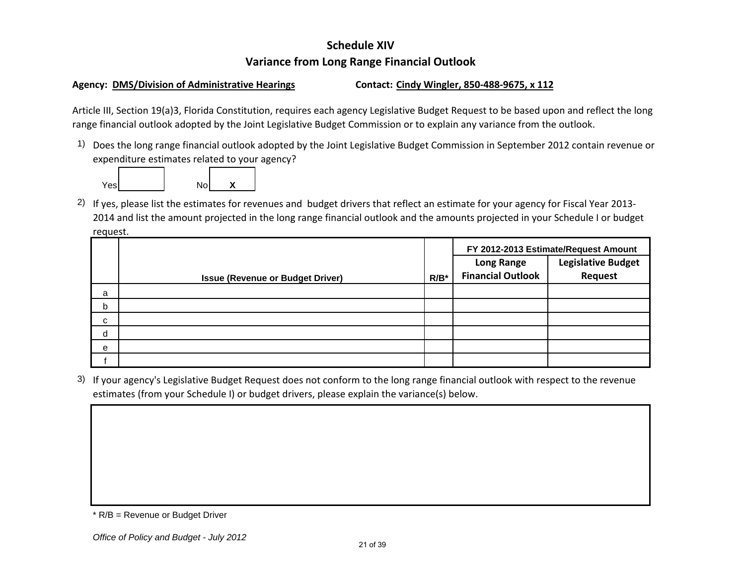#### **Schedule XIVVariance from Long Range Financial Outlook**

#### **Agency: DMS/Division of Administrative Hearings Contact: Cindy Wingler, 850‐488‐9675, <sup>x</sup> 112**

Article III, Section 19(a)3, Florida Constitution, requires each agency Legislative Budget Request to be based upon and reflect the long range financial outlook adopted by the Joint Legislative Budget Commission or to explain any variance from the outlook.

1) Does the long range financial outlook adopted by the Joint Legislative Budget Commission in September 2012 contain revenue or expenditure estimates related to your agency?



<sup>2)</sup> If yes, please list the estimates for revenues and budget drivers that reflect an estimate for your agency for Fiscal Year 2013-2014 and list the amount projected in the long range financial outlook and the amounts projected in your Schedule I or budget request.

|   |                                         |         | FY 2012-2013 Estimate/Request Amount           |         |  |  |  |
|---|-----------------------------------------|---------|------------------------------------------------|---------|--|--|--|
|   |                                         |         | <b>Legislative Budget</b><br><b>Long Range</b> |         |  |  |  |
|   | <b>Issue (Revenue or Budget Driver)</b> | $R/B^*$ | <b>Financial Outlook</b>                       | Request |  |  |  |
| a |                                         |         |                                                |         |  |  |  |
| b |                                         |         |                                                |         |  |  |  |
| C |                                         |         |                                                |         |  |  |  |
| d |                                         |         |                                                |         |  |  |  |
| e |                                         |         |                                                |         |  |  |  |
|   |                                         |         |                                                |         |  |  |  |

3) If your agency's Legislative Budget Request does not conform to the long range financial outlook with respect to the revenue estimates (from your Schedule I) or budget drivers, please explain the variance(s) below.

<sup>\*</sup> R/B = Revenue or Budget Driver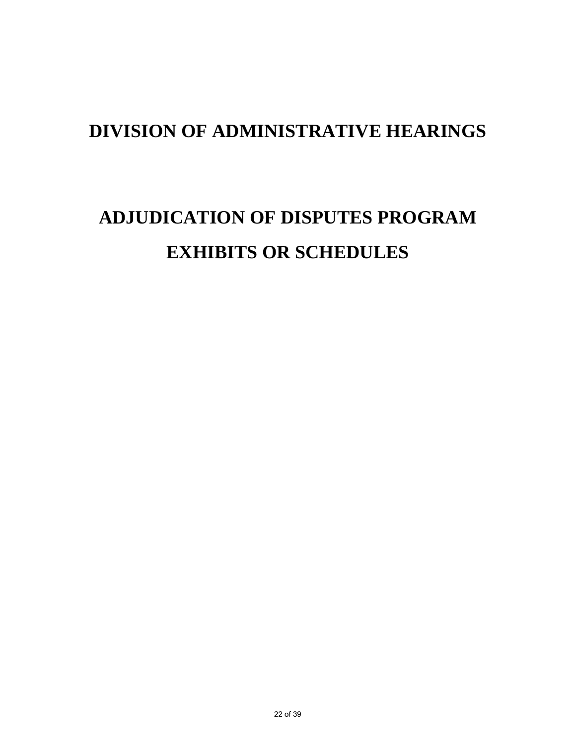# **ADJUDICATION OF DISPUTES PROGRAM EXHIBITS OR SCHEDULES**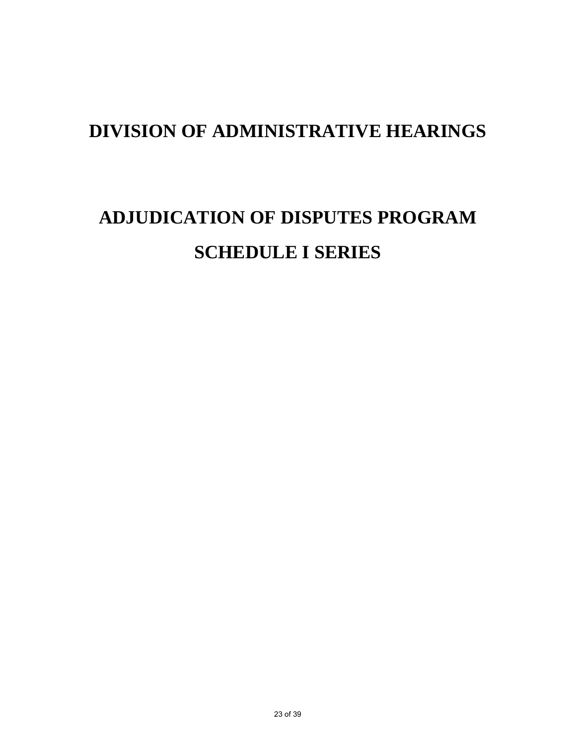# **ADJUDICATION OF DISPUTES PROGRAM SCHEDULE I SERIES**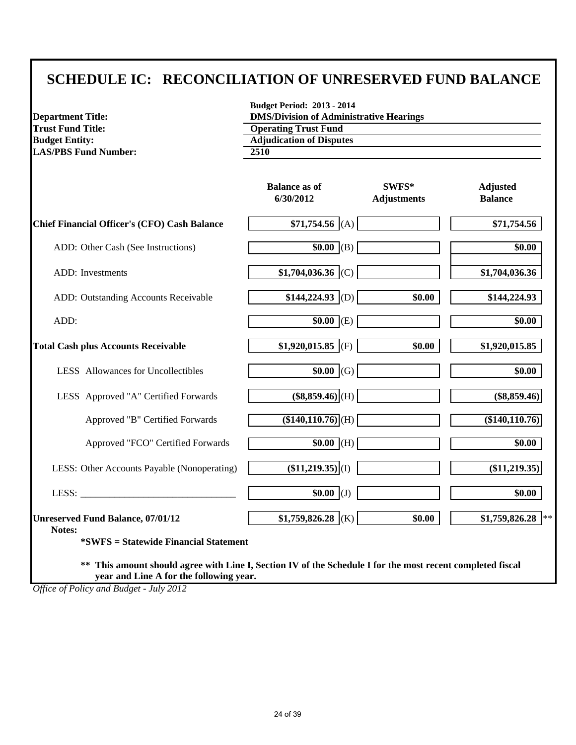#### **SCHEDULE IC: RECONCILIATION OF UNRESERVED FUND BALANCE**

| <b>Department Title:</b>                                                                                                                                 | <b>Budget Period: 2013 - 2014</b><br><b>DMS/Division of Administrative Hearings</b> |                               |                                   |  |  |  |
|----------------------------------------------------------------------------------------------------------------------------------------------------------|-------------------------------------------------------------------------------------|-------------------------------|-----------------------------------|--|--|--|
| <b>Trust Fund Title:</b>                                                                                                                                 | <b>Operating Trust Fund</b>                                                         |                               |                                   |  |  |  |
| <b>Budget Entity:</b>                                                                                                                                    | <b>Adjudication of Disputes</b>                                                     |                               |                                   |  |  |  |
| <b>LAS/PBS Fund Number:</b>                                                                                                                              | 2510                                                                                |                               |                                   |  |  |  |
|                                                                                                                                                          | <b>Balance as of</b><br>6/30/2012                                                   | $SWFS*$<br><b>Adjustments</b> | <b>Adjusted</b><br><b>Balance</b> |  |  |  |
| <b>Chief Financial Officer's (CFO) Cash Balance</b>                                                                                                      | $$71,754.56$ (A)                                                                    |                               | \$71,754.56                       |  |  |  |
| ADD: Other Cash (See Instructions)                                                                                                                       | $\overline{$0.00}$ (B)                                                              |                               | \$0.00                            |  |  |  |
| <b>ADD</b> : Investments                                                                                                                                 | $$1,704,036.36$ (C)                                                                 |                               | \$1,704,036.36                    |  |  |  |
| ADD: Outstanding Accounts Receivable                                                                                                                     | $$144,224.93$ (D)                                                                   | \$0.00                        | \$144,224.93                      |  |  |  |
| ADD:                                                                                                                                                     | $\sqrt{$0.00}$ (E)                                                                  |                               | \$0.00                            |  |  |  |
| <b>Total Cash plus Accounts Receivable</b>                                                                                                               | \$1,920,015.85 (F)                                                                  | \$0.00                        | \$1,920,015.85                    |  |  |  |
| LESS Allowances for Uncollectibles                                                                                                                       | $$0.00$ (G)                                                                         |                               | \$0.00                            |  |  |  |
| LESS Approved "A" Certified Forwards                                                                                                                     | $($8,859.46)$ <sub>(H)</sub>                                                        |                               | $(\$8,859.46)$                    |  |  |  |
| Approved "B" Certified Forwards                                                                                                                          | $($140,110.76)$ (H)                                                                 |                               | (\$140,110.76)                    |  |  |  |
| Approved "FCO" Certified Forwards                                                                                                                        | $$0.00$ (H)                                                                         |                               | $\overline{$}0.00$                |  |  |  |
| LESS: Other Accounts Payable (Nonoperating)                                                                                                              | $(\$11,219.35)\vert (1)$                                                            |                               | $(\$11,219.35)$                   |  |  |  |
| LESS: $\qquad \qquad$                                                                                                                                    | $$0.00$ (J)                                                                         |                               | \$0.00                            |  |  |  |
| <b>Unreserved Fund Balance, 07/01/12</b><br>Notes:                                                                                                       | $$1,759,826.28$ (K)                                                                 | \$0.00                        | \$1,759,826.28                    |  |  |  |
| <i>*SWFS</i> = Statewide Financial Statement                                                                                                             |                                                                                     |                               |                                   |  |  |  |
| This amount should agree with Line I, Section IV of the Schedule I for the most recent completed fiscal<br>**<br>year and Line A for the following year. |                                                                                     |                               |                                   |  |  |  |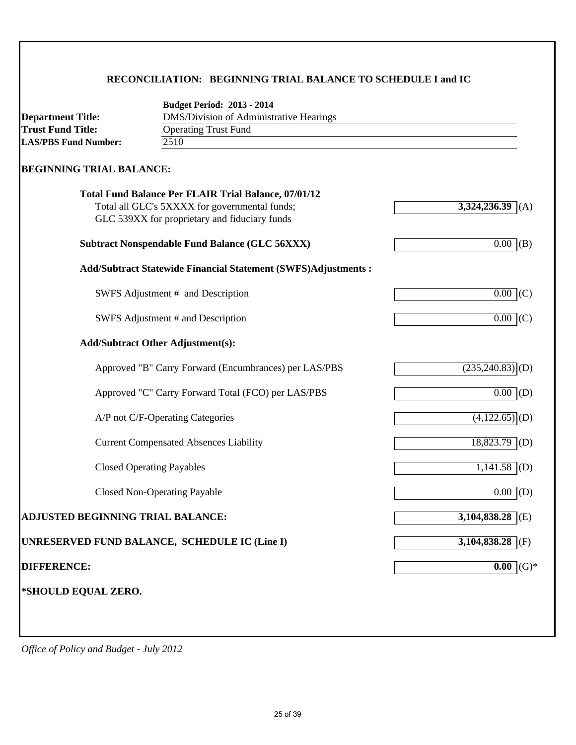#### **RECONCILIATION: BEGINNING TRIAL BALANCE TO SCHEDULE I and IC**

| <b>Department Title:</b>          | <b>Budget Period: 2013 - 2014</b><br>DMS/Division of Administrative Hearings                                                                                  |                               |
|-----------------------------------|---------------------------------------------------------------------------------------------------------------------------------------------------------------|-------------------------------|
| <b>Trust Fund Title:</b>          | <b>Operating Trust Fund</b>                                                                                                                                   |                               |
| <b>LAS/PBS Fund Number:</b>       | 2510                                                                                                                                                          |                               |
| <b>BEGINNING TRIAL BALANCE:</b>   |                                                                                                                                                               |                               |
|                                   | <b>Total Fund Balance Per FLAIR Trial Balance, 07/01/12</b><br>Total all GLC's 5XXXX for governmental funds;<br>GLC 539XX for proprietary and fiduciary funds | 3,324,236.39<br>(A)           |
|                                   | <b>Subtract Nonspendable Fund Balance (GLC 56XXX)</b>                                                                                                         | 0.00<br>(B)                   |
|                                   | <b>Add/Subtract Statewide Financial Statement (SWFS)Adjustments:</b>                                                                                          |                               |
|                                   | SWFS Adjustment # and Description                                                                                                                             | $0.00$ (C)                    |
|                                   | SWFS Adjustment # and Description                                                                                                                             | $0.00\,$<br>(C)               |
|                                   | <b>Add/Subtract Other Adjustment(s):</b>                                                                                                                      |                               |
|                                   | Approved "B" Carry Forward (Encumbrances) per LAS/PBS                                                                                                         | $(235,240.83)$ <sup>(D)</sup> |
|                                   | Approved "C" Carry Forward Total (FCO) per LAS/PBS                                                                                                            | $\overline{0.00}$ (D)         |
|                                   | A/P not C/F-Operating Categories                                                                                                                              | $\overline{(4,122.65)}$ (D)   |
|                                   | <b>Current Compensated Absences Liability</b>                                                                                                                 | $18,823.79$ (D)               |
|                                   | <b>Closed Operating Payables</b>                                                                                                                              | $1,141.58$ (D)                |
|                                   | <b>Closed Non-Operating Payable</b>                                                                                                                           | $0.00$ (D)                    |
| ADJUSTED BEGINNING TRIAL BALANCE: |                                                                                                                                                               | $3,104,838.28$ (E)            |
|                                   | UNRESERVED FUND BALANCE, SCHEDULE IC (Line I)                                                                                                                 | 3,104,838.28<br>(F)           |
| <b>DIFFERENCE:</b>                |                                                                                                                                                               | $0.00$ (G) <sup>*</sup>       |
| *SHOULD EQUAL ZERO.               |                                                                                                                                                               |                               |
|                                   |                                                                                                                                                               |                               |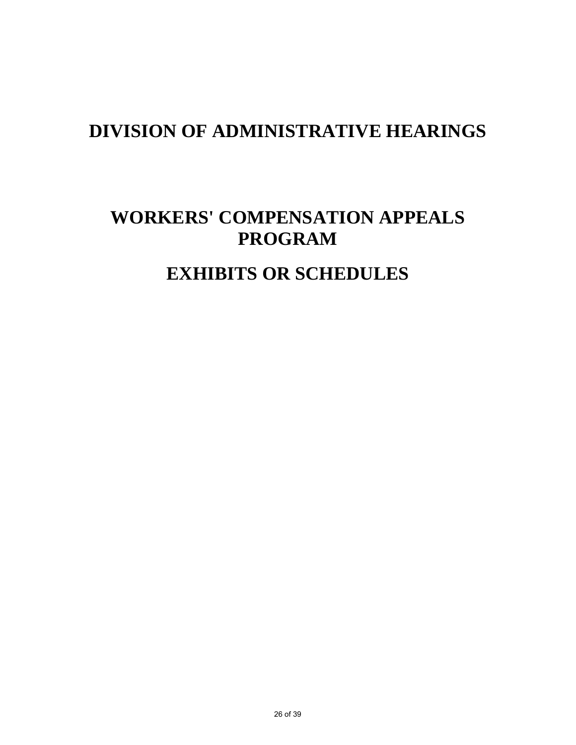# **WORKERS' COMPENSATION APPEALS PROGRAM**

## **EXHIBITS OR SCHEDULES**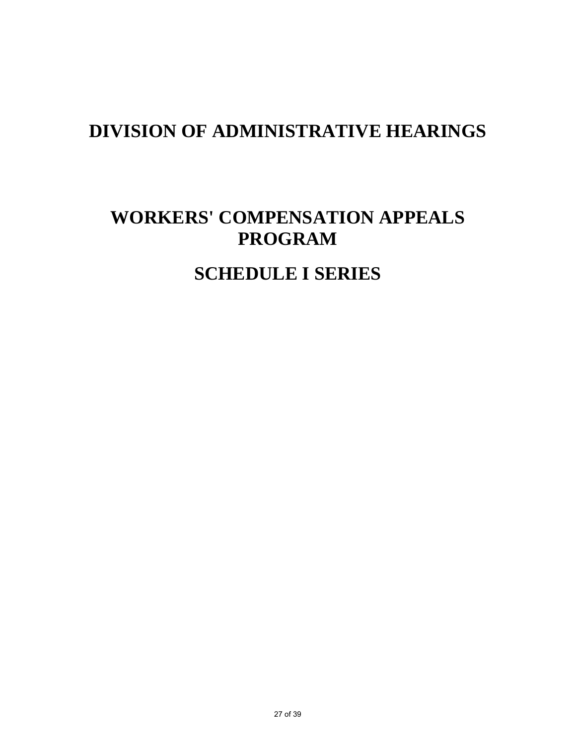# **WORKERS' COMPENSATION APPEALS PROGRAM**

## **SCHEDULE I SERIES**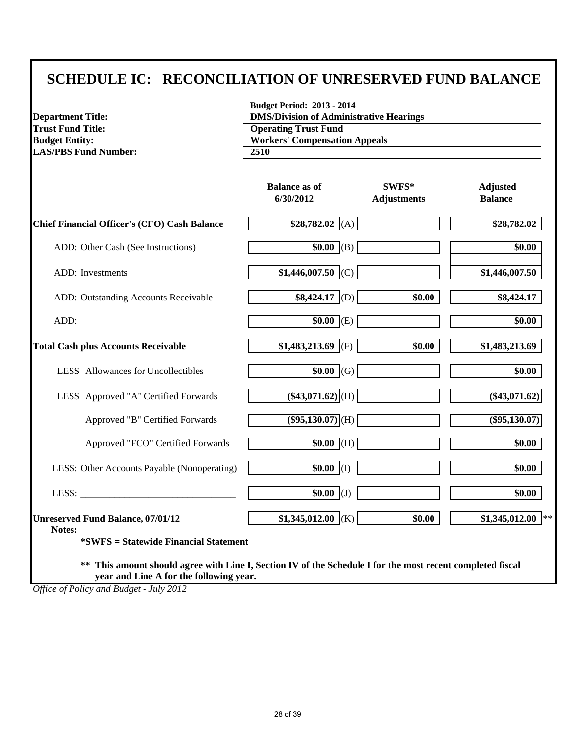#### **SCHEDULE IC: RECONCILIATION OF UNRESERVED FUND BALANCE**

| <b>Department Title:</b>                                                                                                                                                                           | <b>Budget Period: 2013 - 2014</b><br><b>DMS/Division of Administrative Hearings</b> |                             |                                   |  |  |  |
|----------------------------------------------------------------------------------------------------------------------------------------------------------------------------------------------------|-------------------------------------------------------------------------------------|-----------------------------|-----------------------------------|--|--|--|
| <b>Trust Fund Title:</b>                                                                                                                                                                           | <b>Operating Trust Fund</b>                                                         |                             |                                   |  |  |  |
| <b>Budget Entity:</b>                                                                                                                                                                              | <b>Workers' Compensation Appeals</b>                                                |                             |                                   |  |  |  |
| <b>LAS/PBS Fund Number:</b>                                                                                                                                                                        | 2510                                                                                |                             |                                   |  |  |  |
|                                                                                                                                                                                                    | <b>Balance as of</b><br>6/30/2012                                                   | SWFS*<br><b>Adjustments</b> | <b>Adjusted</b><br><b>Balance</b> |  |  |  |
| <b>Chief Financial Officer's (CFO) Cash Balance</b>                                                                                                                                                | $$28,782.02$ (A)                                                                    |                             | \$28,782.02                       |  |  |  |
| ADD: Other Cash (See Instructions)                                                                                                                                                                 | $\sqrt{$0.00}$ (B)                                                                  |                             | \$0.00                            |  |  |  |
| ADD: Investments                                                                                                                                                                                   | $$1,446,007.50$ (C)                                                                 |                             | \$1,446,007.50                    |  |  |  |
| ADD: Outstanding Accounts Receivable                                                                                                                                                               | $$8,424.17$ (D)                                                                     | \$0.00                      | \$8,424.17                        |  |  |  |
| ADD:                                                                                                                                                                                               | $\sqrt{$0.00}$ (E)                                                                  |                             | \$0.00                            |  |  |  |
| <b>Total Cash plus Accounts Receivable</b>                                                                                                                                                         | \$1,483,213.69 (F)                                                                  | \$0.00                      | \$1,483,213.69                    |  |  |  |
| LESS Allowances for Uncollectibles                                                                                                                                                                 | $$0.00$ (G)                                                                         |                             | \$0.00                            |  |  |  |
| LESS Approved "A" Certified Forwards                                                                                                                                                               | $(\$43,071.62)$ <sub>(H)</sub>                                                      |                             | $(\$43,071.62)$                   |  |  |  |
| Approved "B" Certified Forwards                                                                                                                                                                    | $($ \$95,130.07 $)$ (H)                                                             |                             | $($ \$95,130.07)                  |  |  |  |
| Approved "FCO" Certified Forwards                                                                                                                                                                  | $$0.00$ (H)                                                                         |                             | \$0.00                            |  |  |  |
| LESS: Other Accounts Payable (Nonoperating)                                                                                                                                                        | $$0.00$ (I)                                                                         |                             | \$0.00                            |  |  |  |
| LESS:                                                                                                                                                                                              | $$0.00$ (J)                                                                         |                             | \$0.00                            |  |  |  |
| <b>Unreserved Fund Balance, 07/01/12</b><br>Notes:                                                                                                                                                 | $$1,345,012.00$ (K)                                                                 | \$0.00                      | \$1,345,012.00<br>$**$            |  |  |  |
| <i>*SWFS</i> = Statewide Financial Statement<br>This amount should agree with Line I, Section IV of the Schedule I for the most recent completed fiscal<br>year and Line A for the following year. |                                                                                     |                             |                                   |  |  |  |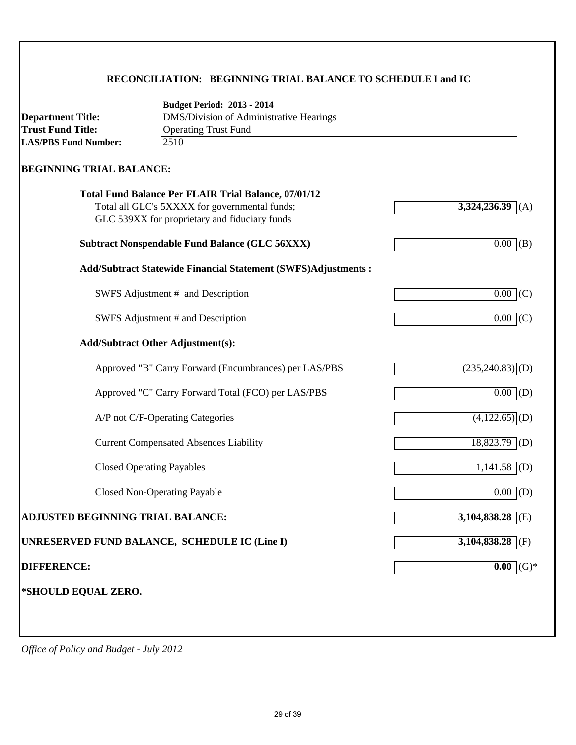#### **RECONCILIATION: BEGINNING TRIAL BALANCE TO SCHEDULE I and IC**

| <b>Department Title:</b>          | <b>Budget Period: 2013 - 2014</b><br>DMS/Division of Administrative Hearings                                                                                  |                               |
|-----------------------------------|---------------------------------------------------------------------------------------------------------------------------------------------------------------|-------------------------------|
| <b>Trust Fund Title:</b>          | <b>Operating Trust Fund</b>                                                                                                                                   |                               |
| <b>LAS/PBS Fund Number:</b>       | 2510                                                                                                                                                          |                               |
| <b>BEGINNING TRIAL BALANCE:</b>   |                                                                                                                                                               |                               |
|                                   | <b>Total Fund Balance Per FLAIR Trial Balance, 07/01/12</b><br>Total all GLC's 5XXXX for governmental funds;<br>GLC 539XX for proprietary and fiduciary funds | 3,324,236.39<br>(A)           |
|                                   | <b>Subtract Nonspendable Fund Balance (GLC 56XXX)</b>                                                                                                         | 0.00<br>(B)                   |
|                                   | <b>Add/Subtract Statewide Financial Statement (SWFS)Adjustments:</b>                                                                                          |                               |
|                                   | SWFS Adjustment # and Description                                                                                                                             | $0.00$ (C)                    |
|                                   | SWFS Adjustment # and Description                                                                                                                             | $0.00\,$<br>(C)               |
|                                   | <b>Add/Subtract Other Adjustment(s):</b>                                                                                                                      |                               |
|                                   | Approved "B" Carry Forward (Encumbrances) per LAS/PBS                                                                                                         | $(235,240.83)$ <sup>(D)</sup> |
|                                   | Approved "C" Carry Forward Total (FCO) per LAS/PBS                                                                                                            | $\overline{0.00}$ (D)         |
|                                   | A/P not C/F-Operating Categories                                                                                                                              | $\overline{(4,122.65)}$ (D)   |
|                                   | <b>Current Compensated Absences Liability</b>                                                                                                                 | $18,823.79$ (D)               |
|                                   | <b>Closed Operating Payables</b>                                                                                                                              | $1,141.58$ (D)                |
|                                   | <b>Closed Non-Operating Payable</b>                                                                                                                           | $0.00$ (D)                    |
| ADJUSTED BEGINNING TRIAL BALANCE: |                                                                                                                                                               | $3,104,838.28$ (E)            |
|                                   | UNRESERVED FUND BALANCE, SCHEDULE IC (Line I)                                                                                                                 | 3,104,838.28<br>(F)           |
| <b>DIFFERENCE:</b>                |                                                                                                                                                               | $0.00$ (G) <sup>*</sup>       |
| *SHOULD EQUAL ZERO.               |                                                                                                                                                               |                               |
|                                   |                                                                                                                                                               |                               |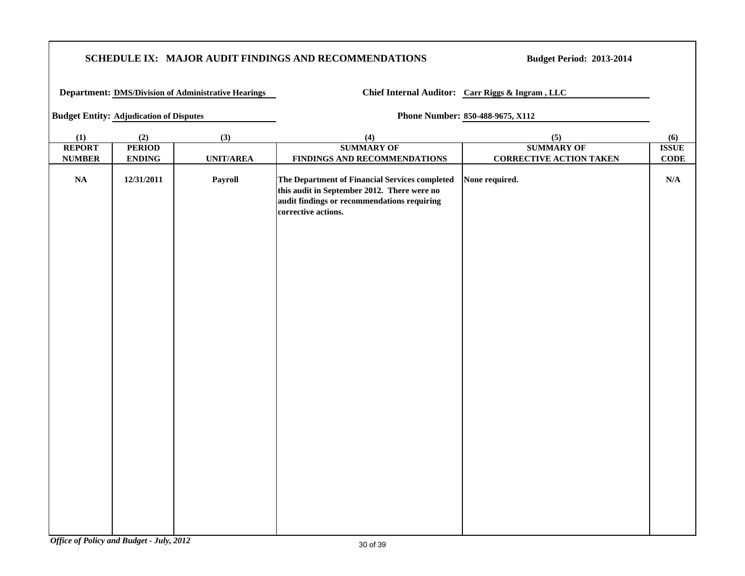#### **SCHEDULE IX: MAJOR AUDIT FINDINGS AND RECOMMENDATIONS**

**Budget Period: 2013-2014**

**Department: DMS/Division of Administrative Hearings Chief Internal Auditor: Carr Riggs & Ingram , LLC** 

**Budget Entity:** Adjudication of Disputes **Phone Number:** 850-488-9675, X112

| (1)           | (2)                            | (3)              | (4)                                                                                                                                                                 | (5)                            | (6)                     |
|---------------|--------------------------------|------------------|---------------------------------------------------------------------------------------------------------------------------------------------------------------------|--------------------------------|-------------------------|
| <b>REPORT</b> | <b>PERIOD</b>                  |                  | <b>SUMMARY OF</b>                                                                                                                                                   | <b>SUMMARY OF</b>              | <b>ISSUE</b>            |
| <b>NUMBER</b> | $\ensuremath{\mathbf{ENDING}}$ | <b>UNIT/AREA</b> | FINDINGS AND RECOMMENDATIONS                                                                                                                                        | <b>CORRECTIVE ACTION TAKEN</b> | $CODE$                  |
| $\mathbf{NA}$ | 12/31/2011                     | Payroll          | The Department of Financial Services completed<br>this audit in September 2012. There were no<br>audit findings or recommendations requiring<br>corrective actions. | None required.                 | $\mathbf{N}/\mathbf{A}$ |
|               |                                |                  |                                                                                                                                                                     |                                |                         |
|               |                                |                  |                                                                                                                                                                     |                                |                         |
|               |                                |                  |                                                                                                                                                                     |                                |                         |
|               |                                |                  |                                                                                                                                                                     |                                |                         |
|               |                                |                  |                                                                                                                                                                     |                                |                         |
|               |                                |                  |                                                                                                                                                                     |                                |                         |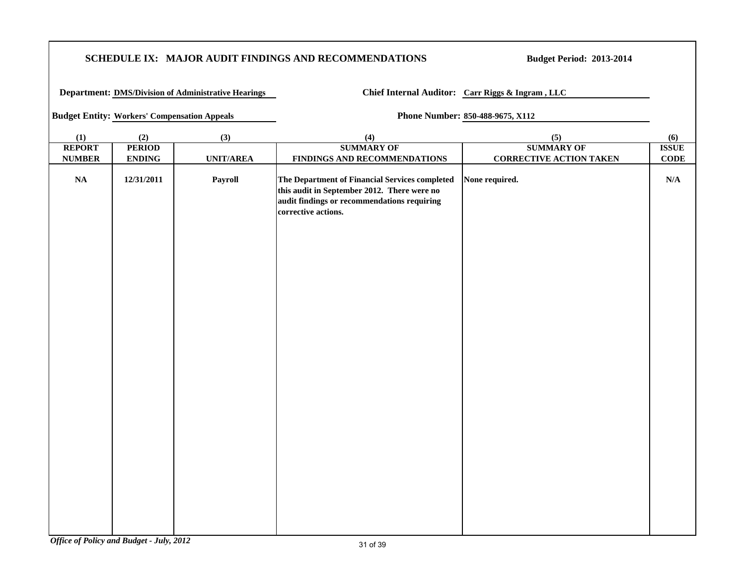#### **SCHEDULE IX: MAJOR AUDIT FINDINGS AND RECOMMENDATIONS**

**Budget Period: 2013-2014**

**Department: DMS/Division of Administrative Hearings Chief Internal Auditor: Carr Riggs & Ingram , LLC** 

**Budget Entity: Workers' Compensation Appeals Phone Number: 850-488-9675, X112**

| (1)           | (2)                            | (3)              | (4)                                                                                                                                                                 | (5)                            | (6)                     |
|---------------|--------------------------------|------------------|---------------------------------------------------------------------------------------------------------------------------------------------------------------------|--------------------------------|-------------------------|
| <b>REPORT</b> | <b>PERIOD</b>                  |                  | <b>SUMMARY OF</b>                                                                                                                                                   | <b>SUMMARY OF</b>              | <b>ISSUE</b>            |
| <b>NUMBER</b> | $\ensuremath{\mathbf{ENDING}}$ | <b>UNIT/AREA</b> | FINDINGS AND RECOMMENDATIONS                                                                                                                                        | <b>CORRECTIVE ACTION TAKEN</b> | $CODE$                  |
| $\mathbf{NA}$ | 12/31/2011                     | Payroll          | The Department of Financial Services completed<br>this audit in September 2012. There were no<br>audit findings or recommendations requiring<br>corrective actions. | None required.                 | $\mathbf{N}/\mathbf{A}$ |
|               |                                |                  |                                                                                                                                                                     |                                |                         |
|               |                                |                  |                                                                                                                                                                     |                                |                         |
|               |                                |                  |                                                                                                                                                                     |                                |                         |
|               |                                |                  |                                                                                                                                                                     |                                |                         |
|               |                                |                  |                                                                                                                                                                     |                                |                         |
|               |                                |                  |                                                                                                                                                                     |                                |                         |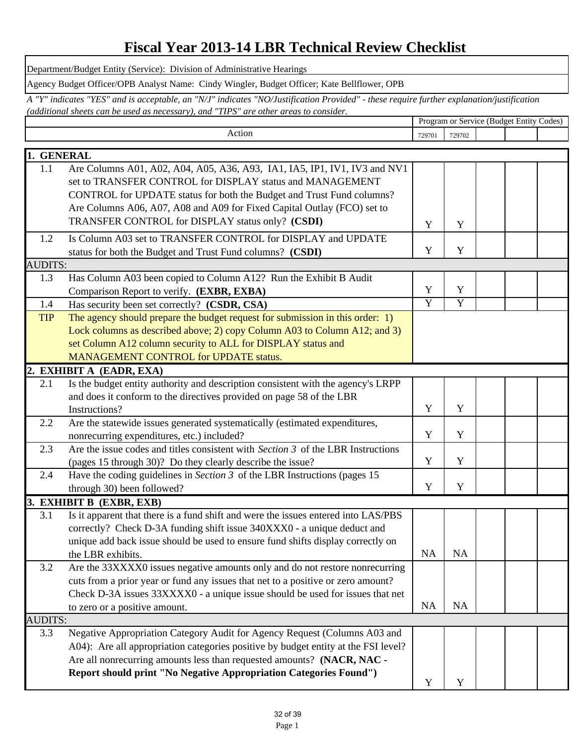#### **Fiscal Year 2013-14 LBR Technical Review Checklist**

Department/Budget Entity (Service): Division of Administrative Hearings

Agency Budget Officer/OPB Analyst Name: Cindy Wingler, Budget Officer; Kate Bellflower, OPB

**Program or Service (Budget Entity Codes)** *A "Y" indicates "YES" and is acceptable, an "N/J" indicates "NO/Justification Provided" - these require further explanation/justification (additional sheets can be used as necessary), and "TIPS" are other areas to consider.* 

|                | Action                                                                             | 729701         | 729702         |  |  |
|----------------|------------------------------------------------------------------------------------|----------------|----------------|--|--|
| 1. GENERAL     |                                                                                    |                |                |  |  |
| 1.1            | Are Columns A01, A02, A04, A05, A36, A93, IA1, IA5, IP1, IV1, IV3 and NV1          |                |                |  |  |
|                | set to TRANSFER CONTROL for DISPLAY status and MANAGEMENT                          |                |                |  |  |
|                | CONTROL for UPDATE status for both the Budget and Trust Fund columns?              |                |                |  |  |
|                | Are Columns A06, A07, A08 and A09 for Fixed Capital Outlay (FCO) set to            |                |                |  |  |
|                | TRANSFER CONTROL for DISPLAY status only? (CSDI)                                   | Y              | Y              |  |  |
| 1.2            | Is Column A03 set to TRANSFER CONTROL for DISPLAY and UPDATE                       |                |                |  |  |
|                | status for both the Budget and Trust Fund columns? (CSDI)                          | Y              | Y              |  |  |
| <b>AUDITS:</b> |                                                                                    |                |                |  |  |
| 1.3            | Has Column A03 been copied to Column A12? Run the Exhibit B Audit                  |                |                |  |  |
|                | Comparison Report to verify. (EXBR, EXBA)                                          | Y              | Y              |  |  |
| 1.4            | Has security been set correctly? (CSDR, CSA)                                       | $\overline{Y}$ | $\overline{Y}$ |  |  |
| <b>TIP</b>     | The agency should prepare the budget request for submission in this order: 1)      |                |                |  |  |
|                | Lock columns as described above; 2) copy Column A03 to Column A12; and 3)          |                |                |  |  |
|                | set Column A12 column security to ALL for DISPLAY status and                       |                |                |  |  |
|                | MANAGEMENT CONTROL for UPDATE status.                                              |                |                |  |  |
|                | 2. EXHIBIT A (EADR, EXA)                                                           |                |                |  |  |
| 2.1            | Is the budget entity authority and description consistent with the agency's LRPP   |                |                |  |  |
|                | and does it conform to the directives provided on page 58 of the LBR               |                |                |  |  |
|                | Instructions?                                                                      | Y              | Y              |  |  |
| 2.2            | Are the statewide issues generated systematically (estimated expenditures,         |                |                |  |  |
|                | nonrecurring expenditures, etc.) included?                                         | Y              | Y              |  |  |
| 2.3            | Are the issue codes and titles consistent with Section 3 of the LBR Instructions   |                |                |  |  |
|                | (pages 15 through 30)? Do they clearly describe the issue?                         | Y              | Y              |  |  |
| 2.4            | Have the coding guidelines in Section $3$ of the LBR Instructions (pages 15        |                |                |  |  |
|                | through 30) been followed?                                                         | Y              | Y              |  |  |
|                | 3. EXHIBIT B (EXBR, EXB)                                                           |                |                |  |  |
| 3.1            | Is it apparent that there is a fund shift and were the issues entered into LAS/PBS |                |                |  |  |
|                | correctly? Check D-3A funding shift issue 340XXX0 - a unique deduct and            |                |                |  |  |
|                | unique add back issue should be used to ensure fund shifts display correctly on    |                |                |  |  |
|                | the LBR exhibits.                                                                  | NA             | NA             |  |  |
| 3.2            | Are the 33XXXX0 issues negative amounts only and do not restore nonrecurring       |                |                |  |  |
|                | cuts from a prior year or fund any issues that net to a positive or zero amount?   |                |                |  |  |
|                | Check D-3A issues 33XXXX0 - a unique issue should be used for issues that net      |                |                |  |  |
|                | to zero or a positive amount.                                                      | <b>NA</b>      | NA             |  |  |
| <b>AUDITS:</b> |                                                                                    |                |                |  |  |
| 3.3            | Negative Appropriation Category Audit for Agency Request (Columns A03 and          |                |                |  |  |
|                | A04): Are all appropriation categories positive by budget entity at the FSI level? |                |                |  |  |
|                | Are all nonrecurring amounts less than requested amounts? (NACR, NAC -             |                |                |  |  |
|                | Report should print "No Negative Appropriation Categories Found")                  | Y              | Y              |  |  |
|                |                                                                                    |                |                |  |  |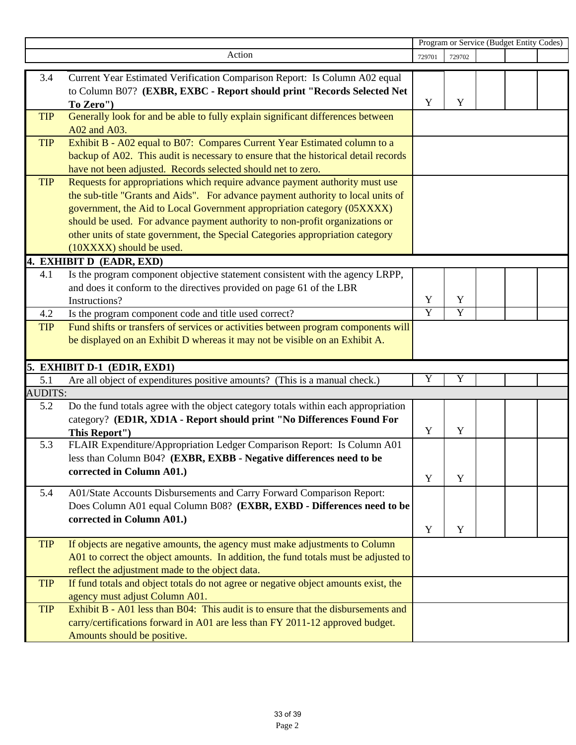|                |                                                                                                     | Program or Service (Budget Entity Codes) |                |  |  |  |  |
|----------------|-----------------------------------------------------------------------------------------------------|------------------------------------------|----------------|--|--|--|--|
|                | Action                                                                                              | 729701                                   | 729702         |  |  |  |  |
| 3.4            | Current Year Estimated Verification Comparison Report: Is Column A02 equal                          |                                          |                |  |  |  |  |
|                | to Column B07? (EXBR, EXBC - Report should print "Records Selected Net                              |                                          |                |  |  |  |  |
|                | To Zero")                                                                                           | Y                                        | Y              |  |  |  |  |
| <b>TIP</b>     | Generally look for and be able to fully explain significant differences between                     |                                          |                |  |  |  |  |
|                | A02 and A03.                                                                                        |                                          |                |  |  |  |  |
| <b>TIP</b>     | Exhibit B - A02 equal to B07: Compares Current Year Estimated column to a                           |                                          |                |  |  |  |  |
|                | backup of A02. This audit is necessary to ensure that the historical detail records                 |                                          |                |  |  |  |  |
|                | have not been adjusted. Records selected should net to zero.                                        |                                          |                |  |  |  |  |
| <b>TIP</b>     | Requests for appropriations which require advance payment authority must use                        |                                          |                |  |  |  |  |
|                | the sub-title "Grants and Aids". For advance payment authority to local units of                    |                                          |                |  |  |  |  |
|                | government, the Aid to Local Government appropriation category (05XXXX)                             |                                          |                |  |  |  |  |
|                | should be used. For advance payment authority to non-profit organizations or                        |                                          |                |  |  |  |  |
|                | other units of state government, the Special Categories appropriation category                      |                                          |                |  |  |  |  |
|                | (10XXXX) should be used.                                                                            |                                          |                |  |  |  |  |
|                | 4. EXHIBIT D (EADR, EXD)                                                                            |                                          |                |  |  |  |  |
| 4.1            | Is the program component objective statement consistent with the agency LRPP,                       |                                          |                |  |  |  |  |
|                | and does it conform to the directives provided on page 61 of the LBR                                |                                          |                |  |  |  |  |
|                | Instructions?                                                                                       | Y                                        | Y              |  |  |  |  |
| 4.2            | Is the program component code and title used correct?                                               | $\overline{Y}$                           | $\overline{Y}$ |  |  |  |  |
| <b>TIP</b>     | Fund shifts or transfers of services or activities between program components will                  |                                          |                |  |  |  |  |
|                | be displayed on an Exhibit D whereas it may not be visible on an Exhibit A.                         |                                          |                |  |  |  |  |
|                | 5. EXHIBIT D-1 (ED1R, EXD1)                                                                         |                                          |                |  |  |  |  |
| 5.1            | Are all object of expenditures positive amounts? (This is a manual check.)                          | Y                                        | Y              |  |  |  |  |
| <b>AUDITS:</b> |                                                                                                     |                                          |                |  |  |  |  |
| 5.2            | Do the fund totals agree with the object category totals within each appropriation                  |                                          |                |  |  |  |  |
|                | category? (ED1R, XD1A - Report should print "No Differences Found For                               |                                          |                |  |  |  |  |
|                | This Report")                                                                                       | Y                                        | Y              |  |  |  |  |
| 5.3            | FLAIR Expenditure/Appropriation Ledger Comparison Report: Is Column A01                             |                                          |                |  |  |  |  |
|                | less than Column B04? (EXBR, EXBB - Negative differences need to be                                 |                                          |                |  |  |  |  |
|                | corrected in Column A01.)                                                                           | Y                                        | Y              |  |  |  |  |
|                |                                                                                                     |                                          |                |  |  |  |  |
| 5.4            | A01/State Accounts Disbursements and Carry Forward Comparison Report:                               |                                          |                |  |  |  |  |
|                | Does Column A01 equal Column B08? (EXBR, EXBD - Differences need to be<br>corrected in Column A01.) |                                          |                |  |  |  |  |
|                |                                                                                                     | Y                                        | Y              |  |  |  |  |
| <b>TIP</b>     | If objects are negative amounts, the agency must make adjustments to Column                         |                                          |                |  |  |  |  |
|                | A01 to correct the object amounts. In addition, the fund totals must be adjusted to                 |                                          |                |  |  |  |  |
|                | reflect the adjustment made to the object data.                                                     |                                          |                |  |  |  |  |
| <b>TIP</b>     | If fund totals and object totals do not agree or negative object amounts exist, the                 |                                          |                |  |  |  |  |
|                | agency must adjust Column A01.                                                                      |                                          |                |  |  |  |  |
| <b>TIP</b>     | Exhibit B - A01 less than B04: This audit is to ensure that the disbursements and                   |                                          |                |  |  |  |  |
|                | carry/certifications forward in A01 are less than FY 2011-12 approved budget.                       |                                          |                |  |  |  |  |
|                | Amounts should be positive.                                                                         |                                          |                |  |  |  |  |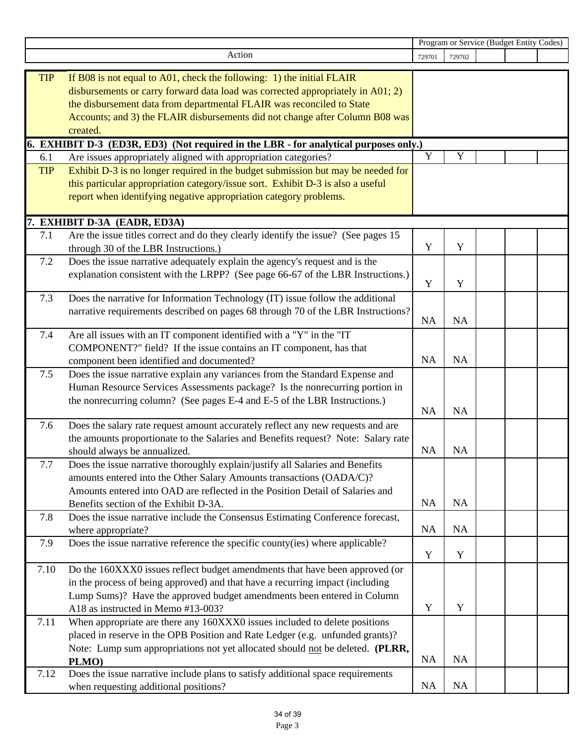|            |                                                                                                               | Program or Service (Budget Entity Codes) |             |  |  |  |
|------------|---------------------------------------------------------------------------------------------------------------|------------------------------------------|-------------|--|--|--|
|            | Action                                                                                                        | 729701                                   | 729702      |  |  |  |
|            |                                                                                                               |                                          |             |  |  |  |
| <b>TIP</b> | If B08 is not equal to A01, check the following: 1) the initial FLAIR                                         |                                          |             |  |  |  |
|            | disbursements or carry forward data load was corrected appropriately in A01; 2)                               |                                          |             |  |  |  |
|            | the disbursement data from departmental FLAIR was reconciled to State                                         |                                          |             |  |  |  |
|            | Accounts; and 3) the FLAIR disbursements did not change after Column B08 was                                  |                                          |             |  |  |  |
|            | created.                                                                                                      |                                          |             |  |  |  |
|            | 6. EXHIBIT D-3 (ED3R, ED3) (Not required in the LBR - for analytical purposes only.)                          | Y                                        | Y           |  |  |  |
| 6.1        | Are issues appropriately aligned with appropriation categories?                                               |                                          |             |  |  |  |
| <b>TIP</b> | Exhibit D-3 is no longer required in the budget submission but may be needed for                              |                                          |             |  |  |  |
|            | this particular appropriation category/issue sort. Exhibit D-3 is also a useful                               |                                          |             |  |  |  |
|            | report when identifying negative appropriation category problems.                                             |                                          |             |  |  |  |
|            | 7. EXHIBIT D-3A (EADR, ED3A)                                                                                  |                                          |             |  |  |  |
| 7.1        | Are the issue titles correct and do they clearly identify the issue? (See pages 15)                           |                                          |             |  |  |  |
|            | through 30 of the LBR Instructions.)                                                                          | Y                                        | Y           |  |  |  |
| 7.2        | Does the issue narrative adequately explain the agency's request and is the                                   |                                          |             |  |  |  |
|            | explanation consistent with the LRPP? (See page 66-67 of the LBR Instructions.)                               |                                          |             |  |  |  |
|            |                                                                                                               | $\mathbf Y$                              | Y           |  |  |  |
| 7.3        | Does the narrative for Information Technology (IT) issue follow the additional                                |                                          |             |  |  |  |
|            | narrative requirements described on pages 68 through 70 of the LBR Instructions?                              |                                          |             |  |  |  |
|            |                                                                                                               | <b>NA</b>                                | NA          |  |  |  |
| 7.4        | Are all issues with an IT component identified with a "Y" in the "IT                                          |                                          |             |  |  |  |
|            | COMPONENT?" field? If the issue contains an IT component, has that                                            |                                          |             |  |  |  |
|            | component been identified and documented?                                                                     | <b>NA</b>                                | NA          |  |  |  |
| 7.5        | Does the issue narrative explain any variances from the Standard Expense and                                  |                                          |             |  |  |  |
|            | Human Resource Services Assessments package? Is the nonrecurring portion in                                   |                                          |             |  |  |  |
|            | the nonrecurring column? (See pages E-4 and E-5 of the LBR Instructions.)                                     |                                          |             |  |  |  |
|            |                                                                                                               | <b>NA</b>                                | NA          |  |  |  |
| 7.6        | Does the salary rate request amount accurately reflect any new requests and are                               |                                          |             |  |  |  |
|            | the amounts proportionate to the Salaries and Benefits request? Note: Salary rate                             | NA                                       | NA          |  |  |  |
| 7.7        | should always be annualized.<br>Does the issue narrative thoroughly explain/justify all Salaries and Benefits |                                          |             |  |  |  |
|            | amounts entered into the Other Salary Amounts transactions (OADA/C)?                                          |                                          |             |  |  |  |
|            | Amounts entered into OAD are reflected in the Position Detail of Salaries and                                 |                                          |             |  |  |  |
|            | Benefits section of the Exhibit D-3A.                                                                         | <b>NA</b>                                | NA          |  |  |  |
| 7.8        | Does the issue narrative include the Consensus Estimating Conference forecast,                                |                                          |             |  |  |  |
|            | where appropriate?                                                                                            | <b>NA</b>                                | NA          |  |  |  |
| 7.9        | Does the issue narrative reference the specific county(ies) where applicable?                                 |                                          |             |  |  |  |
|            |                                                                                                               | Y                                        | Y           |  |  |  |
| 7.10       | Do the 160XXX0 issues reflect budget amendments that have been approved (or                                   |                                          |             |  |  |  |
|            | in the process of being approved) and that have a recurring impact (including                                 |                                          |             |  |  |  |
|            | Lump Sums)? Have the approved budget amendments been entered in Column                                        |                                          |             |  |  |  |
|            | A18 as instructed in Memo #13-003?                                                                            | Y                                        | $\mathbf Y$ |  |  |  |
| 7.11       | When appropriate are there any 160XXX0 issues included to delete positions                                    |                                          |             |  |  |  |
|            | placed in reserve in the OPB Position and Rate Ledger (e.g. unfunded grants)?                                 |                                          |             |  |  |  |
|            | Note: Lump sum appropriations not yet allocated should not be deleted. (PLRR,                                 |                                          |             |  |  |  |
|            | PLMO)                                                                                                         | <b>NA</b>                                | <b>NA</b>   |  |  |  |
| 7.12       | Does the issue narrative include plans to satisfy additional space requirements                               |                                          |             |  |  |  |
|            | when requesting additional positions?                                                                         | <b>NA</b>                                | <b>NA</b>   |  |  |  |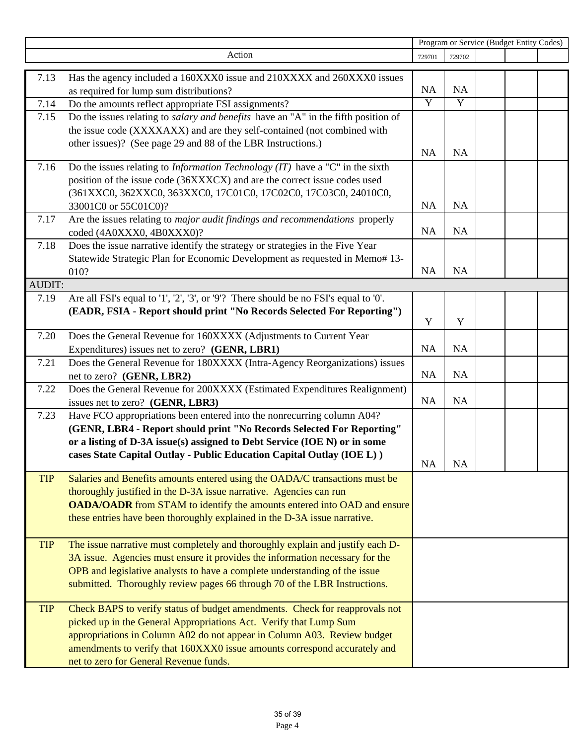|            |                                                                                                                                                    | Program or Service (Budget Entity Codes) |           |  |  |  |
|------------|----------------------------------------------------------------------------------------------------------------------------------------------------|------------------------------------------|-----------|--|--|--|
|            | Action                                                                                                                                             | 729701                                   | 729702    |  |  |  |
| 7.13       | Has the agency included a 160XXX0 issue and 210XXXX and 260XXX0 issues                                                                             |                                          |           |  |  |  |
|            | as required for lump sum distributions?                                                                                                            | NA                                       | <b>NA</b> |  |  |  |
| 7.14       | Do the amounts reflect appropriate FSI assignments?                                                                                                | $\overline{Y}$                           | Y         |  |  |  |
| 7.15       | Do the issues relating to <i>salary and benefits</i> have an "A" in the fifth position of                                                          |                                          |           |  |  |  |
|            | the issue code (XXXXAXX) and are they self-contained (not combined with                                                                            |                                          |           |  |  |  |
|            | other issues)? (See page 29 and 88 of the LBR Instructions.)                                                                                       |                                          |           |  |  |  |
|            |                                                                                                                                                    | <b>NA</b>                                | <b>NA</b> |  |  |  |
| 7.16       | Do the issues relating to <i>Information Technology (IT)</i> have a "C" in the sixth                                                               |                                          |           |  |  |  |
|            | position of the issue code (36XXXCX) and are the correct issue codes used                                                                          |                                          |           |  |  |  |
|            | (361XXC0, 362XXC0, 363XXC0, 17C01C0, 17C02C0, 17C03C0, 24010C0,                                                                                    |                                          |           |  |  |  |
|            | 33001C0 or 55C01C0)?                                                                                                                               | <b>NA</b>                                | <b>NA</b> |  |  |  |
| 7.17       | Are the issues relating to major audit findings and recommendations properly                                                                       |                                          |           |  |  |  |
|            | coded (4A0XXX0, 4B0XXX0)?                                                                                                                          | <b>NA</b>                                | NA        |  |  |  |
| 7.18       | Does the issue narrative identify the strategy or strategies in the Five Year                                                                      |                                          |           |  |  |  |
|            | Statewide Strategic Plan for Economic Development as requested in Memo# 13-                                                                        |                                          |           |  |  |  |
|            | 010?                                                                                                                                               | <b>NA</b>                                | <b>NA</b> |  |  |  |
| AUDIT:     |                                                                                                                                                    |                                          |           |  |  |  |
| 7.19       | Are all FSI's equal to '1', '2', '3', or '9'? There should be no FSI's equal to '0'.                                                               |                                          |           |  |  |  |
|            | (EADR, FSIA - Report should print "No Records Selected For Reporting")                                                                             |                                          |           |  |  |  |
|            |                                                                                                                                                    | Y                                        | Y         |  |  |  |
| 7.20       | Does the General Revenue for 160XXXX (Adjustments to Current Year                                                                                  |                                          |           |  |  |  |
|            | Expenditures) issues net to zero? (GENR, LBR1)                                                                                                     | <b>NA</b>                                | <b>NA</b> |  |  |  |
| 7.21       | Does the General Revenue for 180XXXX (Intra-Agency Reorganizations) issues                                                                         |                                          |           |  |  |  |
|            | net to zero? (GENR, LBR2)                                                                                                                          | <b>NA</b>                                | <b>NA</b> |  |  |  |
| 7.22       | Does the General Revenue for 200XXXX (Estimated Expenditures Realignment)                                                                          |                                          | <b>NA</b> |  |  |  |
|            | issues net to zero? (GENR, LBR3)                                                                                                                   | <b>NA</b>                                |           |  |  |  |
| 7.23       | Have FCO appropriations been entered into the nonrecurring column A04?                                                                             |                                          |           |  |  |  |
|            | (GENR, LBR4 - Report should print "No Records Selected For Reporting"<br>or a listing of D-3A issue(s) assigned to Debt Service (IOE N) or in some |                                          |           |  |  |  |
|            | cases State Capital Outlay - Public Education Capital Outlay (IOE L))                                                                              |                                          |           |  |  |  |
|            |                                                                                                                                                    | NA                                       | NA        |  |  |  |
| <b>TIP</b> | Salaries and Benefits amounts entered using the OADA/C transactions must be                                                                        |                                          |           |  |  |  |
|            | thoroughly justified in the D-3A issue narrative. Agencies can run                                                                                 |                                          |           |  |  |  |
|            | OADA/OADR from STAM to identify the amounts entered into OAD and ensure                                                                            |                                          |           |  |  |  |
|            | these entries have been thoroughly explained in the D-3A issue narrative.                                                                          |                                          |           |  |  |  |
|            |                                                                                                                                                    |                                          |           |  |  |  |
| <b>TIP</b> | The issue narrative must completely and thoroughly explain and justify each D-                                                                     |                                          |           |  |  |  |
|            | 3A issue. Agencies must ensure it provides the information necessary for the                                                                       |                                          |           |  |  |  |
|            | OPB and legislative analysts to have a complete understanding of the issue                                                                         |                                          |           |  |  |  |
|            | submitted. Thoroughly review pages 66 through 70 of the LBR Instructions.                                                                          |                                          |           |  |  |  |
|            |                                                                                                                                                    |                                          |           |  |  |  |
| <b>TIP</b> | Check BAPS to verify status of budget amendments. Check for reapprovals not                                                                        |                                          |           |  |  |  |
|            | picked up in the General Appropriations Act. Verify that Lump Sum                                                                                  |                                          |           |  |  |  |
|            | appropriations in Column A02 do not appear in Column A03. Review budget                                                                            |                                          |           |  |  |  |
|            | amendments to verify that 160XXX0 issue amounts correspond accurately and                                                                          |                                          |           |  |  |  |
|            | net to zero for General Revenue funds.                                                                                                             |                                          |           |  |  |  |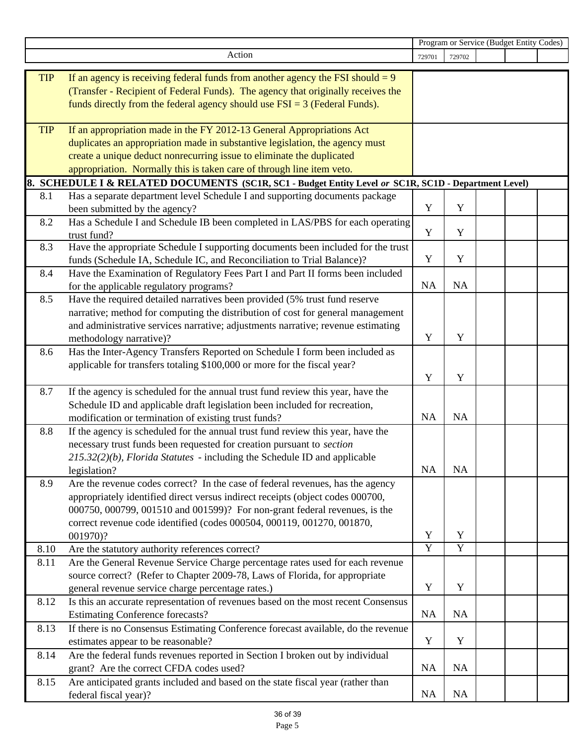|            |                                                                                                                       | Program or Service (Budget Entity Codes) |                |  |  |  |
|------------|-----------------------------------------------------------------------------------------------------------------------|------------------------------------------|----------------|--|--|--|
|            | Action                                                                                                                | 729701                                   | 729702         |  |  |  |
| <b>TIP</b> | If an agency is receiving federal funds from another agency the FSI should $= 9$                                      |                                          |                |  |  |  |
|            | (Transfer - Recipient of Federal Funds). The agency that originally receives the                                      |                                          |                |  |  |  |
|            | funds directly from the federal agency should use $FSI = 3$ (Federal Funds).                                          |                                          |                |  |  |  |
|            |                                                                                                                       |                                          |                |  |  |  |
| <b>TIP</b> | If an appropriation made in the FY 2012-13 General Appropriations Act                                                 |                                          |                |  |  |  |
|            | duplicates an appropriation made in substantive legislation, the agency must                                          |                                          |                |  |  |  |
|            | create a unique deduct nonrecurring issue to eliminate the duplicated                                                 |                                          |                |  |  |  |
|            | appropriation. Normally this is taken care of through line item veto.                                                 |                                          |                |  |  |  |
|            | 8. SCHEDULE I & RELATED DOCUMENTS (SC1R, SC1 - Budget Entity Level or SC1R, SC1D - Department Level)                  |                                          |                |  |  |  |
| 8.1        | Has a separate department level Schedule I and supporting documents package                                           |                                          |                |  |  |  |
|            | been submitted by the agency?                                                                                         | Y                                        | Y              |  |  |  |
| 8.2        | Has a Schedule I and Schedule IB been completed in LAS/PBS for each operating                                         |                                          |                |  |  |  |
|            | trust fund?                                                                                                           | Y                                        | Y              |  |  |  |
| 8.3        | Have the appropriate Schedule I supporting documents been included for the trust                                      | Y                                        |                |  |  |  |
|            | funds (Schedule IA, Schedule IC, and Reconciliation to Trial Balance)?                                                |                                          | Y              |  |  |  |
| 8.4        | Have the Examination of Regulatory Fees Part I and Part II forms been included                                        | <b>NA</b>                                | <b>NA</b>      |  |  |  |
| 8.5        | for the applicable regulatory programs?<br>Have the required detailed narratives been provided (5% trust fund reserve |                                          |                |  |  |  |
|            | narrative; method for computing the distribution of cost for general management                                       |                                          |                |  |  |  |
|            | and administrative services narrative; adjustments narrative; revenue estimating                                      |                                          |                |  |  |  |
|            | methodology narrative)?                                                                                               | Y                                        | Y              |  |  |  |
| 8.6        | Has the Inter-Agency Transfers Reported on Schedule I form been included as                                           |                                          |                |  |  |  |
|            | applicable for transfers totaling \$100,000 or more for the fiscal year?                                              |                                          |                |  |  |  |
|            |                                                                                                                       | Y                                        | Y              |  |  |  |
| 8.7        | If the agency is scheduled for the annual trust fund review this year, have the                                       |                                          |                |  |  |  |
|            | Schedule ID and applicable draft legislation been included for recreation,                                            |                                          |                |  |  |  |
|            | modification or termination of existing trust funds?                                                                  | NA                                       | <b>NA</b>      |  |  |  |
| 8.8        | If the agency is scheduled for the annual trust fund review this year, have the                                       |                                          |                |  |  |  |
|            | necessary trust funds been requested for creation pursuant to section                                                 |                                          |                |  |  |  |
|            | $215.32(2)(b)$ , Florida Statutes - including the Schedule ID and applicable                                          |                                          |                |  |  |  |
|            | legislation?                                                                                                          | NA                                       | NA             |  |  |  |
| 8.9        | Are the revenue codes correct? In the case of federal revenues, has the agency                                        |                                          |                |  |  |  |
|            | appropriately identified direct versus indirect receipts (object codes 000700,                                        |                                          |                |  |  |  |
|            | 000750, 000799, 001510 and 001599)? For non-grant federal revenues, is the                                            |                                          |                |  |  |  |
|            | correct revenue code identified (codes 000504, 000119, 001270, 001870,                                                |                                          |                |  |  |  |
|            | 001970)?                                                                                                              | Y                                        | Y              |  |  |  |
| 8.10       | Are the statutory authority references correct?                                                                       | $\overline{Y}$                           | $\overline{Y}$ |  |  |  |
| 8.11       | Are the General Revenue Service Charge percentage rates used for each revenue                                         |                                          |                |  |  |  |
|            | source correct? (Refer to Chapter 2009-78, Laws of Florida, for appropriate                                           |                                          |                |  |  |  |
|            | general revenue service charge percentage rates.)                                                                     | Y                                        | Y              |  |  |  |
| 8.12       | Is this an accurate representation of revenues based on the most recent Consensus                                     |                                          |                |  |  |  |
|            | <b>Estimating Conference forecasts?</b>                                                                               | <b>NA</b>                                | <b>NA</b>      |  |  |  |
| 8.13       | If there is no Consensus Estimating Conference forecast available, do the revenue                                     |                                          |                |  |  |  |
|            | estimates appear to be reasonable?                                                                                    | Y                                        | Y              |  |  |  |
| 8.14       | Are the federal funds revenues reported in Section I broken out by individual                                         |                                          |                |  |  |  |
|            | grant? Are the correct CFDA codes used?                                                                               | <b>NA</b>                                | <b>NA</b>      |  |  |  |
| 8.15       | Are anticipated grants included and based on the state fiscal year (rather than                                       |                                          |                |  |  |  |
|            | federal fiscal year)?                                                                                                 | <b>NA</b>                                | NA             |  |  |  |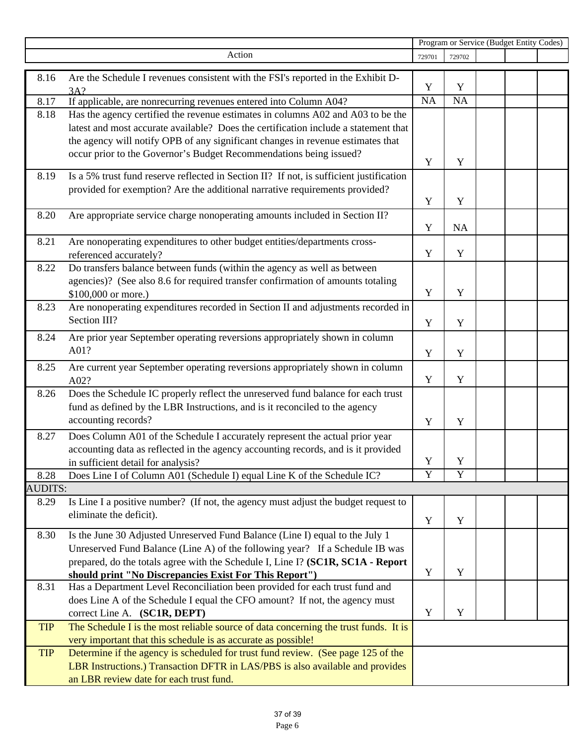|                |                                                                                                               | Program or Service (Budget Entity Codes) |        |  |  |  |
|----------------|---------------------------------------------------------------------------------------------------------------|------------------------------------------|--------|--|--|--|
|                | Action                                                                                                        | 729701                                   | 729702 |  |  |  |
|                |                                                                                                               |                                          |        |  |  |  |
| 8.16           | Are the Schedule I revenues consistent with the FSI's reported in the Exhibit D-<br>3A?                       | Y                                        | Y      |  |  |  |
| 8.17           | If applicable, are nonrecurring revenues entered into Column A04?                                             | $\overline{NA}$                          | NA     |  |  |  |
| 8.18           | Has the agency certified the revenue estimates in columns A02 and A03 to be the                               |                                          |        |  |  |  |
|                | latest and most accurate available? Does the certification include a statement that                           |                                          |        |  |  |  |
|                | the agency will notify OPB of any significant changes in revenue estimates that                               |                                          |        |  |  |  |
|                | occur prior to the Governor's Budget Recommendations being issued?                                            |                                          |        |  |  |  |
|                |                                                                                                               | Y                                        | Y      |  |  |  |
| 8.19           | Is a 5% trust fund reserve reflected in Section II? If not, is sufficient justification                       |                                          |        |  |  |  |
|                | provided for exemption? Are the additional narrative requirements provided?                                   |                                          |        |  |  |  |
|                |                                                                                                               | Y                                        | Y      |  |  |  |
| 8.20           | Are appropriate service charge nonoperating amounts included in Section II?                                   |                                          |        |  |  |  |
|                |                                                                                                               | Y                                        | NA     |  |  |  |
| 8.21           | Are nonoperating expenditures to other budget entities/departments cross-                                     |                                          |        |  |  |  |
|                | referenced accurately?                                                                                        | Y                                        | Y      |  |  |  |
| 8.22           | Do transfers balance between funds (within the agency as well as between                                      |                                          |        |  |  |  |
|                | agencies)? (See also 8.6 for required transfer confirmation of amounts totaling                               |                                          |        |  |  |  |
|                | \$100,000 or more.)                                                                                           | Y                                        | Y      |  |  |  |
| 8.23           | Are nonoperating expenditures recorded in Section II and adjustments recorded in                              |                                          |        |  |  |  |
|                | Section III?                                                                                                  | Y                                        | Y      |  |  |  |
| 8.24           | Are prior year September operating reversions appropriately shown in column                                   |                                          |        |  |  |  |
|                | A01?                                                                                                          | Y                                        | Y      |  |  |  |
| 8.25           | Are current year September operating reversions appropriately shown in column                                 |                                          |        |  |  |  |
|                | A02?                                                                                                          | $\mathbf Y$                              | Y      |  |  |  |
| 8.26           | Does the Schedule IC properly reflect the unreserved fund balance for each trust                              |                                          |        |  |  |  |
|                | fund as defined by the LBR Instructions, and is it reconciled to the agency                                   |                                          |        |  |  |  |
|                | accounting records?                                                                                           | Y                                        | Y      |  |  |  |
|                |                                                                                                               |                                          |        |  |  |  |
| 8.27           | Does Column A01 of the Schedule I accurately represent the actual prior year                                  |                                          |        |  |  |  |
|                | accounting data as reflected in the agency accounting records, and is it provided                             | Y                                        | Y      |  |  |  |
| 8.28           | in sufficient detail for analysis?<br>Does Line I of Column A01 (Schedule I) equal Line K of the Schedule IC? | $\overline{Y}$                           | Y      |  |  |  |
| <b>AUDITS:</b> |                                                                                                               |                                          |        |  |  |  |
| 8.29           | Is Line I a positive number? (If not, the agency must adjust the budget request to                            |                                          |        |  |  |  |
|                | eliminate the deficit).                                                                                       |                                          |        |  |  |  |
|                |                                                                                                               | Y                                        | Y      |  |  |  |
| 8.30           | Is the June 30 Adjusted Unreserved Fund Balance (Line I) equal to the July 1                                  |                                          |        |  |  |  |
|                | Unreserved Fund Balance (Line A) of the following year? If a Schedule IB was                                  |                                          |        |  |  |  |
|                | prepared, do the totals agree with the Schedule I, Line I? (SC1R, SC1A - Report                               |                                          |        |  |  |  |
|                | should print "No Discrepancies Exist For This Report")                                                        | Y                                        | Y      |  |  |  |
| 8.31           | Has a Department Level Reconciliation been provided for each trust fund and                                   |                                          |        |  |  |  |
|                | does Line A of the Schedule I equal the CFO amount? If not, the agency must                                   |                                          |        |  |  |  |
|                | correct Line A. (SC1R, DEPT)                                                                                  | Y                                        | Y      |  |  |  |
| <b>TIP</b>     | The Schedule I is the most reliable source of data concerning the trust funds. It is                          |                                          |        |  |  |  |
|                | very important that this schedule is as accurate as possible!                                                 |                                          |        |  |  |  |
| <b>TIP</b>     | Determine if the agency is scheduled for trust fund review. (See page 125 of the                              |                                          |        |  |  |  |
|                | LBR Instructions.) Transaction DFTR in LAS/PBS is also available and provides                                 |                                          |        |  |  |  |
|                | an LBR review date for each trust fund.                                                                       |                                          |        |  |  |  |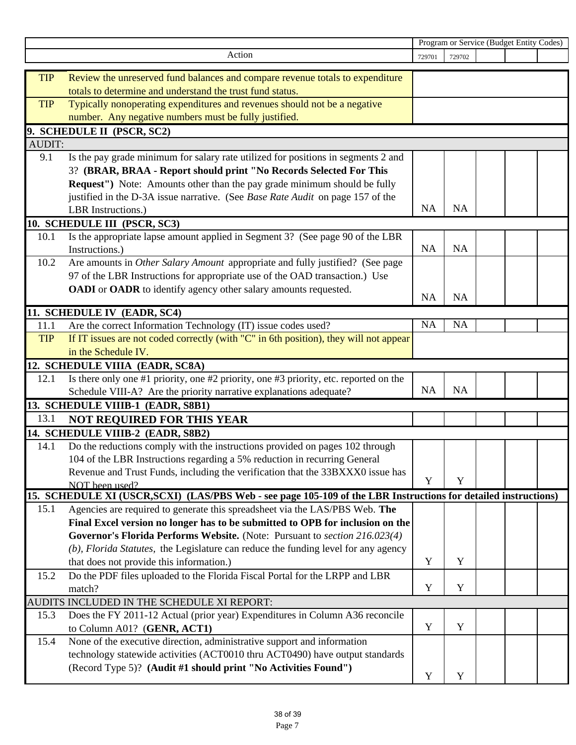|               |                                                                                                                 | Program or Service (Budget Entity Codes) |             |  |  |  |
|---------------|-----------------------------------------------------------------------------------------------------------------|------------------------------------------|-------------|--|--|--|
|               | Action                                                                                                          | 729701                                   | 729702      |  |  |  |
|               |                                                                                                                 |                                          |             |  |  |  |
| <b>TIP</b>    | Review the unreserved fund balances and compare revenue totals to expenditure                                   |                                          |             |  |  |  |
|               | totals to determine and understand the trust fund status.                                                       |                                          |             |  |  |  |
| <b>TIP</b>    | Typically nonoperating expenditures and revenues should not be a negative                                       |                                          |             |  |  |  |
|               | number. Any negative numbers must be fully justified.                                                           |                                          |             |  |  |  |
|               | 9. SCHEDULE II (PSCR, SC2)                                                                                      |                                          |             |  |  |  |
| <b>AUDIT:</b> |                                                                                                                 |                                          |             |  |  |  |
| 9.1           | Is the pay grade minimum for salary rate utilized for positions in segments 2 and                               |                                          |             |  |  |  |
|               | 3? (BRAR, BRAA - Report should print "No Records Selected For This                                              |                                          |             |  |  |  |
|               | Request") Note: Amounts other than the pay grade minimum should be fully                                        |                                          |             |  |  |  |
|               | justified in the D-3A issue narrative. (See Base Rate Audit on page 157 of the                                  |                                          |             |  |  |  |
|               | LBR Instructions.)                                                                                              | <b>NA</b>                                | <b>NA</b>   |  |  |  |
|               | 10. SCHEDULE III (PSCR, SC3)                                                                                    |                                          |             |  |  |  |
| 10.1          | Is the appropriate lapse amount applied in Segment 3? (See page 90 of the LBR                                   |                                          |             |  |  |  |
|               | Instructions.)                                                                                                  | <b>NA</b>                                | <b>NA</b>   |  |  |  |
| 10.2          | Are amounts in Other Salary Amount appropriate and fully justified? (See page                                   |                                          |             |  |  |  |
|               | 97 of the LBR Instructions for appropriate use of the OAD transaction.) Use                                     |                                          |             |  |  |  |
|               | OADI or OADR to identify agency other salary amounts requested.                                                 |                                          |             |  |  |  |
|               |                                                                                                                 | NA                                       | <b>NA</b>   |  |  |  |
|               | 11. SCHEDULE IV (EADR, SC4)                                                                                     |                                          |             |  |  |  |
| 11.1          | Are the correct Information Technology (IT) issue codes used?                                                   | <b>NA</b>                                | NA          |  |  |  |
| <b>TIP</b>    | If IT issues are not coded correctly (with "C" in 6th position), they will not appear                           |                                          |             |  |  |  |
|               | in the Schedule IV.                                                                                             |                                          |             |  |  |  |
|               | 12. SCHEDULE VIIIA (EADR, SC8A)                                                                                 |                                          |             |  |  |  |
| 12.1          | Is there only one #1 priority, one #2 priority, one #3 priority, etc. reported on the                           |                                          |             |  |  |  |
|               | Schedule VIII-A? Are the priority narrative explanations adequate?                                              | <b>NA</b>                                | <b>NA</b>   |  |  |  |
|               | 13. SCHEDULE VIIIB-1 (EADR, S8B1)                                                                               |                                          |             |  |  |  |
| 13.1          |                                                                                                                 |                                          |             |  |  |  |
|               | <b>NOT REQUIRED FOR THIS YEAR</b>                                                                               |                                          |             |  |  |  |
|               | 14. SCHEDULE VIIIB-2 (EADR, S8B2)                                                                               |                                          |             |  |  |  |
| 14.1          | Do the reductions comply with the instructions provided on pages 102 through                                    |                                          |             |  |  |  |
|               | 104 of the LBR Instructions regarding a 5% reduction in recurring General                                       |                                          |             |  |  |  |
|               | Revenue and Trust Funds, including the verification that the 33BXXX0 issue has                                  | Y                                        | $\mathbf Y$ |  |  |  |
|               | NOT been used?                                                                                                  |                                          |             |  |  |  |
|               | 15. SCHEDULE XI (USCR, SCXI) (LAS/PBS Web - see page 105-109 of the LBR Instructions for detailed instructions) |                                          |             |  |  |  |
| 15.1          | Agencies are required to generate this spreadsheet via the LAS/PBS Web. The                                     |                                          |             |  |  |  |
|               | Final Excel version no longer has to be submitted to OPB for inclusion on the                                   |                                          |             |  |  |  |
|               | Governor's Florida Performs Website. (Note: Pursuant to section 216.023(4)                                      |                                          |             |  |  |  |
|               | (b), Florida Statutes, the Legislature can reduce the funding level for any agency                              |                                          |             |  |  |  |
|               | that does not provide this information.)                                                                        | Y                                        | Y           |  |  |  |
| 15.2          | Do the PDF files uploaded to the Florida Fiscal Portal for the LRPP and LBR                                     |                                          |             |  |  |  |
|               | match?                                                                                                          | Y                                        | $\mathbf Y$ |  |  |  |
|               | AUDITS INCLUDED IN THE SCHEDULE XI REPORT:                                                                      |                                          |             |  |  |  |
| 15.3          | Does the FY 2011-12 Actual (prior year) Expenditures in Column A36 reconcile                                    |                                          |             |  |  |  |
|               | to Column A01? (GENR, ACT1)                                                                                     | Y                                        | Y           |  |  |  |
| 15.4          | None of the executive direction, administrative support and information                                         |                                          |             |  |  |  |
|               | technology statewide activities (ACT0010 thru ACT0490) have output standards                                    |                                          |             |  |  |  |
|               | (Record Type 5)? (Audit #1 should print "No Activities Found")                                                  |                                          |             |  |  |  |
|               |                                                                                                                 | Y                                        | Y           |  |  |  |